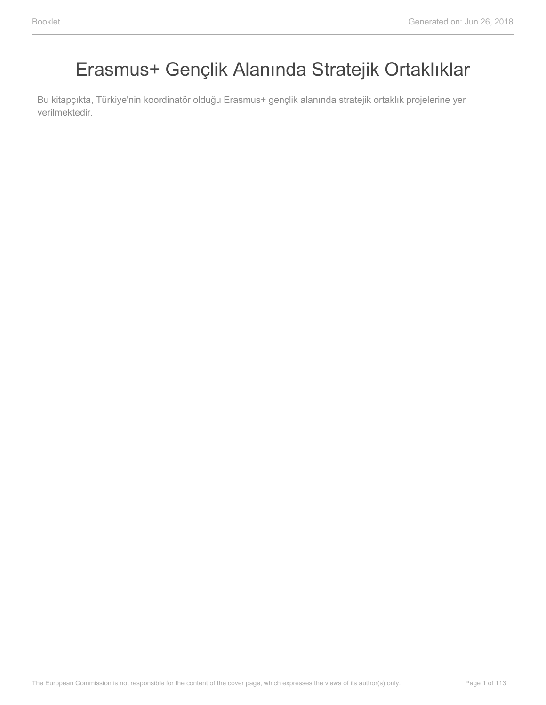# Erasmus+ Gençlik Alanında Stratejik Ortaklıklar

Bu kitapçıkta, Türkiye'nin koordinatör olduğu Erasmus+ gençlik alanında stratejik ortaklık projelerine yer verilmektedir.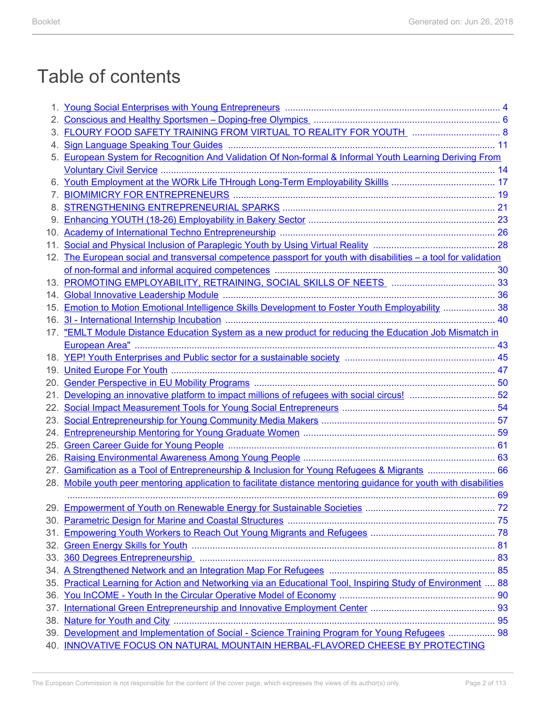# Table of contents

|     | <u>Young Social Enterprises with Young Entrepreneurs manufacture manufacture and 4</u>                        |  |
|-----|---------------------------------------------------------------------------------------------------------------|--|
|     |                                                                                                               |  |
|     | FLOURY FOOD SAFETY TRAINING FROM VIRTUAL TO REALITY FOR YOUTH MALL ASSESSMENT RELOCATED AS                    |  |
|     |                                                                                                               |  |
|     | European System for Recognition And Validation Of Non-formal & Informal Youth Learning Deriving From          |  |
|     |                                                                                                               |  |
| 6.  |                                                                                                               |  |
|     |                                                                                                               |  |
|     |                                                                                                               |  |
|     |                                                                                                               |  |
| 10. |                                                                                                               |  |
| 11. |                                                                                                               |  |
| 12. | The European social and transversal competence passport for youth with disabilities – a tool for validation   |  |
|     |                                                                                                               |  |
| 13. |                                                                                                               |  |
| 14. |                                                                                                               |  |
| 15. | <u>Emotion to Motion Emotional Intelligence Skills Development to Foster Youth Employability</u> 38           |  |
| 16. |                                                                                                               |  |
| 17. | "EMLT Module Distance Education System as a new product for reducing the Education Job Mismatch in            |  |
|     |                                                                                                               |  |
| 18. |                                                                                                               |  |
| 19. |                                                                                                               |  |
| 20. |                                                                                                               |  |
| 21. |                                                                                                               |  |
| 22. |                                                                                                               |  |
|     |                                                                                                               |  |
| 24. |                                                                                                               |  |
| 25. |                                                                                                               |  |
| 26. |                                                                                                               |  |
| 27. | Gamification as a Tool of Entrepreneurship & Inclusion for Young Refugees & Migrants  66                      |  |
| 28. | Mobile youth peer mentoring application to facilitate distance mentoring guidance for youth with disabilities |  |
|     |                                                                                                               |  |
|     |                                                                                                               |  |
|     |                                                                                                               |  |
|     |                                                                                                               |  |
| 32. |                                                                                                               |  |
|     |                                                                                                               |  |
|     |                                                                                                               |  |
|     | 35. Practical Learning for Action and Networking via an Educational Tool, Inspiring Study of Environment  88  |  |
| 36. |                                                                                                               |  |
| 37. |                                                                                                               |  |
|     |                                                                                                               |  |
|     | 39. Development and Implementation of Social - Science Training Program for Young Refugees  98                |  |
|     | 40. INNOVATIVE FOCUS ON NATURAL MOUNTAIN HERBAL-FLAVORED CHEESE BY PROTECTING                                 |  |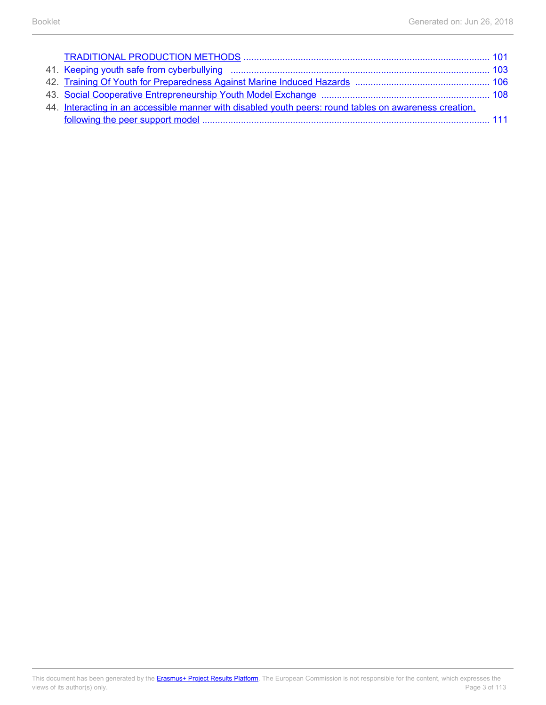| 41. Keeping youth safe from cyberbullying manufactured and the manufactured and 103                    |  |
|--------------------------------------------------------------------------------------------------------|--|
|                                                                                                        |  |
|                                                                                                        |  |
| 44. Interacting in an accessible manner with disabled youth peers: round tables on awareness creation, |  |
|                                                                                                        |  |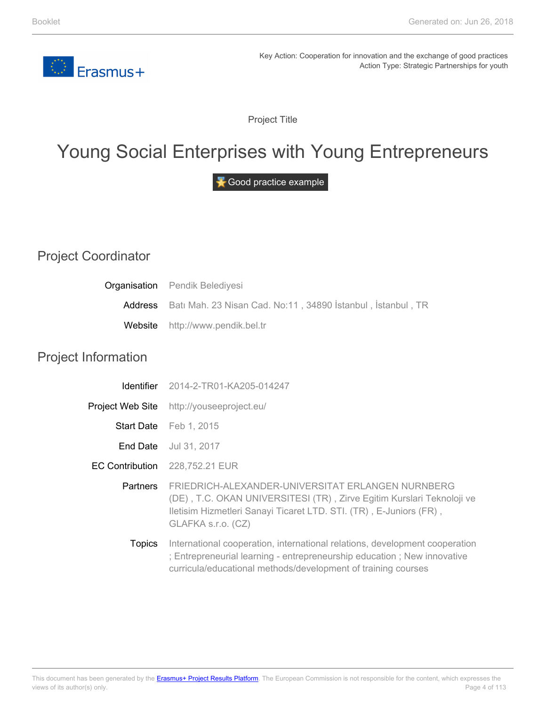

Project Title

# <span id="page-3-0"></span>Young Social Enterprises with Young Entrepreneurs

Good practice example

## Project Coordinator

|                            | <b>Organisation</b> Pendik Belediyesi                                                                                                                                                                                   |
|----------------------------|-------------------------------------------------------------------------------------------------------------------------------------------------------------------------------------------------------------------------|
| Address                    | Batı Mah. 23 Nisan Cad. No:11, 34890 İstanbul, İstanbul, TR                                                                                                                                                             |
| Website                    | http://www.pendik.bel.tr                                                                                                                                                                                                |
| <b>Project Information</b> |                                                                                                                                                                                                                         |
| <b>Identifier</b>          | 2014-2-TR01-KA205-014247                                                                                                                                                                                                |
|                            | Project Web Site http://youseeproject.eu/                                                                                                                                                                               |
|                            | Start Date Feb 1, 2015                                                                                                                                                                                                  |
|                            | End Date Jul 31, 2017                                                                                                                                                                                                   |
| <b>EC Contribution</b>     | 228,752.21 EUR                                                                                                                                                                                                          |
| <b>Partners</b>            | FRIEDRICH-ALEXANDER-UNIVERSITAT ERLANGEN NURNBERG<br>(DE), T.C. OKAN UNIVERSITESI (TR), Zirve Egitim Kurslari Teknoloji ve<br>Iletisim Hizmetleri Sanayi Ticaret LTD. STI. (TR), E-Juniors (FR),<br>GLAFKA s.r.o. (CZ)  |
| <b>Topics</b>              | International cooperation, international relations, development cooperation<br>; Entrepreneurial learning - entrepreneurship education; New innovative<br>curricula/educational methods/development of training courses |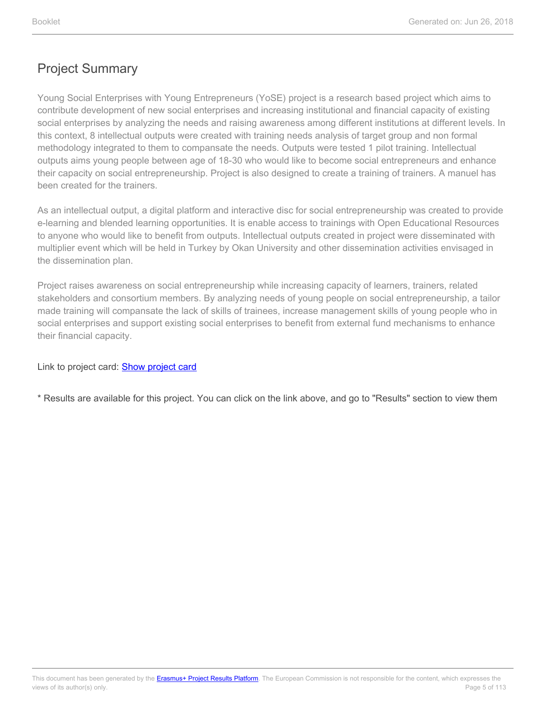Young Social Enterprises with Young Entrepreneurs (YoSE) project is a research based project which aims to contribute development of new social enterprises and increasing institutional and financial capacity of existing social enterprises by analyzing the needs and raising awareness among different institutions at different levels. In this context, 8 intellectual outputs were created with training needs analysis of target group and non formal methodology integrated to them to compansate the needs. Outputs were tested 1 pilot training. Intellectual outputs aims young people between age of 18-30 who would like to become social entrepreneurs and enhance their capacity on social entrepreneurship. Project is also designed to create a training of trainers. A manuel has been created for the trainers.

As an intellectual output, a digital platform and interactive disc for social entrepreneurship was created to provide e-learning and blended learning opportunities. It is enable access to trainings with Open Educational Resources to anyone who would like to benefit from outputs. Intellectual outputs created in project were disseminated with multiplier event which will be held in Turkey by Okan University and other dissemination activities envisaged in the dissemination plan.

Project raises awareness on social entrepreneurship while increasing capacity of learners, trainers, related stakeholders and consortium members. By analyzing needs of young people on social entrepreneurship, a tailor made training will compansate the lack of skills of trainees, increase management skills of young people who in social enterprises and support existing social enterprises to benefit from external fund mechanisms to enhance their financial capacity.

Link to project card: **[Show project card](https://ec.europa.eu/programmes/erasmus-plus/projects/eplus-project-details/#project/2014-2-TR01-KA205-014247)** 

\* Results are available for this project. You can click on the link above, and go to "Results" section to view them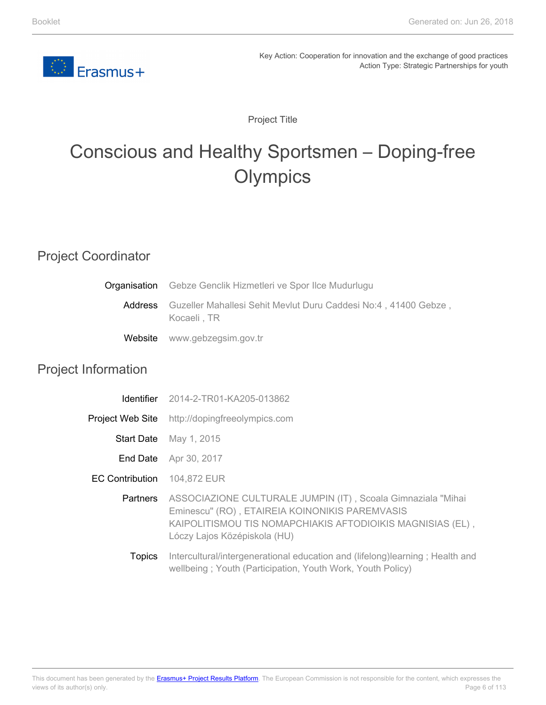<span id="page-5-0"></span>

Project Title

# Conscious and Healthy Sportsmen – Doping-free **Olympics**

# Project Coordinator

|         | <b>Organisation</b> Gebze Genclik Hizmetleri ve Spor Ilce Mudurlugu             |  |
|---------|---------------------------------------------------------------------------------|--|
| Address | Guzeller Mahallesi Sehit Mevlut Duru Caddesi No:4, 41400 Gebze,<br>Kocaeli . TR |  |
|         | Website www.gebzegsim.gov.tr                                                    |  |

#### Project Information

| <b>Identifier</b>      | 2014-2-TR01-KA205-013862                                                                                                                                                                                     |
|------------------------|--------------------------------------------------------------------------------------------------------------------------------------------------------------------------------------------------------------|
| Project Web Site       | http://dopingfreeolympics.com                                                                                                                                                                                |
| <b>Start Date</b>      | May 1, 2015                                                                                                                                                                                                  |
| End Date               | Apr 30, 2017                                                                                                                                                                                                 |
| <b>EC Contribution</b> | 104,872 EUR                                                                                                                                                                                                  |
| <b>Partners</b>        | ASSOCIAZIONE CULTURALE JUMPIN (IT), Scoala Gimnaziala "Mihai<br>Eminescu" (RO), ETAIREIA KOINONIKIS PAREMVASIS<br>KAIPOLITISMOU TIS NOMAPCHIAKIS AFTODIOIKIS MAGNISIAS (EL),<br>Lóczy Lajos Középiskola (HU) |
| <b>Topics</b>          | Intercultural/intergenerational education and (lifelong)learning; Health and<br>wellbeing; Youth (Participation, Youth Work, Youth Policy)                                                                   |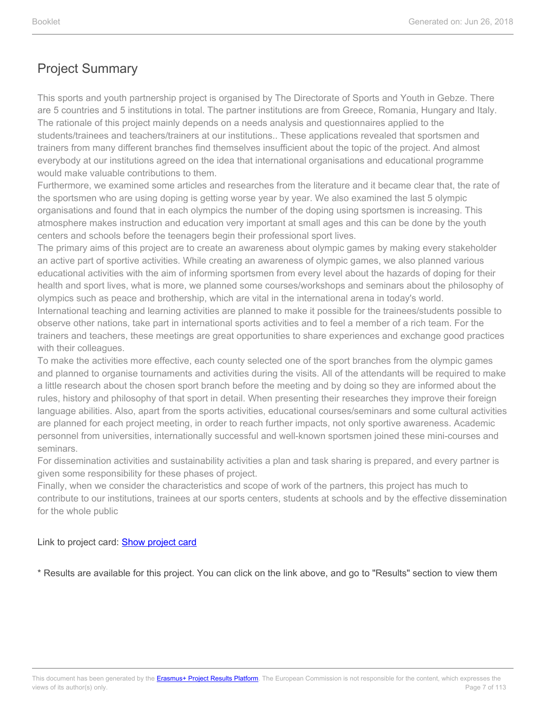This sports and youth partnership project is organised by The Directorate of Sports and Youth in Gebze. There are 5 countries and 5 institutions in total. The partner institutions are from Greece, Romania, Hungary and Italy. The rationale of this project mainly depends on a needs analysis and questionnaires applied to the students/trainees and teachers/trainers at our institutions.. These applications revealed that sportsmen and trainers from many different branches find themselves insufficient about the topic of the project. And almost everybody at our institutions agreed on the idea that international organisations and educational programme would make valuable contributions to them.

Furthermore, we examined some articles and researches from the literature and it became clear that, the rate of the sportsmen who are using doping is getting worse year by year. We also examined the last 5 olympic organisations and found that in each olympics the number of the doping using sportsmen is increasing. This atmosphere makes instruction and education very important at small ages and this can be done by the youth centers and schools before the teenagers begin their professional sport lives.

The primary aims of this project are to create an awareness about olympic games by making every stakeholder an active part of sportive activities. While creating an awareness of olympic games, we also planned various educational activities with the aim of informing sportsmen from every level about the hazards of doping for their health and sport lives, what is more, we planned some courses/workshops and seminars about the philosophy of olympics such as peace and brothership, which are vital in the international arena in today's world.

International teaching and learning activities are planned to make it possible for the trainees/students possible to observe other nations, take part in international sports activities and to feel a member of a rich team. For the trainers and teachers, these meetings are great opportunities to share experiences and exchange good practices with their colleagues.

To make the activities more effective, each county selected one of the sport branches from the olympic games and planned to organise tournaments and activities during the visits. All of the attendants will be required to make a little research about the chosen sport branch before the meeting and by doing so they are informed about the rules, history and philosophy of that sport in detail. When presenting their researches they improve their foreign language abilities. Also, apart from the sports activities, educational courses/seminars and some cultural activities are planned for each project meeting, in order to reach further impacts, not only sportive awareness. Academic personnel from universities, internationally successful and well-known sportsmen joined these mini-courses and seminars.

For dissemination activities and sustainability activities a plan and task sharing is prepared, and every partner is given some responsibility for these phases of project.

Finally, when we consider the characteristics and scope of work of the partners, this project has much to contribute to our institutions, trainees at our sports centers, students at schools and by the effective dissemination for the whole public

Link to project card: [Show project card](https://ec.europa.eu/programmes/erasmus-plus/projects/eplus-project-details/#project/2014-2-TR01-KA205-013862)

\* Results are available for this project. You can click on the link above, and go to "Results" section to view them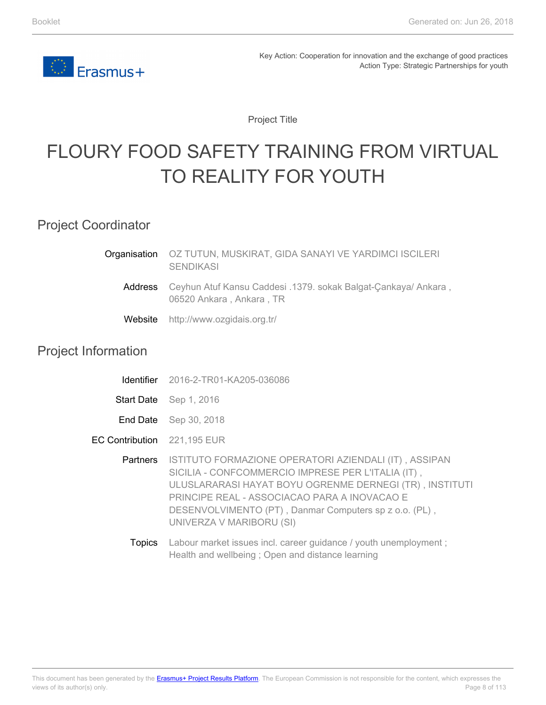

Project Title

# <span id="page-7-0"></span>FLOURY FOOD SAFETY TRAINING FROM VIRTUAL TO REALITY FOR YOUTH

Project Coordinator

| <b>Organisation</b> OZ TUTUN, MUSKIRAT, GIDA SANAYI VE YARDIMCI ISCILERI<br><b>SENDIKASI</b>       |
|----------------------------------------------------------------------------------------------------|
| Address Ceyhun Atuf Kansu Caddesi .1379. sokak Balgat-Cankaya/ Ankara,<br>06520 Ankara, Ankara, TR |
| Website http://www.ozgidais.org.tr/                                                                |

#### Project Information

|                             | <b>Identifier</b> 2016-2-TR01-KA205-036086                                                                                                                                                                                                                                                                   |
|-----------------------------|--------------------------------------------------------------------------------------------------------------------------------------------------------------------------------------------------------------------------------------------------------------------------------------------------------------|
|                             | Start Date Sep 1, 2016                                                                                                                                                                                                                                                                                       |
|                             | <b>End Date</b> Sep 30, 2018                                                                                                                                                                                                                                                                                 |
| EC Contribution 221,195 EUR |                                                                                                                                                                                                                                                                                                              |
| Partners                    | ISTITUTO FORMAZIONE OPERATORI AZIENDALI (IT), ASSIPAN<br>SICILIA - CONFCOMMERCIO IMPRESE PER L'ITALIA (IT),<br>ULUSLARARASI HAYAT BOYU OGRENME DERNEGI (TR), INSTITUTI<br>PRINCIPE REAL - ASSOCIACAO PARA A INOVACAO E<br>DESENVOLVIMENTO (PT), Danmar Computers sp z o.o. (PL),<br>UNIVERZA V MARIBORU (SI) |
|                             |                                                                                                                                                                                                                                                                                                              |

Topics Labour market issues incl. career guidance / youth unemployment ; Health and wellbeing ; Open and distance learning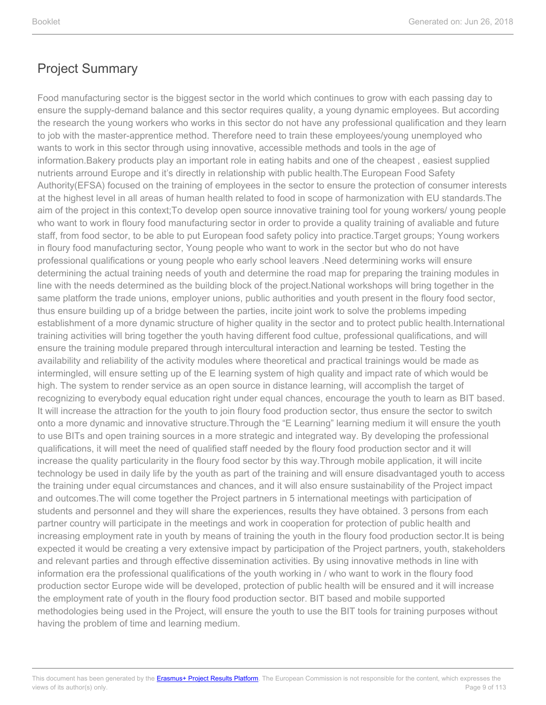Food manufacturing sector is the biggest sector in the world which continues to grow with each passing day to ensure the supply-demand balance and this sector requires quality, a young dynamic employees. But according the research the young workers who works in this sector do not have any professional qualification and they learn to job with the master-apprentice method. Therefore need to train these employees/young unemployed who wants to work in this sector through using innovative, accessible methods and tools in the age of information.Bakery products play an important role in eating habits and one of the cheapest , easiest supplied nutrients arround Europe and it's directly in relationship with public health.The European Food Safety Authority(EFSA) focused on the training of employees in the sector to ensure the protection of consumer interests at the highest level in all areas of human health related to food in scope of harmonization with EU standards.The aim of the project in this context;To develop open source innovative training tool for young workers/ young people who want to work in floury food manufacturing sector in order to provide a quality training of avaliable and future staff, from food sector, to be able to put European food safety policy into practice.Target groups; Young workers in floury food manufacturing sector, Young people who want to work in the sector but who do not have professional qualifications or young people who early school leavers .Need determining works will ensure determining the actual training needs of youth and determine the road map for preparing the training modules in line with the needs determined as the building block of the project.National workshops will bring together in the same platform the trade unions, employer unions, public authorities and youth present in the floury food sector, thus ensure building up of a bridge between the parties, incite joint work to solve the problems impeding establishment of a more dynamic structure of higher quality in the sector and to protect public health.International training activities will bring together the youth having different food cultue, professional qualifications, and will ensure the training module prepared through intercultural interaction and learning be tested. Testing the availability and reliability of the activity modules where theoretical and practical trainings would be made as intermingled, will ensure setting up of the E learning system of high quality and impact rate of which would be high. The system to render service as an open source in distance learning, will accomplish the target of recognizing to everybody equal education right under equal chances, encourage the youth to learn as BIT based. It will increase the attraction for the youth to join floury food production sector, thus ensure the sector to switch onto a more dynamic and innovative structure.Through the "E Learning" learning medium it will ensure the youth to use BITs and open training sources in a more strategic and integrated way. By developing the professional qualifications, it will meet the need of qualified staff needed by the floury food production sector and it will increase the quality particularity in the floury food sector by this way.Through mobile application, it will incite technology be used in daily life by the youth as part of the training and will ensure disadvantaged youth to access the training under equal circumstances and chances, and it will also ensure sustainability of the Project impact and outcomes.The will come together the Project partners in 5 international meetings with participation of students and personnel and they will share the experiences, results they have obtained. 3 persons from each partner country will participate in the meetings and work in cooperation for protection of public health and increasing employment rate in youth by means of training the youth in the floury food production sector.It is being expected it would be creating a very extensive impact by participation of the Project partners, youth, stakeholders and relevant parties and through effective dissemination activities. By using innovative methods in line with information era the professional qualifications of the youth working in / who want to work in the floury food production sector Europe wide will be developed, protection of public health will be ensured and it will increase the employment rate of youth in the floury food production sector. BIT based and mobile supported methodologies being used in the Project, will ensure the youth to use the BIT tools for training purposes without having the problem of time and learning medium.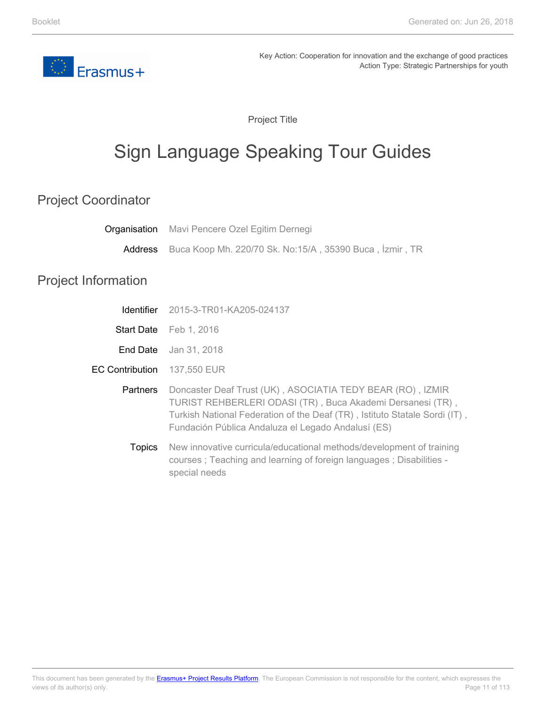<span id="page-10-0"></span>

Project Title

# Sign Language Speaking Tour Guides

#### Project Coordinator

|                            | <b>Organisation</b> Mavi Pencere Ozel Egitim Dernegi                                                                                                                                                                                                         |
|----------------------------|--------------------------------------------------------------------------------------------------------------------------------------------------------------------------------------------------------------------------------------------------------------|
| Address                    | Buca Koop Mh. 220/70 Sk. No:15/A, 35390 Buca, İzmir, TR                                                                                                                                                                                                      |
| <b>Project Information</b> |                                                                                                                                                                                                                                                              |
| <b>Identifier</b>          | 2015-3-TR01-KA205-024137                                                                                                                                                                                                                                     |
| <b>Start Date</b>          | Feb 1, 2016                                                                                                                                                                                                                                                  |
| End Date                   | Jan 31, 2018                                                                                                                                                                                                                                                 |
| <b>EC Contribution</b>     | 137,550 EUR                                                                                                                                                                                                                                                  |
| Partners                   | Doncaster Deaf Trust (UK), ASOCIATIA TEDY BEAR (RO), IZMIR<br>TURIST REHBERLERI ODASI (TR), Buca Akademi Dersanesi (TR),<br>Turkish National Federation of the Deaf (TR), Istituto Statale Sordi (IT),<br>Fundación Pública Andaluza el Legado Andalusí (ES) |
| <b>Topics</b>              | New innovative curricula/educational methods/development of training<br>courses; Teaching and learning of foreign languages; Disabilities -<br>special needs                                                                                                 |

Page 11 of 113 This document has been generated by the **Erasmus+ Project Results Platform**. The European Commission is not responsible for the content, which expresses the views of its author(s) only.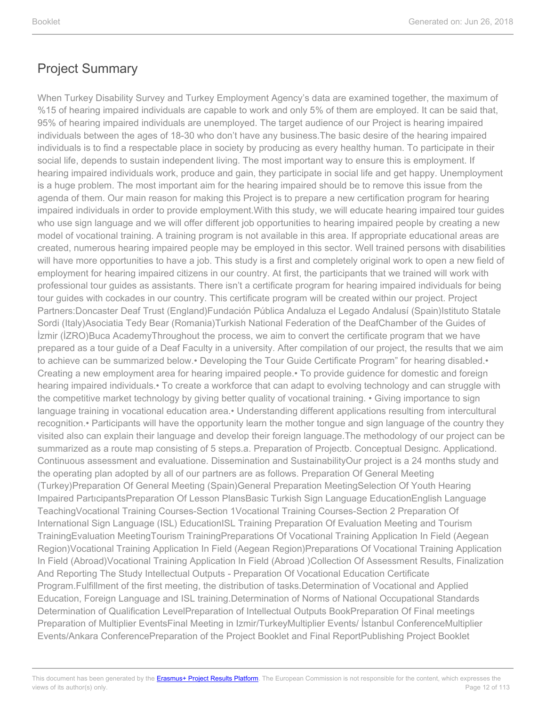When Turkey Disability Survey and Turkey Employment Agency's data are examined together, the maximum of %15 of hearing impaired individuals are capable to work and only 5% of them are employed. It can be said that, 95% of hearing impaired individuals are unemployed. The target audience of our Project is hearing impaired individuals between the ages of 18-30 who don't have any business.The basic desire of the hearing impaired individuals is to find a respectable place in society by producing as every healthy human. To participate in their social life, depends to sustain independent living. The most important way to ensure this is employment. If hearing impaired individuals work, produce and gain, they participate in social life and get happy. Unemployment is a huge problem. The most important aim for the hearing impaired should be to remove this issue from the agenda of them. Our main reason for making this Project is to prepare a new certification program for hearing impaired individuals in order to provide employment.With this study, we will educate hearing impaired tour guides who use sign language and we will offer different job opportunities to hearing impaired people by creating a new model of vocational training. A training program is not available in this area. If appropriate educational areas are created, numerous hearing impaired people may be employed in this sector. Well trained persons with disabilities will have more opportunities to have a job. This study is a first and completely original work to open a new field of employment for hearing impaired citizens in our country. At first, the participants that we trained will work with professional tour guides as assistants. There isn't a certificate program for hearing impaired individuals for being tour guides with cockades in our country. This certificate program will be created within our project. Project Partners:Doncaster Deaf Trust (England)Fundación Pública Andaluza el Legado Andalusí (Spain)Istituto Statale Sordi (Italy)Asociatia Tedy Bear (Romania)Turkish National Federation of the DeafChamber of the Guides of İzmir (İZRO)Buca AcademyThroughout the process, we aim to convert the certificate program that we have prepared as a tour guide of a Deaf Faculty in a university. After compilation of our project, the results that we aim to achieve can be summarized below.• Developing the Tour Guide Certificate Program" for hearing disabled.• Creating a new employment area for hearing impaired people.• To provide guidence for domestic and foreign hearing impaired individuals.• To create a workforce that can adapt to evolving technology and can struggle with the competitive market technology by giving better quality of vocational training. • Giving importance to sign language training in vocational education area.• Understanding different applications resulting from intercultural recognition.• Participants will have the opportunity learn the mother tongue and sign language of the country they visited also can explain their language and develop their foreign language.The methodology of our project can be summarized as a route map consisting of 5 steps.a. Preparation of Projectb. Conceptual Designc. Applicationd. Continuous assessment and evaluatione. Dissemination and SustainabilityOur project is a 24 months study and the operating plan adopted by all of our partners are as follows. Preparation Of General Meeting (Turkey)Preparation Of General Meeting (Spain)General Preparation MeetingSelection Of Youth Hearing Impaired PartıcipantsPreparation Of Lesson PlansBasic Turkish Sign Language EducationEnglish Language TeachingVocational Training Courses-Section 1Vocational Training Courses-Section 2 Preparation Of International Sign Language (ISL) EducationISL Training Preparation Of Evaluation Meeting and Tourism TrainingEvaluation MeetingTourism TrainingPreparations Of Vocational Training Application In Field (Aegean Region)Vocational Training Application In Field (Aegean Region)Preparations Of Vocational Training Application In Field (Abroad)Vocational Training Application In Field (Abroad )Collection Of Assessment Results, Finalization And Reporting The Study Intellectual Outputs - Preparation Of Vocational Education Certificate Program.Fulfillment of the first meeting, the distribution of tasks.Determination of Vocational and Applied Education, Foreign Language and ISL training.Determination of Norms of National Occupational Standards Determination of Qualification LevelPreparation of Intellectual Outputs BookPreparation Of Final meetings Preparation of Multiplier EventsFinal Meeting in Izmir/TurkeyMultiplier Events/ İstanbul ConferenceMultiplier Events/Ankara ConferencePreparation of the Project Booklet and Final ReportPublishing Project Booklet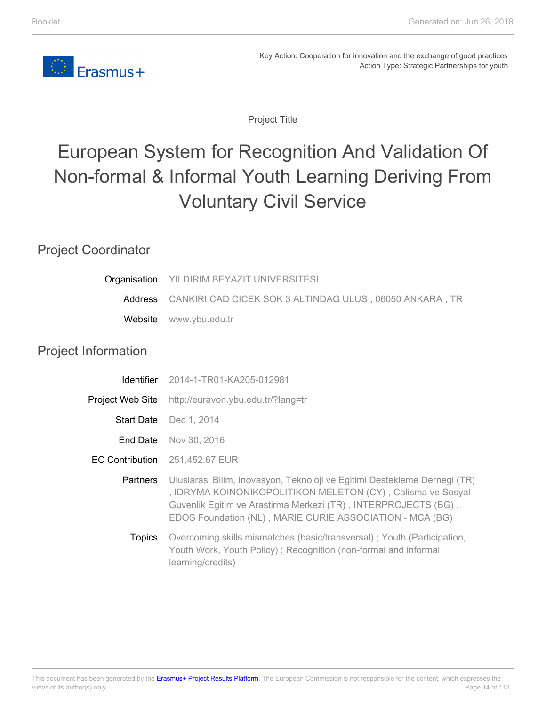

Project Title

# <span id="page-13-0"></span>European System for Recognition And Validation Of Non-formal & Informal Youth Learning Deriving From Voluntary Civil Service

### Project Coordinator

| Organisation               | YILDIRIM BEYAZIT UNIVERSITESI                                                                                                                                                                                                                                          |
|----------------------------|------------------------------------------------------------------------------------------------------------------------------------------------------------------------------------------------------------------------------------------------------------------------|
| Address                    | CANKIRI CAD CICEK SOK 3 ALTINDAG ULUS, 06050 ANKARA, TR                                                                                                                                                                                                                |
| Website                    | www.ybu.edu.tr                                                                                                                                                                                                                                                         |
| <b>Project Information</b> |                                                                                                                                                                                                                                                                        |
| <b>Identifier</b>          | 2014-1-TR01-KA205-012981                                                                                                                                                                                                                                               |
| Project Web Site           | http://euravon.ybu.edu.tr/?lang=tr                                                                                                                                                                                                                                     |
|                            | Start Date Dec 1, 2014                                                                                                                                                                                                                                                 |
| End Date                   | Nov 30, 2016                                                                                                                                                                                                                                                           |
| <b>EC Contribution</b>     | 251,452.67 EUR                                                                                                                                                                                                                                                         |
| <b>Partners</b>            | Uluslarasi Bilim, Inovasyon, Teknoloji ve Egitimi Destekleme Dernegi (TR)<br>, IDRYMA KOINONIKOPOLITIKON MELETON (CY), Calisma ve Sosyal<br>Guvenlik Egitim ve Arastirma Merkezi (TR), INTERPROJECTS (BG),<br>EDOS Foundation (NL), MARIE CURIE ASSOCIATION - MCA (BG) |
| <b>Topics</b>              | Overcoming skills mismatches (basic/transversal); Youth (Participation,<br>Youth Work, Youth Policy); Recognition (non-formal and informal<br>learning/credits)                                                                                                        |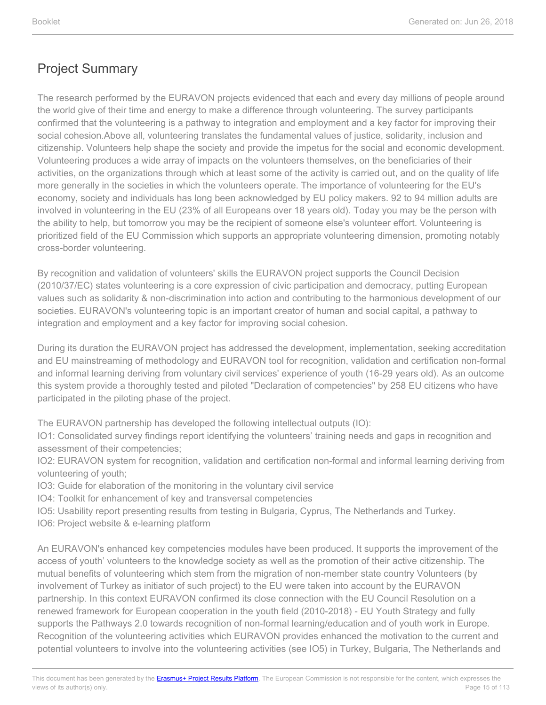The research performed by the EURAVON projects evidenced that each and every day millions of people around the world give of their time and energy to make a difference through volunteering. The survey participants confirmed that the volunteering is a pathway to integration and employment and a key factor for improving their social cohesion.Above all, volunteering translates the fundamental values of justice, solidarity, inclusion and citizenship. Volunteers help shape the society and provide the impetus for the social and economic development. Volunteering produces a wide array of impacts on the volunteers themselves, on the beneficiaries of their activities, on the organizations through which at least some of the activity is carried out, and on the quality of life more generally in the societies in which the volunteers operate. The importance of volunteering for the EU's economy, society and individuals has long been acknowledged by EU policy makers. 92 to 94 million adults are involved in volunteering in the EU (23% of all Europeans over 18 years old). Today you may be the person with the ability to help, but tomorrow you may be the recipient of someone else's volunteer effort. Volunteering is prioritized field of the EU Commission which supports an appropriate volunteering dimension, promoting notably cross-border volunteering.

By recognition and validation of volunteers' skills the EURAVON project supports the Council Decision (2010/37/EC) states volunteering is a core expression of civic participation and democracy, putting European values such as solidarity & non-discrimination into action and contributing to the harmonious development of our societies. EURAVON's volunteering topic is an important creator of human and social capital, a pathway to integration and employment and a key factor for improving social cohesion.

During its duration the EURAVON project has addressed the development, implementation, seeking accreditation and EU mainstreaming of methodology and EURAVON tool for recognition, validation and certification non-formal and informal learning deriving from voluntary civil services' experience of youth (16-29 years old). As an outcome this system provide a thoroughly tested and piloted "Declaration of competencies" by 258 EU citizens who have participated in the piloting phase of the project.

The EURAVON partnership has developed the following intellectual outputs (IO):

IO1: Consolidated survey findings report identifying the volunteers' training needs and gaps in recognition and assessment of their competencies;

IO2: EURAVON system for recognition, validation and certification non-formal and informal learning deriving from volunteering of youth;

- IO3: Guide for elaboration of the monitoring in the voluntary civil service
- IO4: Toolkit for enhancement of key and transversal competencies
- IO5: Usability report presenting results from testing in Bulgaria, Cyprus, The Netherlands and Turkey.
- IO6: Project website & e-learning platform

An EURAVON's enhanced key competencies modules have been produced. It supports the improvement of the access of youth' volunteers to the knowledge society as well as the promotion of their active citizenship. The mutual benefits of volunteering which stem from the migration of non-member state country Volunteers (by involvement of Turkey as initiator of such project) to the EU were taken into account by the EURAVON partnership. In this context EURAVON confirmed its close connection with the EU Council Resolution on a renewed framework for European cooperation in the youth field (2010-2018) - EU Youth Strategy and fully supports the Pathways 2.0 towards recognition of non-formal learning/education and of youth work in Europe. Recognition of the volunteering activities which EURAVON provides enhanced the motivation to the current and potential volunteers to involve into the volunteering activities (see IO5) in Turkey, Bulgaria, The Netherlands and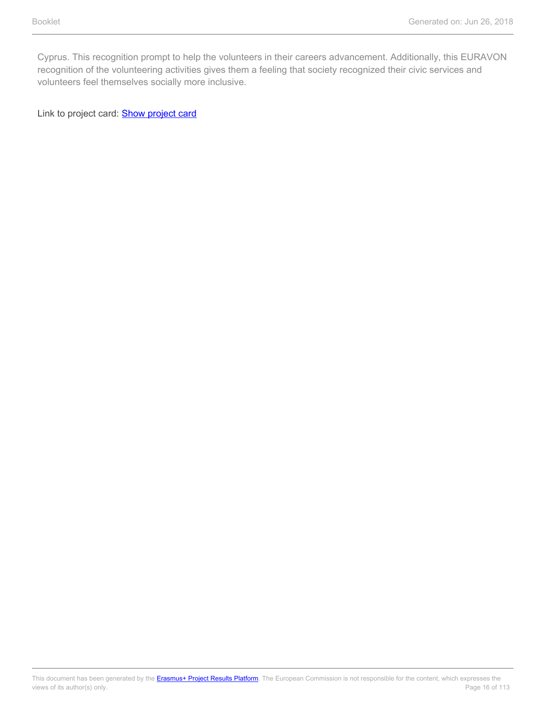Cyprus. This recognition prompt to help the volunteers in their careers advancement. Additionally, this EURAVON recognition of the volunteering activities gives them a feeling that society recognized their civic services and volunteers feel themselves socially more inclusive.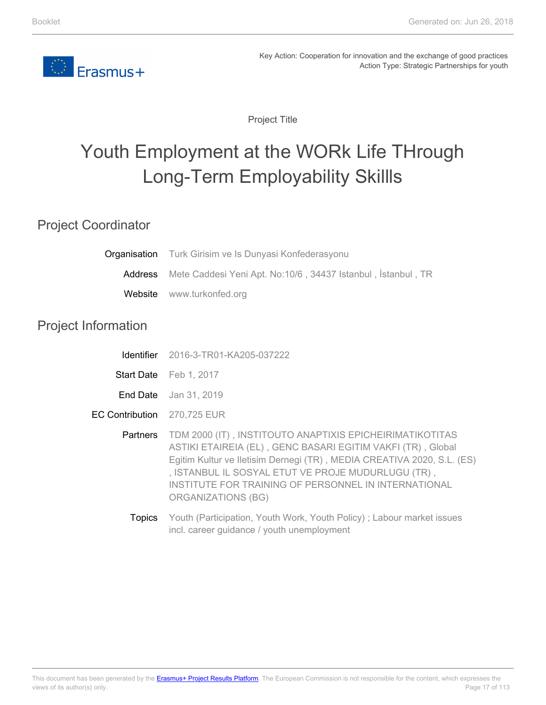<span id="page-16-0"></span>

Project Title

# Youth Employment at the WORk Life THrough Long-Term Employability Skillls

#### Project Coordinator

|                             | <b>Organisation</b> Turk Girisim ve Is Dunyasi Konfederasyonu                                                                                                                                                                                                                                                                                |
|-----------------------------|----------------------------------------------------------------------------------------------------------------------------------------------------------------------------------------------------------------------------------------------------------------------------------------------------------------------------------------------|
| Address                     | Mete Caddesi Yeni Apt. No:10/6, 34437 Istanbul, İstanbul, TR                                                                                                                                                                                                                                                                                 |
| Website                     | www.turkonfed.org                                                                                                                                                                                                                                                                                                                            |
| <b>Project Information</b>  |                                                                                                                                                                                                                                                                                                                                              |
| <b>Identifier</b>           | 2016-3-TR01-KA205-037222                                                                                                                                                                                                                                                                                                                     |
|                             | Start Date Feb 1, 2017                                                                                                                                                                                                                                                                                                                       |
|                             | <b>End Date</b> Jan 31, 2019                                                                                                                                                                                                                                                                                                                 |
| EC Contribution 270,725 EUR |                                                                                                                                                                                                                                                                                                                                              |
| <b>Partners</b>             | TDM 2000 (IT), INSTITOUTO ANAPTIXIS EPICHEIRIMATIKOTITAS<br>ASTIKI ETAIREIA (EL), GENC BASARI EGITIM VAKFI (TR), Global<br>Egitim Kultur ve Iletisim Dernegi (TR), MEDIA CREATIVA 2020, S.L. (ES)<br>, ISTANBUL IL SOSYAL ETUT VE PROJE MUDURLUGU (TR),<br>INSTITUTE FOR TRAINING OF PERSONNEL IN INTERNATIONAL<br><b>ORGANIZATIONS (BG)</b> |
| <b>Topics</b>               | Youth (Participation, Youth Work, Youth Policy); Labour market issues                                                                                                                                                                                                                                                                        |

incl. career guidance / youth unemployment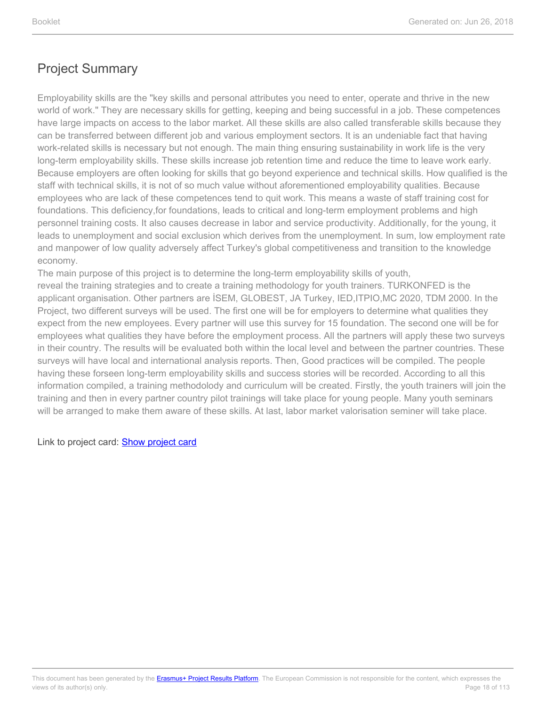Employability skills are the "key skills and personal attributes you need to enter, operate and thrive in the new world of work." They are necessary skills for getting, keeping and being successful in a job. These competences have large impacts on access to the labor market. All these skills are also called transferable skills because they can be transferred between different job and various employment sectors. It is an undeniable fact that having work-related skills is necessary but not enough. The main thing ensuring sustainability in work life is the very long-term employability skills. These skills increase job retention time and reduce the time to leave work early. Because employers are often looking for skills that go beyond experience and technical skills. How qualified is the staff with technical skills, it is not of so much value without aforementioned employability qualities. Because employees who are lack of these competences tend to quit work. This means a waste of staff training cost for foundations. This deficiency,for foundations, leads to critical and long-term employment problems and high personnel training costs. It also causes decrease in labor and service productivity. Additionally, for the young, it leads to unemployment and social exclusion which derives from the unemployment. In sum, low employment rate and manpower of low quality adversely affect Turkey's global competitiveness and transition to the knowledge economy.

The main purpose of this project is to determine the long-term employability skills of youth, reveal the training strategies and to create a training methodology for youth trainers. TURKONFED is the applicant organisation. Other partners are İSEM, GLOBEST, JA Turkey, IED,ITPIO,MC 2020, TDM 2000. In the Project, two different surveys will be used. The first one will be for employers to determine what qualities they expect from the new employees. Every partner will use this survey for 15 foundation. The second one will be for employees what qualities they have before the employment process. All the partners will apply these two surveys in their country. The results will be evaluated both within the local level and between the partner countries. These surveys will have local and international analysis reports. Then, Good practices will be compiled. The people having these forseen long-term employability skills and success stories will be recorded. According to all this information compiled, a training methodolody and curriculum will be created. Firstly, the youth trainers will join the training and then in every partner country pilot trainings will take place for young people. Many youth seminars will be arranged to make them aware of these skills. At last, labor market valorisation seminer will take place.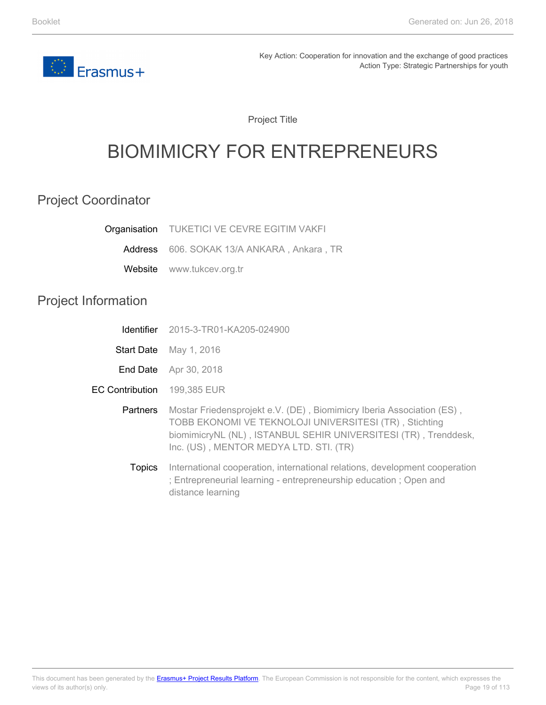<span id="page-18-0"></span>

Project Title

# BIOMIMICRY FOR ENTREPRENEURS

### Project Coordinator

| <b>Organisation</b> TUKETICI VE CEVRE EGITIM VAKFI |
|----------------------------------------------------|
| Address 606. SOKAK 13/A ANKARA, Ankara, TR         |
| Website www.tukcev.org.tr                          |
|                                                    |

# Project Information

|                 | <b>Identifier</b> 2015-3-TR01-KA205-024900                                                                                                                                                                                                   |
|-----------------|----------------------------------------------------------------------------------------------------------------------------------------------------------------------------------------------------------------------------------------------|
|                 | <b>Start Date</b> May 1, 2016                                                                                                                                                                                                                |
| End Date        | Apr 30, 2018                                                                                                                                                                                                                                 |
| EC Contribution | 199,385 EUR                                                                                                                                                                                                                                  |
| <b>Partners</b> | Mostar Friedensprojekt e.V. (DE), Biomimicry Iberia Association (ES),<br>TOBB EKONOMI VE TEKNOLOJI UNIVERSITESI (TR), Stichting<br>biomimicryNL (NL), ISTANBUL SEHIR UNIVERSITESI (TR), Trenddesk,<br>Inc. (US), MENTOR MEDYA LTD. STI. (TR) |
| <b>Topics</b>   | International cooperation, international relations, development cooperation<br>; Entrepreneurial learning - entrepreneurship education ; Open and<br>distance learning                                                                       |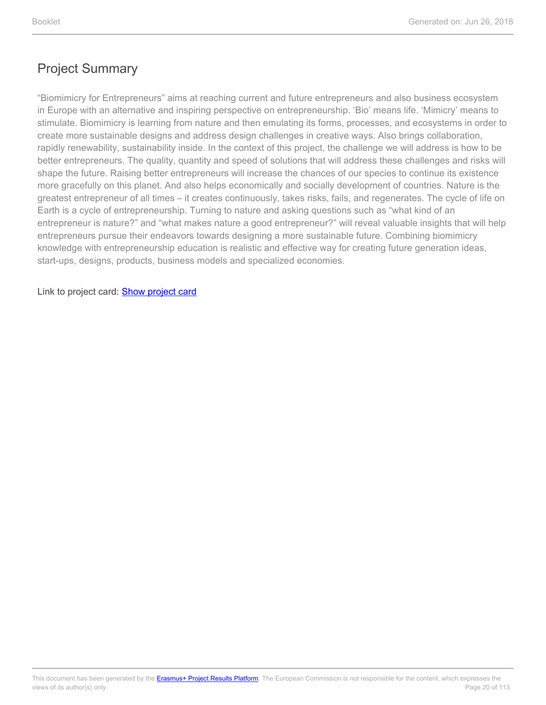"Biomimicry for Entrepreneurs" aims at reaching current and future entrepreneurs and also business ecosystem in Europe with an alternative and inspiring perspective on entrepreneurship. 'Bio' means life. 'Mimicry' means to stimulate. Biomimicry is learning from nature and then emulating its forms, processes, and ecosystems in order to create more sustainable designs and address design challenges in creative ways. Also brings collaboration, rapidly renewability, sustainability inside. In the context of this project, the challenge we will address is how to be better entrepreneurs. The quality, quantity and speed of solutions that will address these challenges and risks will shape the future. Raising better entrepreneurs will increase the chances of our species to continue its existence more gracefully on this planet. And also helps economically and socially development of countries. Nature is the greatest entrepreneur of all times – it creates continuously, takes risks, fails, and regenerates. The cycle of life on Earth is a cycle of entrepreneurship. Turning to nature and asking questions such as "what kind of an entrepreneur is nature?" and "what makes nature a good entrepreneur?" will reveal valuable insights that will help entrepreneurs pursue their endeavors towards designing a more sustainable future. Combining biomimicry knowledge with entrepreneurship education is realistic and effective way for creating future generation ideas, start-ups, designs, products, business models and specialized economies.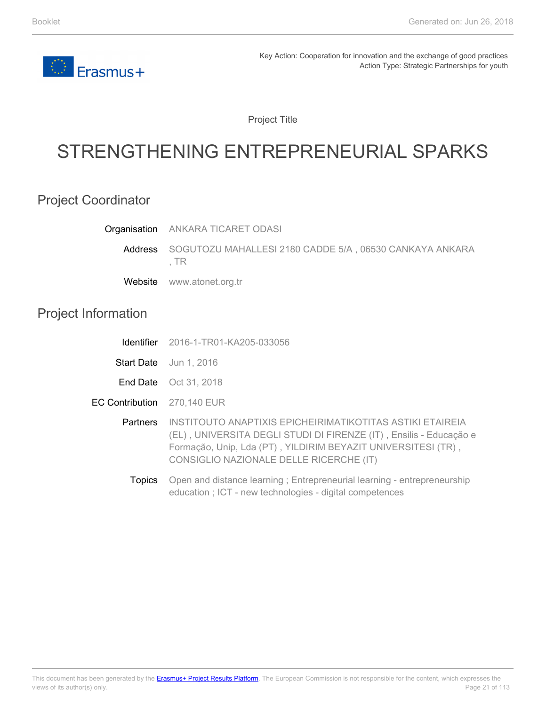

Project Title

# <span id="page-20-0"></span>STRENGTHENING ENTREPRENEURIAL SPARKS

### Project Coordinator

|                            | Organisation ANKARA TICARET ODASI                                                                                                                                                                                                           |
|----------------------------|---------------------------------------------------------------------------------------------------------------------------------------------------------------------------------------------------------------------------------------------|
| Address                    | SOGUTOZU MAHALLESI 2180 CADDE 5/A, 06530 CANKAYA ANKARA<br>, TR                                                                                                                                                                             |
| Website                    | www.atonet.org.tr                                                                                                                                                                                                                           |
| <b>Project Information</b> |                                                                                                                                                                                                                                             |
| Identifier                 | 2016-1-TR01-KA205-033056                                                                                                                                                                                                                    |
|                            | Start Date Jun 1, 2016                                                                                                                                                                                                                      |
|                            | <b>End Date</b> Oct 31, 2018                                                                                                                                                                                                                |
| <b>EC Contribution</b>     | 270,140 EUR                                                                                                                                                                                                                                 |
| Partners                   | INSTITOUTO ANAPTIXIS EPICHEIRIMATIKOTITAS ASTIKI ETAIREIA<br>(EL), UNIVERSITA DEGLI STUDI DI FIRENZE (IT), Ensilis - Educação e<br>Formação, Unip, Lda (PT), YILDIRIM BEYAZIT UNIVERSITESI (TR),<br>CONSIGLIO NAZIONALE DELLE RICERCHE (IT) |
| <b>Topics</b>              | Open and distance learning; Entrepreneurial learning - entrepreneurship<br>education; ICT - new technologies - digital competences                                                                                                          |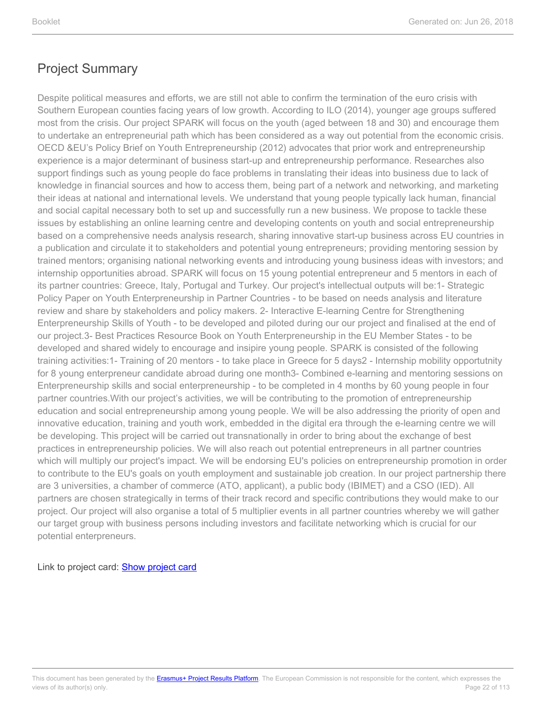Despite political measures and efforts, we are still not able to confirm the termination of the euro crisis with Southern European counties facing years of low growth. According to ILO (2014), younger age groups suffered most from the crisis. Our project SPARK will focus on the youth (aged between 18 and 30) and encourage them to undertake an entrepreneurial path which has been considered as a way out potential from the economic crisis. OECD &EU's Policy Brief on Youth Entrepreneurship (2012) advocates that prior work and entrepreneurship experience is a major determinant of business start-up and entrepreneurship performance. Researches also support findings such as young people do face problems in translating their ideas into business due to lack of knowledge in financial sources and how to access them, being part of a network and networking, and marketing their ideas at national and international levels. We understand that young people typically lack human, financial and social capital necessary both to set up and successfully run a new business. We propose to tackle these issues by establishing an online learning centre and developing contents on youth and social entrepreneurship based on a comprehensive needs analysis research, sharing innovative start-up business across EU countries in a publication and circulate it to stakeholders and potential young entrepreneurs; providing mentoring session by trained mentors; organising national networking events and introducing young business ideas with investors; and internship opportunities abroad. SPARK will focus on 15 young potential entrepreneur and 5 mentors in each of its partner countries: Greece, Italy, Portugal and Turkey. Our project's intellectual outputs will be:1- Strategic Policy Paper on Youth Enterpreneurship in Partner Countries - to be based on needs analysis and literature review and share by stakeholders and policy makers. 2- Interactive E-learning Centre for Strengthening Enterpreneurship Skills of Youth - to be developed and piloted during our our project and finalised at the end of our project.3- Best Practices Resource Book on Youth Enterpreneurship in the EU Member States - to be developed and shared widely to encourage and insipire young people. SPARK is consisted of the following training activities:1- Training of 20 mentors - to take place in Greece for 5 days2 - Internship mobility opportutnity for 8 young enterpreneur candidate abroad during one month3- Combined e-learning and mentoring sessions on Enterpreneurship skills and social enterpreneurship - to be completed in 4 months by 60 young people in four partner countries.With our project's activities, we will be contributing to the promotion of entrepreneurship education and social entrepreneurship among young people. We will be also addressing the priority of open and innovative education, training and youth work, embedded in the digital era through the e-learning centre we will be developing. This project will be carried out transnationally in order to bring about the exchange of best practices in entrepreneurship policies. We will also reach out potential entrepreneurs in all partner countries which will multiply our project's impact. We will be endorsing EU's policies on entrepreneurship promotion in order to contribute to the EU's goals on youth employment and sustainable job creation. In our project partnership there are 3 universities, a chamber of commerce (ATO, applicant), a public body (IBIMET) and a CSO (IED). All partners are chosen strategically in terms of their track record and specific contributions they would make to our project. Our project will also organise a total of 5 multiplier events in all partner countries whereby we will gather our target group with business persons including investors and facilitate networking which is crucial for our potential enterpreneurs.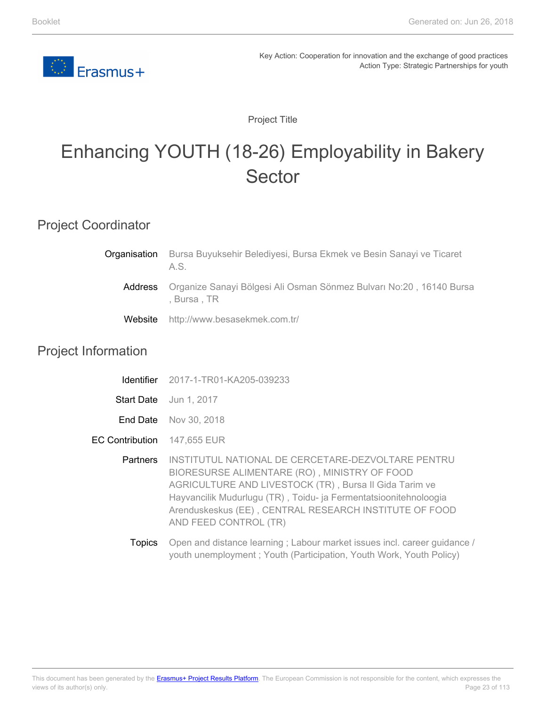

Project Title

# <span id="page-22-0"></span>Enhancing YOUTH (18-26) Employability in Bakery Sector

#### Project Coordinator

| Organisation | Bursa Buyuksehir Belediyesi, Bursa Ekmek ve Besin Sanayi ve Ticaret<br>A.S.         |
|--------------|-------------------------------------------------------------------------------------|
| Address      | Organize Sanayi Bölgesi Ali Osman Sönmez Bulvarı No:20, 16140 Bursa<br>. Bursa . TR |
| Website      | http://www.besasekmek.com.tr/                                                       |

#### Project Information

|                                    | <b>Identifier</b> 2017-1-TR01-KA205-039233                                                                                                                                                                                                                                                                          |
|------------------------------------|---------------------------------------------------------------------------------------------------------------------------------------------------------------------------------------------------------------------------------------------------------------------------------------------------------------------|
|                                    | <b>Start Date</b> Jun 1, 2017                                                                                                                                                                                                                                                                                       |
|                                    | <b>End Date</b> Nov 30, 2018                                                                                                                                                                                                                                                                                        |
| <b>EC Contribution</b> 147,655 EUR |                                                                                                                                                                                                                                                                                                                     |
| <b>Partners</b>                    | INSTITUTUL NATIONAL DE CERCETARE-DEZVOLTARE PENTRU<br>BIORESURSE ALIMENTARE (RO), MINISTRY OF FOOD<br>AGRICULTURE AND LIVESTOCK (TR), Bursa II Gida Tarim ve<br>Hayvancilik Mudurlugu (TR), Toidu- ja Fermentatsioonitehnoloogia<br>Arenduskeskus (EE), CENTRAL RESEARCH INSTITUTE OF FOOD<br>AND FEED CONTROL (TR) |
| Topics                             | Open and distance learning; Labour market issues incl. career guidance /                                                                                                                                                                                                                                            |

youth unemployment ; Youth (Participation, Youth Work, Youth Policy)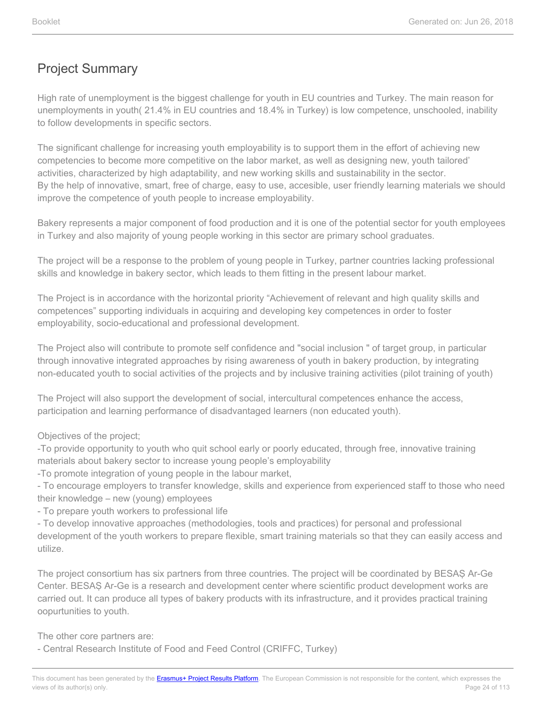High rate of unemployment is the biggest challenge for youth in EU countries and Turkey. The main reason for unemployments in youth( 21.4% in EU countries and 18.4% in Turkey) is low competence, unschooled, inability to follow developments in specific sectors.

The significant challenge for increasing youth employability is to support them in the effort of achieving new competencies to become more competitive on the labor market, as well as designing new, youth tailored' activities, characterized by high adaptability, and new working skills and sustainability in the sector. By the help of innovative, smart, free of charge, easy to use, accesible, user friendly learning materials we should improve the competence of youth people to increase employability.

Bakery represents a major component of food production and it is one of the potential sector for youth employees in Turkey and also majority of young people working in this sector are primary school graduates.

The project will be a response to the problem of young people in Turkey, partner countries lacking professional skills and knowledge in bakery sector, which leads to them fitting in the present labour market.

The Project is in accordance with the horizontal priority "Achievement of relevant and high quality skills and competences" supporting individuals in acquiring and developing key competences in order to foster employability, socio-educational and professional development.

The Project also will contribute to promote self confidence and "social inclusion " of target group, in particular through innovative integrated approaches by rising awareness of youth in bakery production, by integrating non-educated youth to social activities of the projects and by inclusive training activities (pilot training of youth)

The Project will also support the development of social, intercultural competences enhance the access, participation and learning performance of disadvantaged learners (non educated youth).

Objectives of the project;

-To provide opportunity to youth who quit school early or poorly educated, through free, innovative training materials about bakery sector to increase young people's employability

-To promote integration of young people in the labour market,

- To encourage employers to transfer knowledge, skills and experience from experienced staff to those who need their knowledge – new (young) employees

- To prepare youth workers to professional life

- To develop innovative approaches (methodologies, tools and practices) for personal and professional development of the youth workers to prepare flexible, smart training materials so that they can easily access and utilize.

The project consortium has six partners from three countries. The project will be coordinated by BESAŞ Ar-Ge Center. BESAŞ Ar-Ge is a research and development center where scientific product development works are carried out. It can produce all types of bakery products with its infrastructure, and it provides practical training oopurtunities to youth.

The other core partners are:

- Central Research Institute of Food and Feed Control (CRIFFC, Turkey)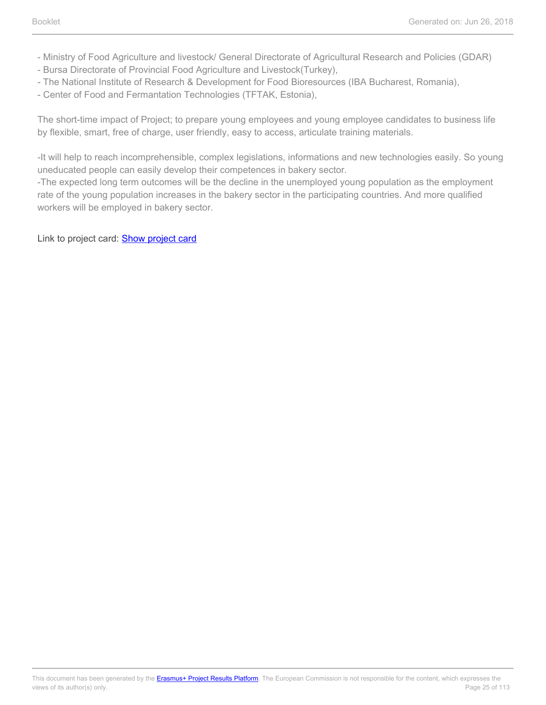- Ministry of Food Agriculture and livestock/ General Directorate of Agricultural Research and Policies (GDAR)
- Bursa Directorate of Provincial Food Agriculture and Livestock(Turkey),
- The National Institute of Research & Development for Food Bioresources (IBA Bucharest, Romania),
- Center of Food and Fermantation Technologies (TFTAK, Estonia),

The short-time impact of Project; to prepare young employees and young employee candidates to business life by flexible, smart, free of charge, user friendly, easy to access, articulate training materials.

-It will help to reach incomprehensible, complex legislations, informations and new technologies easily. So young uneducated people can easily develop their competences in bakery sector.

-The expected long term outcomes will be the decline in the unemployed young population as the employment rate of the young population increases in the bakery sector in the participating countries. And more qualified workers will be employed in bakery sector.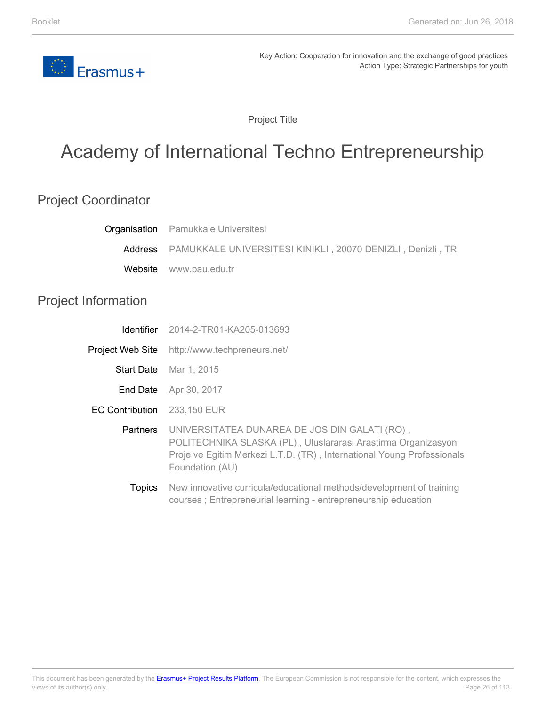

Project Title

# <span id="page-25-0"></span>Academy of International Techno Entrepreneurship

### Project Coordinator

|                            | <b>Organisation</b> Pamukkale Universitesi                                                                                                                                                                  |
|----------------------------|-------------------------------------------------------------------------------------------------------------------------------------------------------------------------------------------------------------|
|                            | Address PAMUKKALE UNIVERSITESI KINIKLI, 20070 DENIZLI, Denizli, TR                                                                                                                                          |
| Website                    | www.pau.edu.tr                                                                                                                                                                                              |
| <b>Project Information</b> |                                                                                                                                                                                                             |
| <b>Identifier</b>          | 2014-2-TR01-KA205-013693                                                                                                                                                                                    |
|                            | <b>Project Web Site</b> http://www.techpreneurs.net/                                                                                                                                                        |
| <b>Start Date</b>          | Mar 1, 2015                                                                                                                                                                                                 |
| End Date                   | Apr 30, 2017                                                                                                                                                                                                |
| <b>EC Contribution</b>     | 233,150 EUR                                                                                                                                                                                                 |
| Partners                   | UNIVERSITATEA DUNAREA DE JOS DIN GALATI (RO),<br>POLITECHNIKA SLASKA (PL), Uluslararasi Arastirma Organizasyon<br>Proje ve Egitim Merkezi L.T.D. (TR), International Young Professionals<br>Foundation (AU) |
|                            | $\mathsf{T}$ aataa $\top$ Marriso on milimeta milimeta dinastia osala astalada lalamata osalada aftus istori                                                                                                |

Topics New innovative curricula/educational methods/development of training courses ; Entrepreneurial learning - entrepreneurship education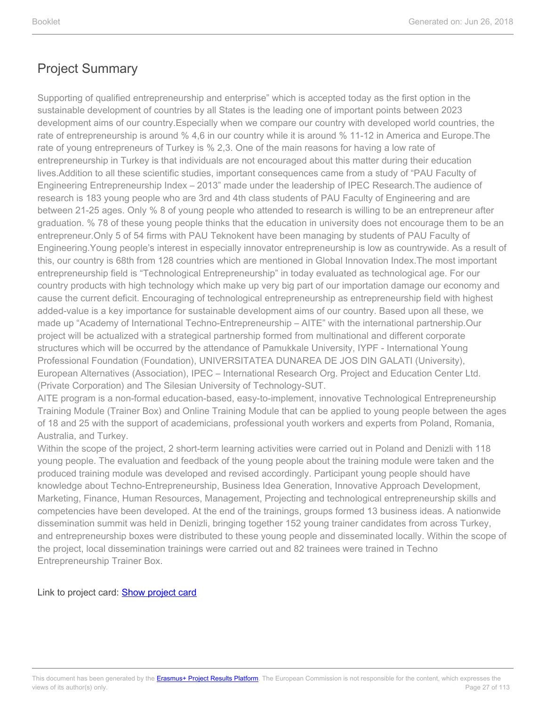Supporting of qualified entrepreneurship and enterprise" which is accepted today as the first option in the sustainable development of countries by all States is the leading one of important points between 2023 development aims of our country.Especially when we compare our country with developed world countries, the rate of entrepreneurship is around % 4,6 in our country while it is around % 11-12 in America and Europe.The rate of young entrepreneurs of Turkey is % 2,3. One of the main reasons for having a low rate of entrepreneurship in Turkey is that individuals are not encouraged about this matter during their education lives.Addition to all these scientific studies, important consequences came from a study of "PAU Faculty of Engineering Entrepreneurship Index – 2013" made under the leadership of IPEC Research.The audience of research is 183 young people who are 3rd and 4th class students of PAU Faculty of Engineering and are between 21-25 ages. Only % 8 of young people who attended to research is willing to be an entrepreneur after graduation. % 78 of these young people thinks that the education in university does not encourage them to be an entrepreneur.Only 5 of 54 firms with PAU Teknokent have been managing by students of PAU Faculty of Engineering.Young people's interest in especially innovator entrepreneurship is low as countrywide. As a result of this, our country is 68th from 128 countries which are mentioned in Global Innovation Index.The most important entrepreneurship field is "Technological Entrepreneurship" in today evaluated as technological age. For our country products with high technology which make up very big part of our importation damage our economy and cause the current deficit. Encouraging of technological entrepreneurship as entrepreneurship field with highest added-value is a key importance for sustainable development aims of our country. Based upon all these, we made up "Academy of International Techno-Entrepreneurship – AITE" with the international partnership.Our project will be actualized with a strategical partnership formed from multinational and different corporate structures which will be occurred by the attendance of Pamukkale University, IYPF - International Young Professional Foundation (Foundation), UNIVERSITATEA DUNAREA DE JOS DIN GALATI (University), European Alternatives (Association), IPEC – International Research Org. Project and Education Center Ltd. (Private Corporation) and The Silesian University of Technology-SUT.

AITE program is a non-formal education-based, easy-to-implement, innovative Technological Entrepreneurship Training Module (Trainer Box) and Online Training Module that can be applied to young people between the ages of 18 and 25 with the support of academicians, professional youth workers and experts from Poland, Romania, Australia, and Turkey.

Within the scope of the project, 2 short-term learning activities were carried out in Poland and Denizli with 118 young people. The evaluation and feedback of the young people about the training module were taken and the produced training module was developed and revised accordingly. Participant young people should have knowledge about Techno-Entrepreneurship, Business Idea Generation, Innovative Approach Development, Marketing, Finance, Human Resources, Management, Projecting and technological entrepreneurship skills and competencies have been developed. At the end of the trainings, groups formed 13 business ideas. A nationwide dissemination summit was held in Denizli, bringing together 152 young trainer candidates from across Turkey, and entrepreneurship boxes were distributed to these young people and disseminated locally. Within the scope of the project, local dissemination trainings were carried out and 82 trainees were trained in Techno Entrepreneurship Trainer Box.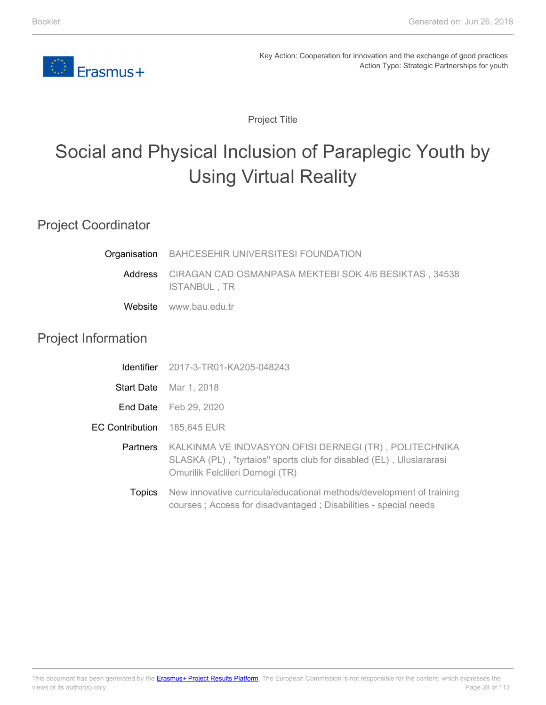

Project Title

# <span id="page-27-0"></span>Social and Physical Inclusion of Paraplegic Youth by Using Virtual Reality

#### Project Coordinator

| Organisation BAHCESEHIR UNIVERSITESI FOUNDATION                              |
|------------------------------------------------------------------------------|
| Address CIRAGAN CAD OSMANPASA MEKTEBI SOK 4/6 BESIKTAS, 34538<br>ISTANBUL.TR |

**Website** www.bau.edu.tr

#### Project Information

| Identifier | 2017-3-TR01-KA205-048243 |
|------------|--------------------------|
|------------|--------------------------|

- Start Date Mar 1, 2018
- **End Date** Feb 29, 2020
- EC Contribution 185,645 EUR
	- **Partners** KALKINMA VE INOVASYON OFISI DERNEGI (TR) , POLITECHNIKA SLASKA (PL) , "tyrtaios" sports club for disabled (EL) , Uluslararasi Omurilik Felclileri Dernegi (TR)
		- **Topics** New innovative curricula/educational methods/development of training courses ; Access for disadvantaged ; Disabilities - special needs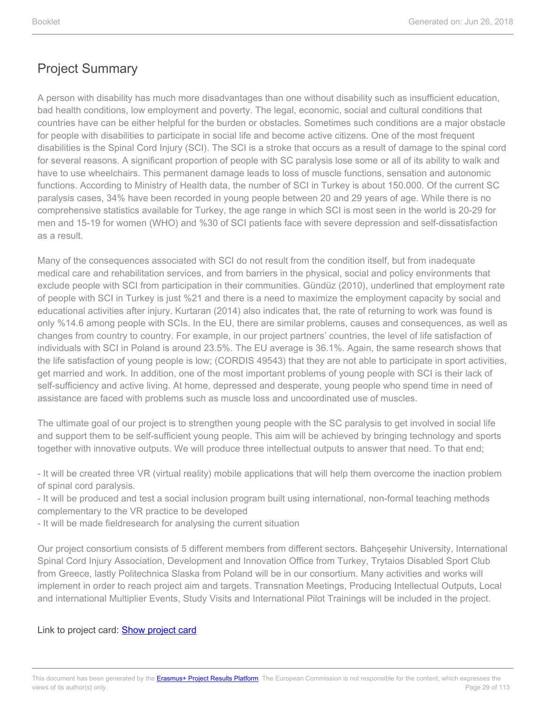A person with disability has much more disadvantages than one without disability such as insufficient education, bad health conditions, low employment and poverty. The legal, economic, social and cultural conditions that countries have can be either helpful for the burden or obstacles. Sometimes such conditions are a major obstacle for people with disabilities to participate in social life and become active citizens. One of the most frequent disabilities is the Spinal Cord Injury (SCI). The SCI is a stroke that occurs as a result of damage to the spinal cord for several reasons. A significant proportion of people with SC paralysis lose some or all of its ability to walk and have to use wheelchairs. This permanent damage leads to loss of muscle functions, sensation and autonomic functions. According to Ministry of Health data, the number of SCI in Turkey is about 150.000. Of the current SC paralysis cases, 34% have been recorded in young people between 20 and 29 years of age. While there is no comprehensive statistics available for Turkey, the age range in which SCI is most seen in the world is 20-29 for men and 15-19 for women (WHO) and %30 of SCI patients face with severe depression and self-dissatisfaction as a result.

Many of the consequences associated with SCI do not result from the condition itself, but from inadequate medical care and rehabilitation services, and from barriers in the physical, social and policy environments that exclude people with SCI from participation in their communities. Gündüz (2010), underlined that employment rate of people with SCI in Turkey is just %21 and there is a need to maximize the employment capacity by social and educational activities after injury. Kurtaran (2014) also indicates that, the rate of returning to work was found is only %14.6 among people with SCIs. In the EU, there are similar problems, causes and consequences, as well as changes from country to country. For example, in our project partners' countries, the level of life satisfaction of individuals with SCI in Poland is around 23.5%. The EU average is 36.1%. Again, the same research shows that the life satisfaction of young people is low; (CORDIS 49543) that they are not able to participate in sport activities, get married and work. In addition, one of the most important problems of young people with SCI is their lack of self-sufficiency and active living. At home, depressed and desperate, young people who spend time in need of assistance are faced with problems such as muscle loss and uncoordinated use of muscles.

The ultimate goal of our project is to strengthen young people with the SC paralysis to get involved in social life and support them to be self-sufficient young people. This aim will be achieved by bringing technology and sports together with innovative outputs. We will produce three intellectual outputs to answer that need. To that end;

- It will be created three VR (virtual reality) mobile applications that will help them overcome the inaction problem of spinal cord paralysis.

- It will be produced and test a social inclusion program built using international, non-formal teaching methods complementary to the VR practice to be developed

- It will be made fieldresearch for analysing the current situation

Our project consortium consists of 5 different members from different sectors. Bahçeşehir University, International Spinal Cord Injury Association, Development and Innovation Office from Turkey, Trytaios Disabled Sport Club from Greece, lastly Politechnica Slaska from Poland will be in our consortium. Many activities and works will implement in order to reach project aim and targets. Transnation Meetings, Producing Intellectual Outputs, Local and international Multiplier Events, Study Visits and International Pilot Trainings will be included in the project.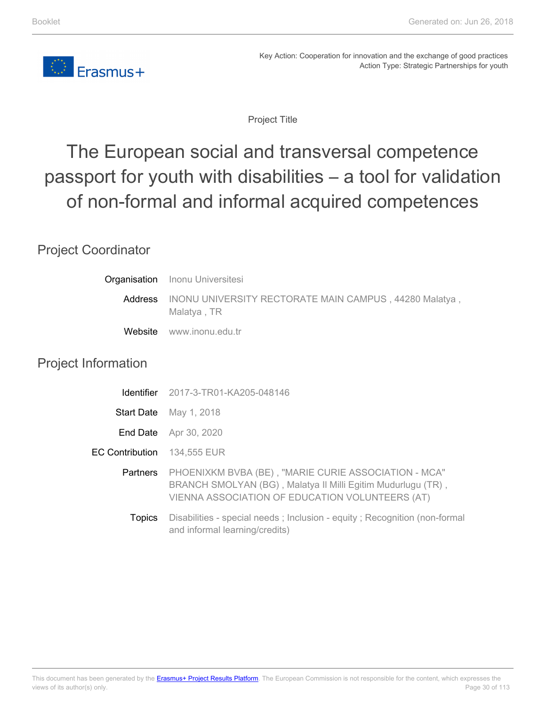

Project Title

# <span id="page-29-0"></span>The European social and transversal competence passport for youth with disabilities – a tool for validation of non-formal and informal acquired competences

### Project Coordinator

| Organisation               | <b>Inonu Universitesi</b>                                                                                                                                                        |
|----------------------------|----------------------------------------------------------------------------------------------------------------------------------------------------------------------------------|
| Address                    | INONU UNIVERSITY RECTORATE MAIN CAMPUS, 44280 Malatya,<br>Malatya, TR                                                                                                            |
|                            | Website www.inonu.edu.tr                                                                                                                                                         |
| <b>Project Information</b> |                                                                                                                                                                                  |
| <b>Identifier</b>          | 2017-3-TR01-KA205-048146                                                                                                                                                         |
| <b>Start Date</b>          | May 1, 2018                                                                                                                                                                      |
|                            | <b>End Date</b> Apr 30, 2020                                                                                                                                                     |
| <b>EC Contribution</b>     | 134,555 EUR                                                                                                                                                                      |
|                            | Partners PHOENIXKM BVBA (BE), "MARIE CURIE ASSOCIATION - MCA"<br>BRANCH SMOLYAN (BG), Malatya II Milli Egitim Mudurlugu (TR),<br>VIENNA ASSOCIATION OF EDUCATION VOLUNTEERS (AT) |
| <b>Topics</b>              | Disabilities - special needs; Inclusion - equity; Recognition (non-formal<br>and informal learning/credits)                                                                      |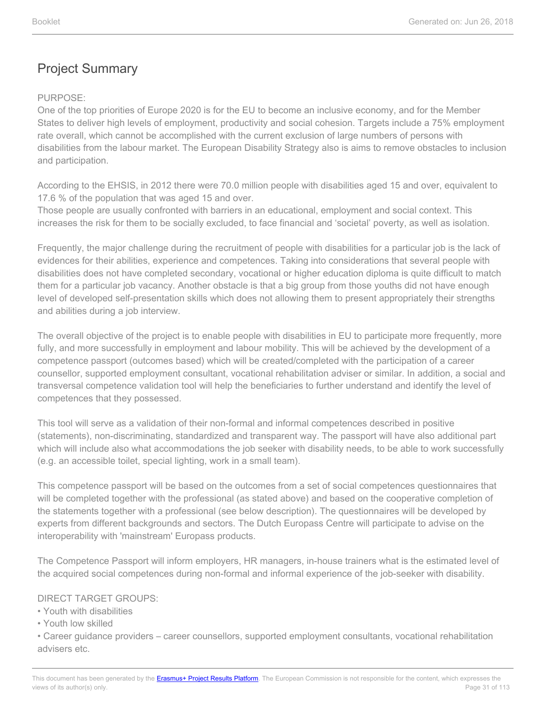#### PURPOSE:

One of the top priorities of Europe 2020 is for the EU to become an inclusive economy, and for the Member States to deliver high levels of employment, productivity and social cohesion. Targets include a 75% employment rate overall, which cannot be accomplished with the current exclusion of large numbers of persons with disabilities from the labour market. The European Disability Strategy also is aims to remove obstacles to inclusion and participation.

According to the EHSIS, in 2012 there were 70.0 million people with disabilities aged 15 and over, equivalent to 17.6 % of the population that was aged 15 and over.

Those people are usually confronted with barriers in an educational, employment and social context. This increases the risk for them to be socially excluded, to face financial and 'societal' poverty, as well as isolation.

Frequently, the major challenge during the recruitment of people with disabilities for a particular job is the lack of evidences for their abilities, experience and competences. Taking into considerations that several people with disabilities does not have completed secondary, vocational or higher education diploma is quite difficult to match them for a particular job vacancy. Another obstacle is that a big group from those youths did not have enough level of developed self-presentation skills which does not allowing them to present appropriately their strengths and abilities during a job interview.

The overall objective of the project is to enable people with disabilities in EU to participate more frequently, more fully, and more successfully in employment and labour mobility. This will be achieved by the development of a competence passport (outcomes based) which will be created/completed with the participation of a career counsellor, supported employment consultant, vocational rehabilitation adviser or similar. In addition, a social and transversal competence validation tool will help the beneficiaries to further understand and identify the level of competences that they possessed.

This tool will serve as a validation of their non-formal and informal competences described in positive (statements), non-discriminating, standardized and transparent way. The passport will have also additional part which will include also what accommodations the job seeker with disability needs, to be able to work successfully (e.g. an accessible toilet, special lighting, work in a small team).

This competence passport will be based on the outcomes from a set of social competences questionnaires that will be completed together with the professional (as stated above) and based on the cooperative completion of the statements together with a professional (see below description). The questionnaires will be developed by experts from different backgrounds and sectors. The Dutch Europass Centre will participate to advise on the interoperability with 'mainstream' Europass products.

The Competence Passport will inform employers, HR managers, in-house trainers what is the estimated level of the acquired social competences during non-formal and informal experience of the job-seeker with disability.

#### DIRECT TARGET GROUPS:

• Youth with disabilities

• Youth low skilled

• Career guidance providers – career counsellors, supported employment consultants, vocational rehabilitation advisers etc.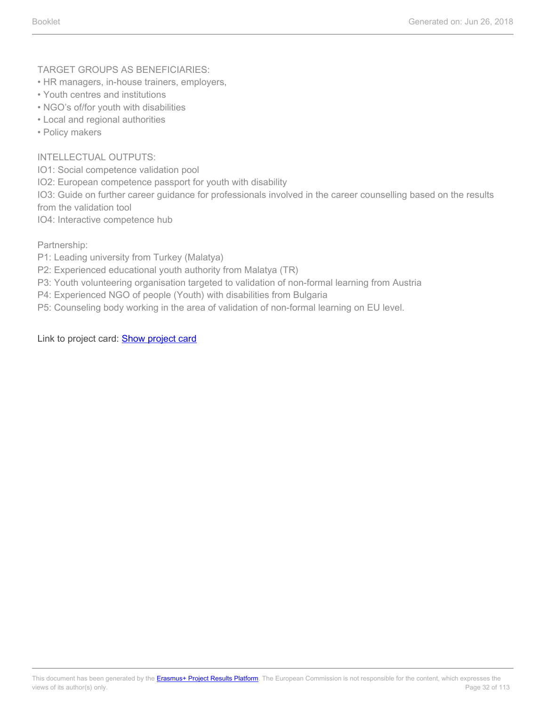TARGET GROUPS AS BENEFICIARIES:

- HR managers, in-house trainers, employers,
- Youth centres and institutions
- NGO's of/for youth with disabilities
- Local and regional authorities
- Policy makers

#### INTELLECTUAL OUTPUTS:

IO1: Social competence validation pool

IO2: European competence passport for youth with disability

IO3: Guide on further career guidance for professionals involved in the career counselling based on the results from the validation tool

IO4: Interactive competence hub

Partnership:

- P1: Leading university from Turkey (Malatya)
- P2: Experienced educational youth authority from Malatya (TR)
- P3: Youth volunteering organisation targeted to validation of non-formal learning from Austria
- P4: Experienced NGO of people (Youth) with disabilities from Bulgaria
- P5: Counseling body working in the area of validation of non-formal learning on EU level.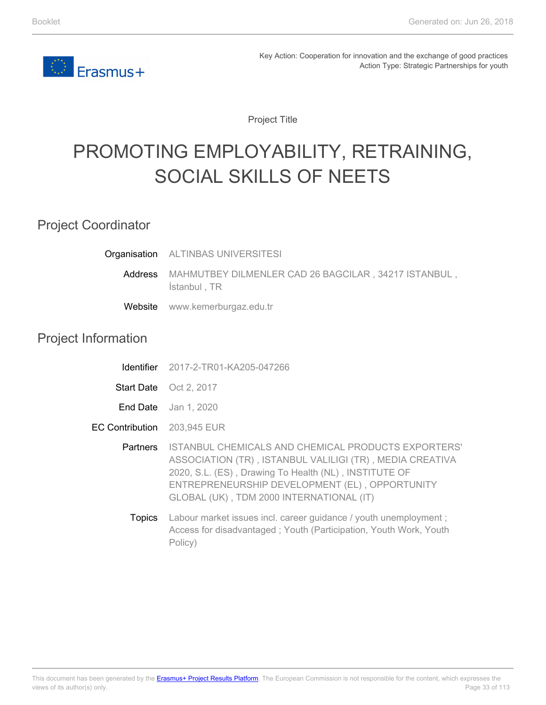<span id="page-32-0"></span>

Project Title

# PROMOTING EMPLOYABILITY, RETRAINING, SOCIAL SKILLS OF NEETS

#### Project Coordinator

**Organisation** ALTINBAS UNIVERSITESI

> Address MAHMUTBEY DILMENLER CAD 26 BAGCILAR , 34217 ISTANBUL , İstanbul , TR

Website www.kemerburgaz.edu.tr

#### Project Information

- Identifier 2017-2-TR01-KA205-047266
- Start Date Oct 2, 2017
- **End Date** Jan 1, 2020
- EC Contribution 203,945 EUR
	- **Partners** ISTANBUL CHEMICALS AND CHEMICAL PRODUCTS EXPORTERS' ASSOCIATION (TR) , ISTANBUL VALILIGI (TR) , MEDIA CREATIVA 2020, S.L. (ES) , Drawing To Health (NL) , INSTITUTE OF ENTREPRENEURSHIP DEVELOPMENT (EL) , OPPORTUNITY GLOBAL (UK) , TDM 2000 INTERNATIONAL (IT)
		- **Topics** Labour market issues incl. career guidance / youth unemployment; Access for disadvantaged ; Youth (Participation, Youth Work, Youth Policy)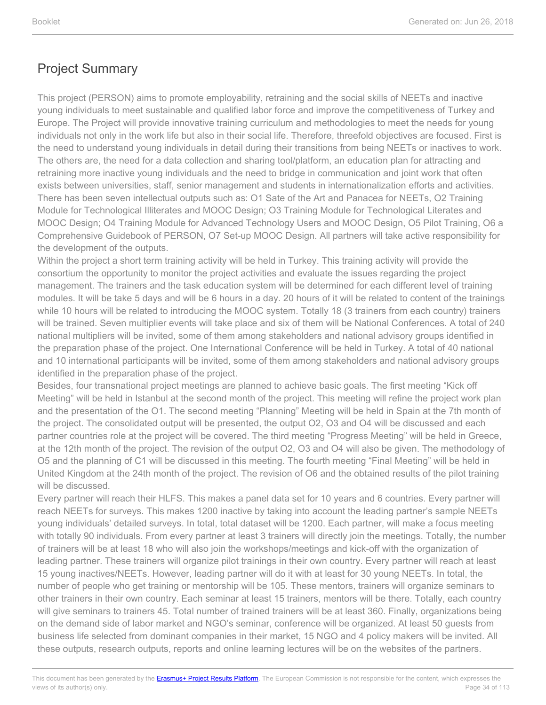This project (PERSON) aims to promote employability, retraining and the social skills of NEETs and inactive young individuals to meet sustainable and qualified labor force and improve the competitiveness of Turkey and Europe. The Project will provide innovative training curriculum and methodologies to meet the needs for young individuals not only in the work life but also in their social life. Therefore, threefold objectives are focused. First is the need to understand young individuals in detail during their transitions from being NEETs or inactives to work. The others are, the need for a data collection and sharing tool/platform, an education plan for attracting and retraining more inactive young individuals and the need to bridge in communication and joint work that often exists between universities, staff, senior management and students in internationalization efforts and activities. There has been seven intellectual outputs such as: O1 Sate of the Art and Panacea for NEETs, O2 Training Module for Technological Illiterates and MOOC Design; O3 Training Module for Technological Literates and MOOC Design; O4 Training Module for Advanced Technology Users and MOOC Design, O5 Pilot Training, O6 a Comprehensive Guidebook of PERSON, O7 Set-up MOOC Design. All partners will take active responsibility for the development of the outputs.

Within the project a short term training activity will be held in Turkey. This training activity will provide the consortium the opportunity to monitor the project activities and evaluate the issues regarding the project management. The trainers and the task education system will be determined for each different level of training modules. It will be take 5 days and will be 6 hours in a day. 20 hours of it will be related to content of the trainings while 10 hours will be related to introducing the MOOC system. Totally 18 (3 trainers from each country) trainers will be trained. Seven multiplier events will take place and six of them will be National Conferences. A total of 240 national multipliers will be invited, some of them among stakeholders and national advisory groups identified in the preparation phase of the project. One International Conference will be held in Turkey. A total of 40 national and 10 international participants will be invited, some of them among stakeholders and national advisory groups identified in the preparation phase of the project.

Besides, four transnational project meetings are planned to achieve basic goals. The first meeting "Kick off Meeting" will be held in Istanbul at the second month of the project. This meeting will refine the project work plan and the presentation of the O1. The second meeting "Planning" Meeting will be held in Spain at the 7th month of the project. The consolidated output will be presented, the output O2, O3 and O4 will be discussed and each partner countries role at the project will be covered. The third meeting "Progress Meeting" will be held in Greece, at the 12th month of the project. The revision of the output O2, O3 and O4 will also be given. The methodology of O5 and the planning of C1 will be discussed in this meeting. The fourth meeting "Final Meeting" will be held in United Kingdom at the 24th month of the project. The revision of O6 and the obtained results of the pilot training will be discussed.

Every partner will reach their HLFS. This makes a panel data set for 10 years and 6 countries. Every partner will reach NEETs for surveys. This makes 1200 inactive by taking into account the leading partner's sample NEETs young individuals' detailed surveys. In total, total dataset will be 1200. Each partner, will make a focus meeting with totally 90 individuals. From every partner at least 3 trainers will directly join the meetings. Totally, the number of trainers will be at least 18 who will also join the workshops/meetings and kick-off with the organization of leading partner. These trainers will organize pilot trainings in their own country. Every partner will reach at least 15 young inactives/NEETs. However, leading partner will do it with at least for 30 young NEETs. In total, the number of people who get training or mentorship will be 105. These mentors, trainers will organize seminars to other trainers in their own country. Each seminar at least 15 trainers, mentors will be there. Totally, each country will give seminars to trainers 45. Total number of trained trainers will be at least 360. Finally, organizations being on the demand side of labor market and NGO's seminar, conference will be organized. At least 50 guests from business life selected from dominant companies in their market, 15 NGO and 4 policy makers will be invited. All these outputs, research outputs, reports and online learning lectures will be on the websites of the partners.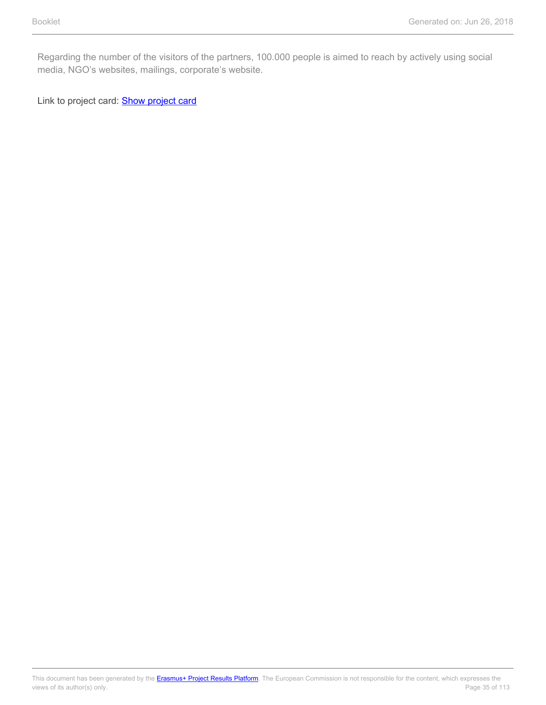Regarding the number of the visitors of the partners, 100.000 people is aimed to reach by actively using social media, NGO's websites, mailings, corporate's website.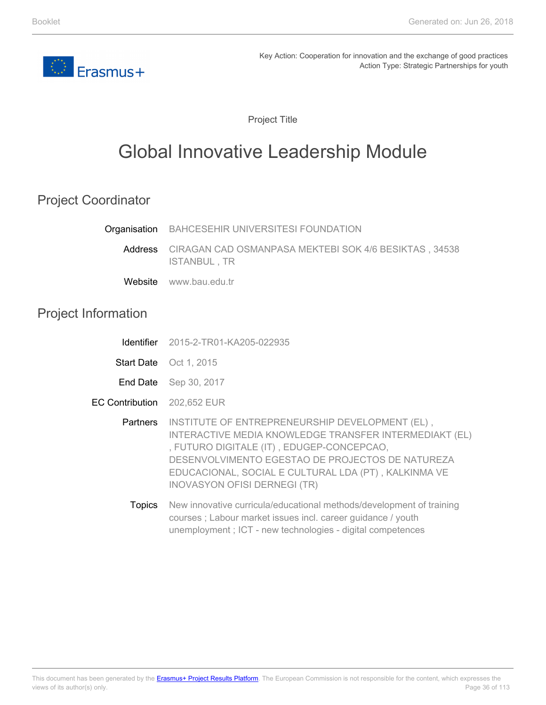<span id="page-35-0"></span>

Project Title

# Global Innovative Leadership Module

### Project Coordinator

|                            | Organisation BAHCESEHIR UNIVERSITESI FOUNDATION                                                                                                                                                                                                                                                                    |
|----------------------------|--------------------------------------------------------------------------------------------------------------------------------------------------------------------------------------------------------------------------------------------------------------------------------------------------------------------|
|                            | Address CIRAGAN CAD OSMANPASA MEKTEBI SOK 4/6 BESIKTAS, 34538<br>ISTANBUL, TR                                                                                                                                                                                                                                      |
|                            | Website www.bau.edu.tr                                                                                                                                                                                                                                                                                             |
| <b>Project Information</b> |                                                                                                                                                                                                                                                                                                                    |
|                            | <b>Identifier</b> 2015-2-TR01-KA205-022935                                                                                                                                                                                                                                                                         |
|                            | Start Date Oct 1, 2015                                                                                                                                                                                                                                                                                             |
|                            | End Date Sep 30, 2017                                                                                                                                                                                                                                                                                              |
| <b>EC Contribution</b>     | 202,652 EUR                                                                                                                                                                                                                                                                                                        |
|                            | Partners INSTITUTE OF ENTREPRENEURSHIP DEVELOPMENT (EL),<br>INTERACTIVE MEDIA KNOWLEDGE TRANSFER INTERMEDIAKT (EL)<br>, FUTURO DIGITALE (IT), EDUGEP-CONCEPCAO,<br>DESENVOLVIMENTO EGESTAO DE PROJECTOS DE NATUREZA<br>EDUCACIONAL, SOCIAL E CULTURAL LDA (PT), KALKINMA VE<br><b>INOVASYON OFISI DERNEGI (TR)</b> |
| <b>Topics</b>              | New innovative curricula/educational methods/development of training<br>courses; Labour market issues incl. career guidance / youth                                                                                                                                                                                |

unemployment ; ICT - new technologies - digital competences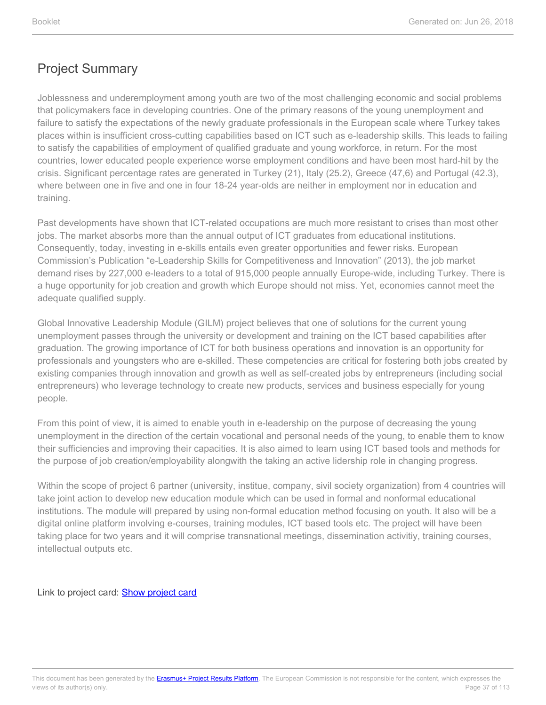Joblessness and underemployment among youth are two of the most challenging economic and social problems that policymakers face in developing countries. One of the primary reasons of the young unemployment and failure to satisfy the expectations of the newly graduate professionals in the European scale where Turkey takes places within is insufficient cross-cutting capabilities based on ICT such as e-leadership skills. This leads to failing to satisfy the capabilities of employment of qualified graduate and young workforce, in return. For the most countries, lower educated people experience worse employment conditions and have been most hard-hit by the crisis. Significant percentage rates are generated in Turkey (21), Italy (25.2), Greece (47,6) and Portugal (42.3), where between one in five and one in four 18-24 year-olds are neither in employment nor in education and training.

Past developments have shown that ICT-related occupations are much more resistant to crises than most other jobs. The market absorbs more than the annual output of ICT graduates from educational institutions. Consequently, today, investing in e-skills entails even greater opportunities and fewer risks. European Commission's Publication "e-Leadership Skills for Competitiveness and Innovation" (2013), the job market demand rises by 227,000 e-leaders to a total of 915,000 people annually Europe-wide, including Turkey. There is a huge opportunity for job creation and growth which Europe should not miss. Yet, economies cannot meet the adequate qualified supply.

Global Innovative Leadership Module (GILM) project believes that one of solutions for the current young unemployment passes through the university or development and training on the ICT based capabilities after graduation. The growing importance of ICT for both business operations and innovation is an opportunity for professionals and youngsters who are e-skilled. These competencies are critical for fostering both jobs created by existing companies through innovation and growth as well as self-created jobs by entrepreneurs (including social entrepreneurs) who leverage technology to create new products, services and business especially for young people.

From this point of view, it is aimed to enable youth in e-leadership on the purpose of decreasing the young unemployment in the direction of the certain vocational and personal needs of the young, to enable them to know their sufficiencies and improving their capacities. It is also aimed to learn using ICT based tools and methods for the purpose of job creation/employability alongwith the taking an active lidership role in changing progress.

Within the scope of project 6 partner (university, institue, company, sivil society organization) from 4 countries will take joint action to develop new education module which can be used in formal and nonformal educational institutions. The module will prepared by using non-formal education method focusing on youth. It also will be a digital online platform involving e-courses, training modules, ICT based tools etc. The project will have been taking place for two years and it will comprise transnational meetings, dissemination activitiy, training courses, intellectual outputs etc.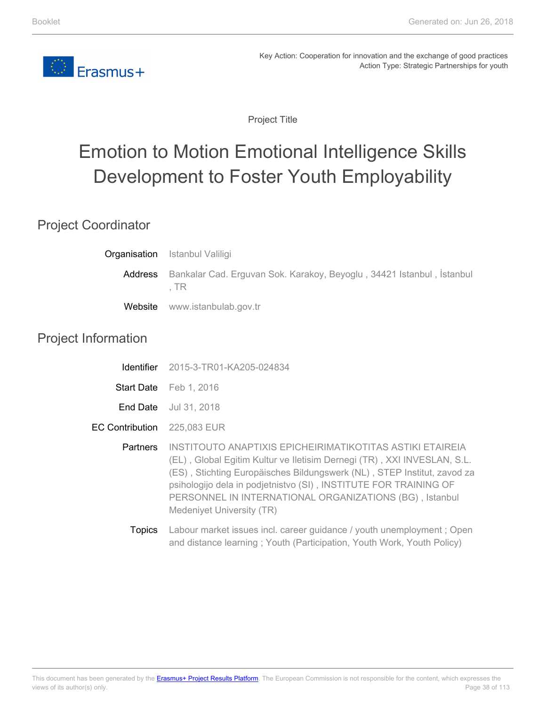

Project Title

# Emotion to Motion Emotional Intelligence Skills Development to Foster Youth Employability

### Project Coordinator

|         | <b>Organisation</b> Istanbul Valiligi                                          |
|---------|--------------------------------------------------------------------------------|
| Address | Bankalar Cad. Erguvan Sok. Karakoy, Beyoglu, 34421 Istanbul, Istanbul<br>. TR. |
|         | Website www.istanbulab.gov.tr                                                  |

### Project Information

| <u>Identifier</u>      | 2015-3-TR01-KA205-024834                                                                                                                                                                                                                                                                                                                                                    |
|------------------------|-----------------------------------------------------------------------------------------------------------------------------------------------------------------------------------------------------------------------------------------------------------------------------------------------------------------------------------------------------------------------------|
|                        | Start Date Feb 1, 2016                                                                                                                                                                                                                                                                                                                                                      |
| End Date               | Jul 31, 2018                                                                                                                                                                                                                                                                                                                                                                |
| <b>EC Contribution</b> | 225,083 EUR                                                                                                                                                                                                                                                                                                                                                                 |
| <b>Partners</b>        | INSTITOUTO ANAPTIXIS EPICHEIRIMATIKOTITAS ASTIKI ETAIREIA<br>(EL), Global Egitim Kultur ve Iletisim Dernegi (TR), XXI INVESLAN, S.L.<br>(ES), Stichting Europäisches Bildungswerk (NL), STEP Institut, zavod za<br>psihologijo dela in podjetnistvo (SI), INSTITUTE FOR TRAINING OF<br>PERSONNEL IN INTERNATIONAL ORGANIZATIONS (BG), Istanbul<br>Medeniyet University (TR) |
| Topics                 | Labour market issues incl. career guidance / youth unemployment; Open                                                                                                                                                                                                                                                                                                       |

and distance learning ; Youth (Participation, Youth Work, Youth Policy)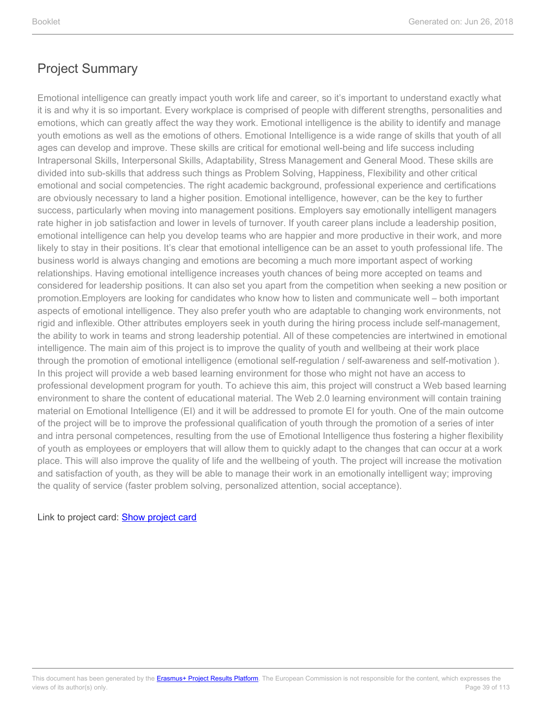Emotional intelligence can greatly impact youth work life and career, so it's important to understand exactly what it is and why it is so important. Every workplace is comprised of people with different strengths, personalities and emotions, which can greatly affect the way they work. Emotional intelligence is the ability to identify and manage youth emotions as well as the emotions of others. Emotional Intelligence is a wide range of skills that youth of all ages can develop and improve. These skills are critical for emotional well-being and life success including Intrapersonal Skills, Interpersonal Skills, Adaptability, Stress Management and General Mood. These skills are divided into sub-skills that address such things as Problem Solving, Happiness, Flexibility and other critical emotional and social competencies. The right academic background, professional experience and certifications are obviously necessary to land a higher position. Emotional intelligence, however, can be the key to further success, particularly when moving into management positions. Employers say emotionally intelligent managers rate higher in job satisfaction and lower in levels of turnover. If youth career plans include a leadership position, emotional intelligence can help you develop teams who are happier and more productive in their work, and more likely to stay in their positions. It's clear that emotional intelligence can be an asset to youth professional life. The business world is always changing and emotions are becoming a much more important aspect of working relationships. Having emotional intelligence increases youth chances of being more accepted on teams and considered for leadership positions. It can also set you apart from the competition when seeking a new position or promotion.Employers are looking for candidates who know how to listen and communicate well – both important aspects of emotional intelligence. They also prefer youth who are adaptable to changing work environments, not rigid and inflexible. Other attributes employers seek in youth during the hiring process include self-management, the ability to work in teams and strong leadership potential. All of these competencies are intertwined in emotional intelligence. The main aim of this project is to improve the quality of youth and wellbeing at their work place through the promotion of emotional intelligence (emotional self-regulation / self-awareness and self-motivation ). In this project will provide a web based learning environment for those who might not have an access to professional development program for youth. To achieve this aim, this project will construct a Web based learning environment to share the content of educational material. The Web 2.0 learning environment will contain training material on Emotional Intelligence (EI) and it will be addressed to promote EI for youth. One of the main outcome of the project will be to improve the professional qualification of youth through the promotion of a series of inter and intra personal competences, resulting from the use of Emotional Intelligence thus fostering a higher flexibility of youth as employees or employers that will allow them to quickly adapt to the changes that can occur at a work place. This will also improve the quality of life and the wellbeing of youth. The project will increase the motivation and satisfaction of youth, as they will be able to manage their work in an emotionally intelligent way; improving the quality of service (faster problem solving, personalized attention, social acceptance).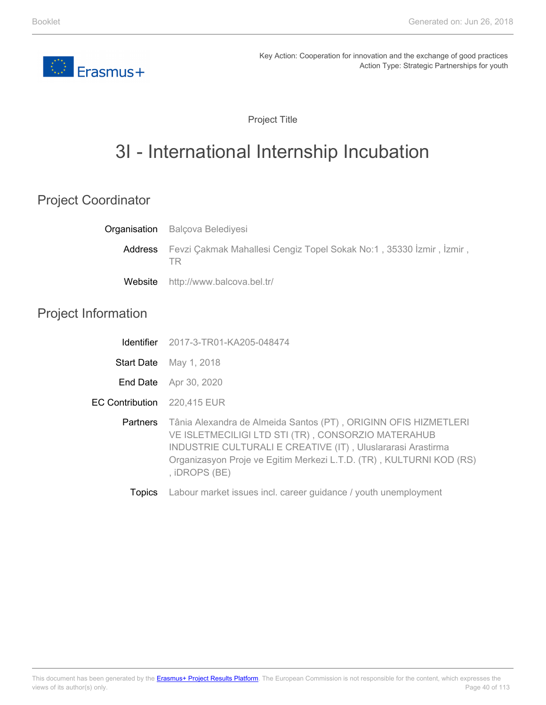

Project Title

# 3I - International Internship Incubation

## Project Coordinator

|                            | <b>Organisation</b> Balçova Belediyesi                                                                                                                                                                                                                                              |
|----------------------------|-------------------------------------------------------------------------------------------------------------------------------------------------------------------------------------------------------------------------------------------------------------------------------------|
| Address                    | Fevzi Çakmak Mahallesi Cengiz Topel Sokak No:1, 35330 İzmir, İzmir,<br>TR.                                                                                                                                                                                                          |
| Website                    | http://www.balcova.bel.tr/                                                                                                                                                                                                                                                          |
| <b>Project Information</b> |                                                                                                                                                                                                                                                                                     |
| <b>Identifier</b>          | 2017-3-TR01-KA205-048474                                                                                                                                                                                                                                                            |
| <b>Start Date</b>          | May 1, 2018                                                                                                                                                                                                                                                                         |
| End Date                   | Apr 30, 2020                                                                                                                                                                                                                                                                        |
| <b>EC Contribution</b>     | 220,415 EUR                                                                                                                                                                                                                                                                         |
| <b>Partners</b>            | Tânia Alexandra de Almeida Santos (PT), ORIGINN OFIS HIZMETLERI<br>VE ISLETMECILIGI LTD STI (TR), CONSORZIO MATERAHUB<br><b>INDUSTRIE CULTURALI E CREATIVE (IT), Uluslararasi Arastirma</b><br>Organizasyon Proje ve Egitim Merkezi L.T.D. (TR), KULTURNI KOD (RS)<br>, iDROPS (BE) |
|                            |                                                                                                                                                                                                                                                                                     |

Topics Labour market issues incl. career guidance / youth unemployment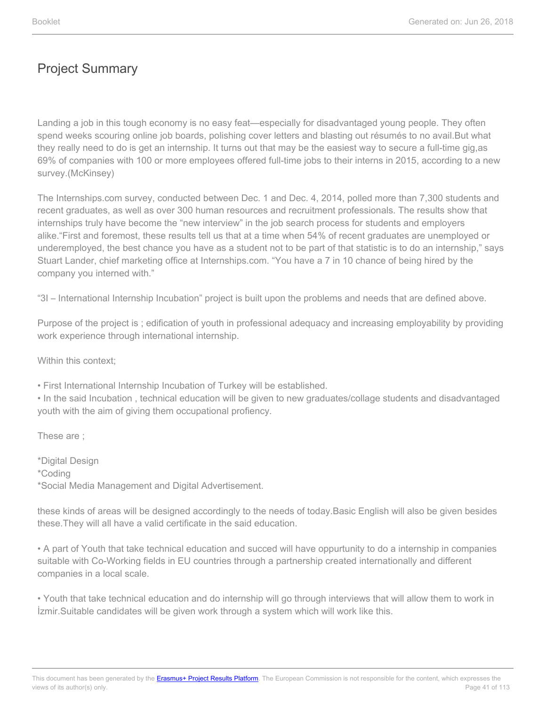Landing a job in this tough economy is no easy feat—especially for disadvantaged young people. They often spend weeks scouring online job boards, polishing cover letters and blasting out résumés to no avail.But what they really need to do is get an internship. It turns out that may be the easiest way to secure a full-time gig,as 69% of companies with 100 or more employees offered full-time jobs to their interns in 2015, according to a new survey.(McKinsey)

The Internships.com survey, conducted between Dec. 1 and Dec. 4, 2014, polled more than 7,300 students and recent graduates, as well as over 300 human resources and recruitment professionals. The results show that internships truly have become the "new interview" in the job search process for students and employers alike."First and foremost, these results tell us that at a time when 54% of recent graduates are unemployed or underemployed, the best chance you have as a student not to be part of that statistic is to do an internship," says Stuart Lander, chief marketing office at Internships.com. "You have a 7 in 10 chance of being hired by the company you interned with."

"3I – International Internship Incubation" project is built upon the problems and needs that are defined above.

Purpose of the project is ; edification of youth in professional adequacy and increasing employability by providing work experience through international internship.

Within this context:

• First International Internship Incubation of Turkey will be established.

• In the said Incubation , technical education will be given to new graduates/collage students and disadvantaged youth with the aim of giving them occupational profiency.

These are ;

\*Digital Design \*Coding \*Social Media Management and Digital Advertisement.

these kinds of areas will be designed accordingly to the needs of today.Basic English will also be given besides these.They will all have a valid certificate in the said education.

• A part of Youth that take technical education and succed will have oppurtunity to do a internship in companies suitable with Co-Working fields in EU countries through a partnership created internationally and different companies in a local scale.

• Youth that take technical education and do internship will go through interviews that will allow them to work in İzmir.Suitable candidates will be given work through a system which will work like this.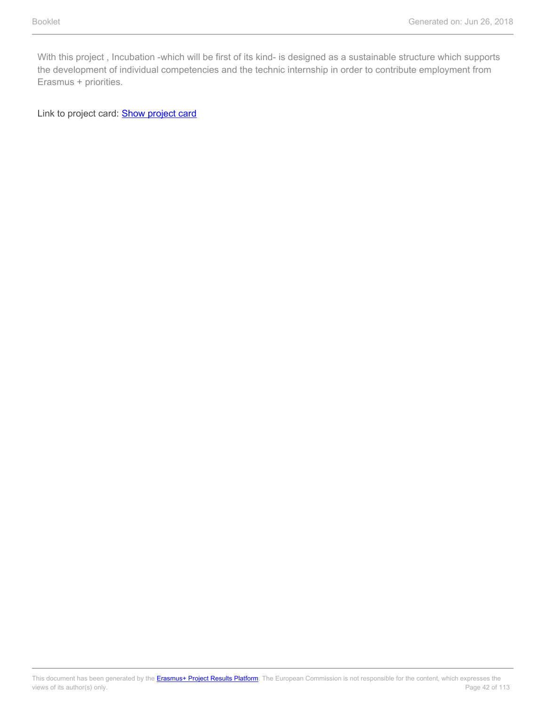With this project , Incubation -which will be first of its kind- is designed as a sustainable structure which supports the development of individual competencies and the technic internship in order to contribute employment from Erasmus + priorities.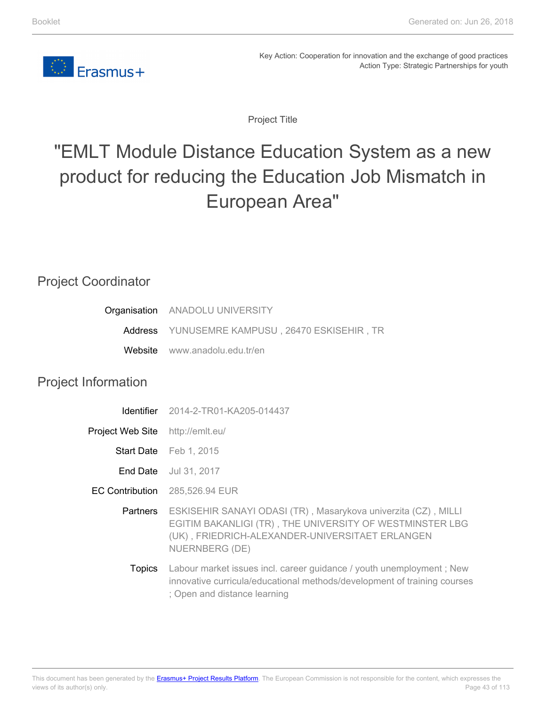

Project Title

# "EMLT Module Distance Education System as a new product for reducing the Education Job Mismatch in European Area"

### Project Coordinator

| Organisation ANADOLU UNIVERSITY                |
|------------------------------------------------|
| Address YUNUSEMRE KAMPUSU, 26470 ESKISEHIR, TR |
| Website www.anadolu.edu.tr/en                  |

### Project Information

| <b>Identifier</b>      | 2014-2-TR01-KA205-014437                                                                                                                                                                        |
|------------------------|-------------------------------------------------------------------------------------------------------------------------------------------------------------------------------------------------|
| Project Web Site       | http://emlt.eu/                                                                                                                                                                                 |
|                        | Start Date Feb 1, 2015                                                                                                                                                                          |
| End Date               | Jul 31, 2017                                                                                                                                                                                    |
| <b>EC Contribution</b> | 285,526.94 EUR                                                                                                                                                                                  |
| <b>Partners</b>        | ESKISEHIR SANAYI ODASI (TR), Masarykova univerzita (CZ), MILLI<br>EGITIM BAKANLIGI (TR), THE UNIVERSITY OF WESTMINSTER LBG<br>(UK), FRIEDRICH-ALEXANDER-UNIVERSITAET ERLANGEN<br>NUERNBERG (DE) |
| <b>Topics</b>          | Labour market issues incl. career guidance / youth unemployment; New<br>innovative curricula/educational methods/development of training courses<br>; Open and distance learning                |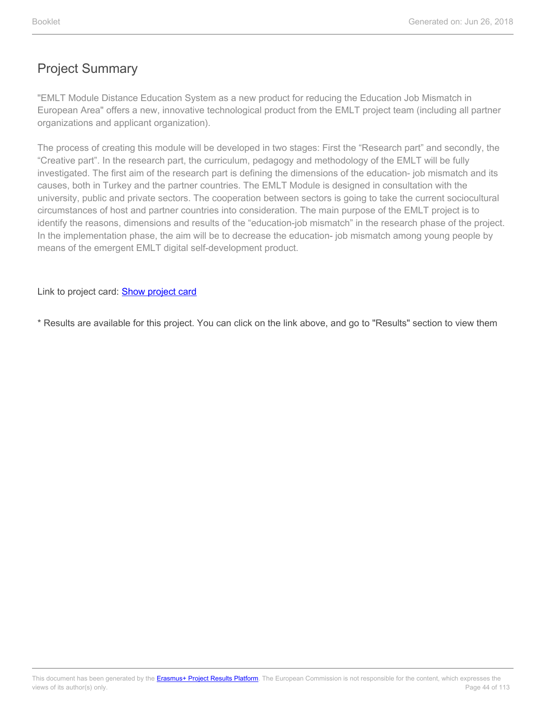"EMLT Module Distance Education System as a new product for reducing the Education Job Mismatch in European Area" offers a new, innovative technological product from the EMLT project team (including all partner organizations and applicant organization).

The process of creating this module will be developed in two stages: First the "Research part" and secondly, the "Creative part". In the research part, the curriculum, pedagogy and methodology of the EMLT will be fully investigated. The first aim of the research part is defining the dimensions of the education- job mismatch and its causes, both in Turkey and the partner countries. The EMLT Module is designed in consultation with the university, public and private sectors. The cooperation between sectors is going to take the current sociocultural circumstances of host and partner countries into consideration. The main purpose of the EMLT project is to identify the reasons, dimensions and results of the "education-job mismatch" in the research phase of the project. In the implementation phase, the aim will be to decrease the education- job mismatch among young people by means of the emergent EMLT digital self-development product.

Link to project card: **[Show project card](https://ec.europa.eu/programmes/erasmus-plus/projects/eplus-project-details/#project/2014-2-TR01-KA205-014437)** 

\* Results are available for this project. You can click on the link above, and go to "Results" section to view them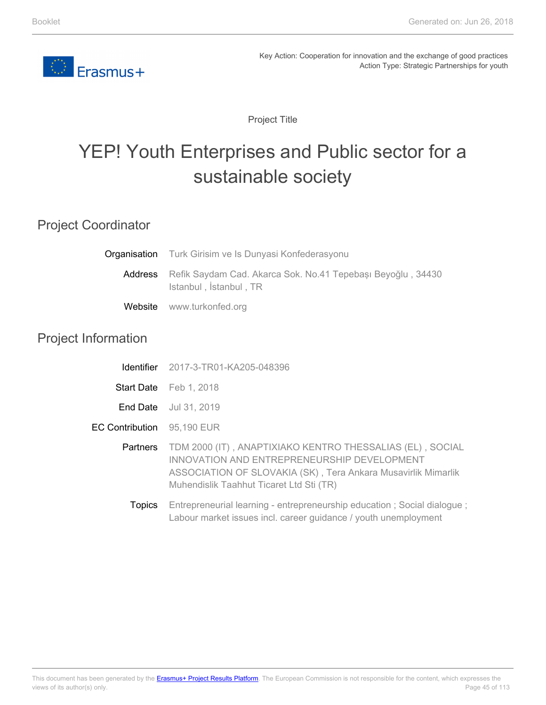

Project Title

# YEP! Youth Enterprises and Public sector for a sustainable society

### Project Coordinator

| <b>Organisation</b> Turk Girisim ve Is Dunyasi Konfederasyonu                                 |  |
|-----------------------------------------------------------------------------------------------|--|
| Address Refik Saydam Cad. Akarca Sok. No.41 Tepebaşı Beyoğlu, 34430<br>Istanbul, İstanbul, TR |  |
| Website www.turkonfed.org                                                                     |  |

### Project Information

| Identifier | 2017-3-TR01-KA205-048396 |
|------------|--------------------------|
|------------|--------------------------|

- **Start Date** Feb 1, 2018
- **End Date** Jul 31, 2019
- EC Contribution 95,190 EUR
	- **Partners** TDM 2000 (IT) , ANAPTIXIAKO KENTRO THESSALIAS (EL) , SOCIAL INNOVATION AND ENTREPRENEURSHIP DEVELOPMENT ASSOCIATION OF SLOVAKIA (SK) , Tera Ankara Musavirlik Mimarlik Muhendislik Taahhut Ticaret Ltd Sti (TR)
		- **Topics** Entrepreneurial learning - entrepreneurship education ; Social dialogue ; Labour market issues incl. career guidance / youth unemployment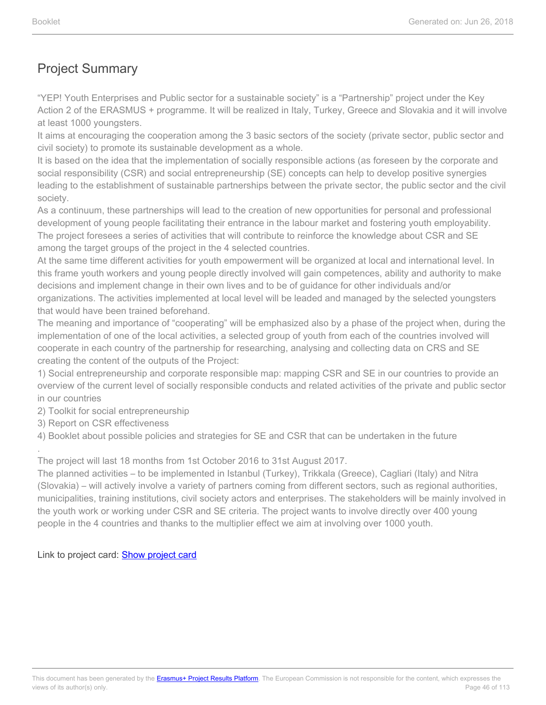"YEP! Youth Enterprises and Public sector for a sustainable society" is a "Partnership" project under the Key Action 2 of the ERASMUS + programme. It will be realized in Italy, Turkey, Greece and Slovakia and it will involve at least 1000 youngsters.

It aims at encouraging the cooperation among the 3 basic sectors of the society (private sector, public sector and civil society) to promote its sustainable development as a whole.

It is based on the idea that the implementation of socially responsible actions (as foreseen by the corporate and social responsibility (CSR) and social entrepreneurship (SE) concepts can help to develop positive synergies leading to the establishment of sustainable partnerships between the private sector, the public sector and the civil society.

As a continuum, these partnerships will lead to the creation of new opportunities for personal and professional development of young people facilitating their entrance in the labour market and fostering youth employability. The project foresees a series of activities that will contribute to reinforce the knowledge about CSR and SE among the target groups of the project in the 4 selected countries.

At the same time different activities for youth empowerment will be organized at local and international level. In this frame youth workers and young people directly involved will gain competences, ability and authority to make decisions and implement change in their own lives and to be of guidance for other individuals and/or organizations. The activities implemented at local level will be leaded and managed by the selected youngsters that would have been trained beforehand.

The meaning and importance of "cooperating" will be emphasized also by a phase of the project when, during the implementation of one of the local activities, a selected group of youth from each of the countries involved will cooperate in each country of the partnership for researching, analysing and collecting data on CRS and SE creating the content of the outputs of the Project:

1) Social entrepreneurship and corporate responsible map: mapping CSR and SE in our countries to provide an overview of the current level of socially responsible conducts and related activities of the private and public sector in our countries

2) Toolkit for social entrepreneurship

3) Report on CSR effectiveness

.

4) Booklet about possible policies and strategies for SE and CSR that can be undertaken in the future

The project will last 18 months from 1st October 2016 to 31st August 2017.

The planned activities – to be implemented in Istanbul (Turkey), Trikkala (Greece), Cagliari (Italy) and Nitra (Slovakia) – will actively involve a variety of partners coming from different sectors, such as regional authorities, municipalities, training institutions, civil society actors and enterprises. The stakeholders will be mainly involved in the youth work or working under CSR and SE criteria. The project wants to involve directly over 400 young people in the 4 countries and thanks to the multiplier effect we aim at involving over 1000 youth.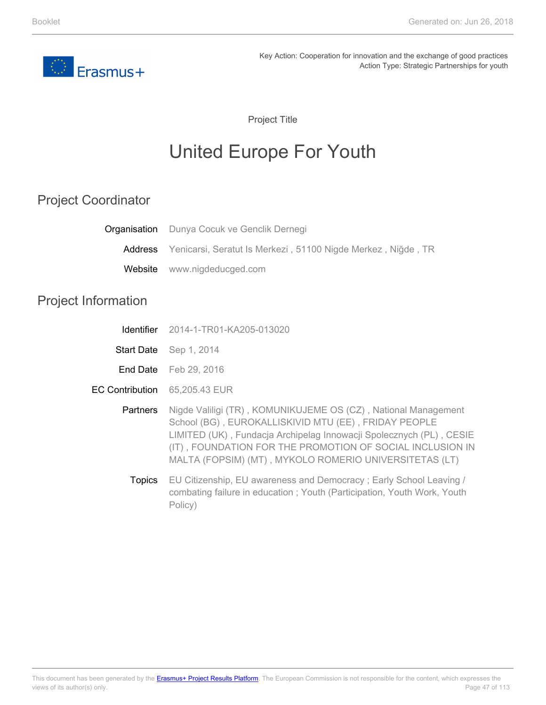

Project Title

# United Europe For Youth

# Project Coordinator

| <b>Organisation</b> Dunya Cocuk ve Genclik Dernegi                   |
|----------------------------------------------------------------------|
| Address Yenicarsi, Seratut Is Merkezi, 51100 Nigde Merkez, Niğde, TR |
| Website www.nigdeducged.com                                          |
|                                                                      |

# Project Information

EC

|                   | <b>Identifier</b> 2014-1-TR01-KA205-013020                                                                                                                                                                                                                                                                           |
|-------------------|----------------------------------------------------------------------------------------------------------------------------------------------------------------------------------------------------------------------------------------------------------------------------------------------------------------------|
| <b>Start Date</b> | Sep 1, 2014                                                                                                                                                                                                                                                                                                          |
|                   | <b>End Date</b> Feb 29, 2016                                                                                                                                                                                                                                                                                         |
| Contribution      | 65,205.43 EUR                                                                                                                                                                                                                                                                                                        |
| <b>Partners</b>   | Nigde Valiligi (TR), KOMUNIKUJEME OS (CZ), National Management<br>School (BG), EUROKALLISKIVID MTU (EE), FRIDAY PEOPLE<br>LIMITED (UK), Fundacja Archipelag Innowacji Spolecznych (PL), CESIE<br>(IT), FOUNDATION FOR THE PROMOTION OF SOCIAL INCLUSION IN<br>MALTA (FOPSIM) (MT), MYKOLO ROMERIO UNIVERSITETAS (LT) |
| <b>Topics</b>     | EU Citizenship, EU awareness and Democracy; Early School Leaving /<br>combating failure in education; Youth (Participation, Youth Work, Youth<br>Policy)                                                                                                                                                             |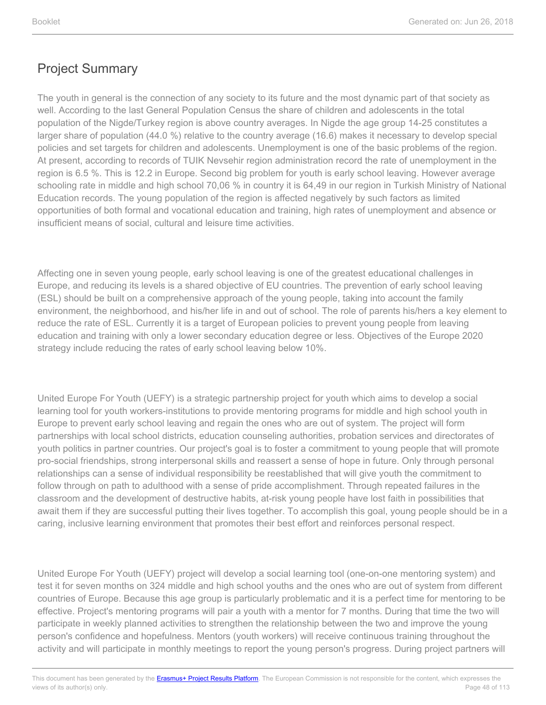The youth in general is the connection of any society to its future and the most dynamic part of that society as well. According to the last General Population Census the share of children and adolescents in the total population of the Nigde/Turkey region is above country averages. In Nigde the age group 14-25 constitutes a larger share of population (44.0 %) relative to the country average (16.6) makes it necessary to develop special policies and set targets for children and adolescents. Unemployment is one of the basic problems of the region. At present, according to records of TUIK Nevsehir region administration record the rate of unemployment in the region is 6.5 %. This is 12.2 in Europe. Second big problem for youth is early school leaving. However average schooling rate in middle and high school 70,06 % in country it is 64,49 in our region in Turkish Ministry of National Education records. The young population of the region is affected negatively by such factors as limited opportunities of both formal and vocational education and training, high rates of unemployment and absence or insufficient means of social, cultural and leisure time activities.

Affecting one in seven young people, early school leaving is one of the greatest educational challenges in Europe, and reducing its levels is a shared objective of EU countries. The prevention of early school leaving (ESL) should be built on a comprehensive approach of the young people, taking into account the family environment, the neighborhood, and his/her life in and out of school. The role of parents his/hers a key element to reduce the rate of ESL. Currently it is a target of European policies to prevent young people from leaving education and training with only a lower secondary education degree or less. Objectives of the Europe 2020 strategy include reducing the rates of early school leaving below 10%.

United Europe For Youth (UEFY) is a strategic partnership project for youth which aims to develop a social learning tool for youth workers-institutions to provide mentoring programs for middle and high school youth in Europe to prevent early school leaving and regain the ones who are out of system. The project will form partnerships with local school districts, education counseling authorities, probation services and directorates of youth politics in partner countries. Our project's goal is to foster a commitment to young people that will promote pro-social friendships, strong interpersonal skills and reassert a sense of hope in future. Only through personal relationships can a sense of individual responsibility be reestablished that will give youth the commitment to follow through on path to adulthood with a sense of pride accomplishment. Through repeated failures in the classroom and the development of destructive habits, at-risk young people have lost faith in possibilities that await them if they are successful putting their lives together. To accomplish this goal, young people should be in a caring, inclusive learning environment that promotes their best effort and reinforces personal respect.

United Europe For Youth (UEFY) project will develop a social learning tool (one-on-one mentoring system) and test it for seven months on 324 middle and high school youths and the ones who are out of system from different countries of Europe. Because this age group is particularly problematic and it is a perfect time for mentoring to be effective. Project's mentoring programs will pair a youth with a mentor for 7 months. During that time the two will participate in weekly planned activities to strengthen the relationship between the two and improve the young person's confidence and hopefulness. Mentors (youth workers) will receive continuous training throughout the activity and will participate in monthly meetings to report the young person's progress. During project partners will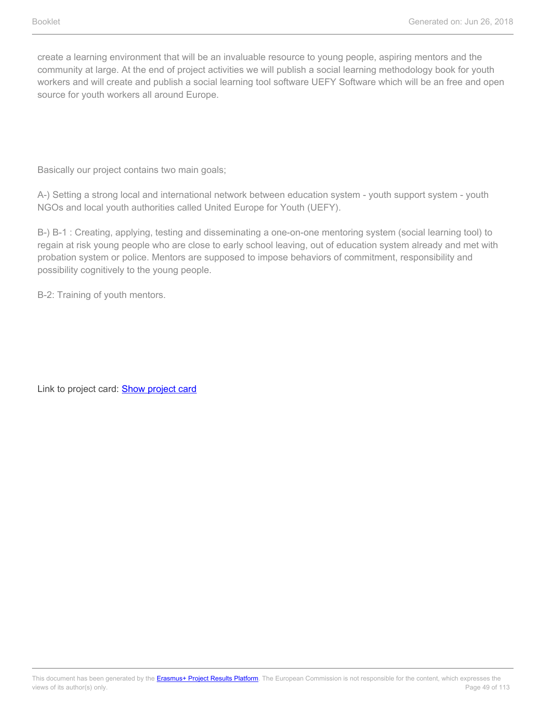create a learning environment that will be an invaluable resource to young people, aspiring mentors and the community at large. At the end of project activities we will publish a social learning methodology book for youth workers and will create and publish a social learning tool software UEFY Software which will be an free and open source for youth workers all around Europe.

Basically our project contains two main goals;

A-) Setting a strong local and international network between education system - youth support system - youth NGOs and local youth authorities called United Europe for Youth (UEFY).

B-) B-1 : Creating, applying, testing and disseminating a one-on-one mentoring system (social learning tool) to regain at risk young people who are close to early school leaving, out of education system already and met with probation system or police. Mentors are supposed to impose behaviors of commitment, responsibility and possibility cognitively to the young people.

B-2: Training of youth mentors.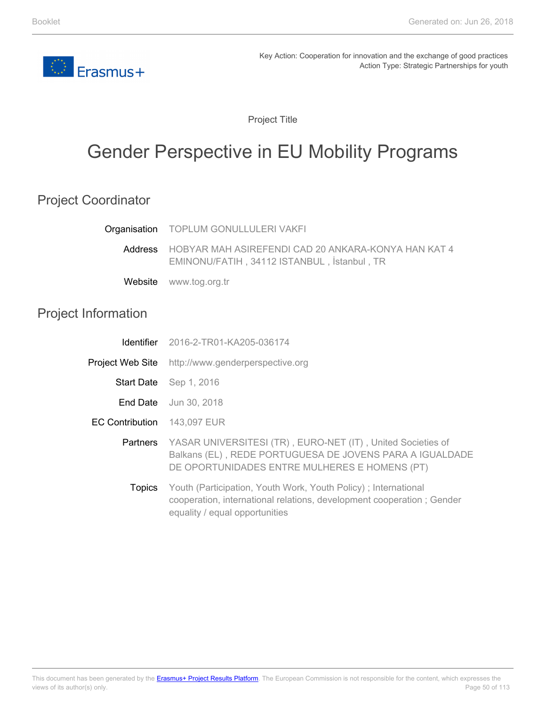

Project Title

# Gender Perspective in EU Mobility Programs

## Project Coordinator

|                            | Organisation TOPLUM GONULLULERI VAKFI                                                                                                                                     |
|----------------------------|---------------------------------------------------------------------------------------------------------------------------------------------------------------------------|
| Address                    | HOBYAR MAH ASIREFENDI CAD 20 ANKARA-KONYA HAN KAT 4<br>EMINONU/FATIH, 34112 ISTANBUL, İstanbul, TR                                                                        |
| Website                    | www.tog.org.tr                                                                                                                                                            |
| <b>Project Information</b> |                                                                                                                                                                           |
| <b>Identifier</b>          | 2016-2-TR01-KA205-036174                                                                                                                                                  |
| Project Web Site           | http://www.genderperspective.org                                                                                                                                          |
|                            | Start Date Sep 1, 2016                                                                                                                                                    |
| End Date                   | Jun 30, 2018                                                                                                                                                              |
| <b>EC Contribution</b>     | 143,097 EUR                                                                                                                                                               |
| Partners                   | YASAR UNIVERSITESI (TR), EURO-NET (IT), United Societies of<br>Balkans (EL), REDE PORTUGUESA DE JOVENS PARA A IGUALDADE<br>DE OPORTUNIDADES ENTRE MULHERES E HOMENS (PT)  |
| <b>Topics</b>              | Youth (Participation, Youth Work, Youth Policy); International<br>cooperation, international relations, development cooperation; Gender<br>equality / equal opportunities |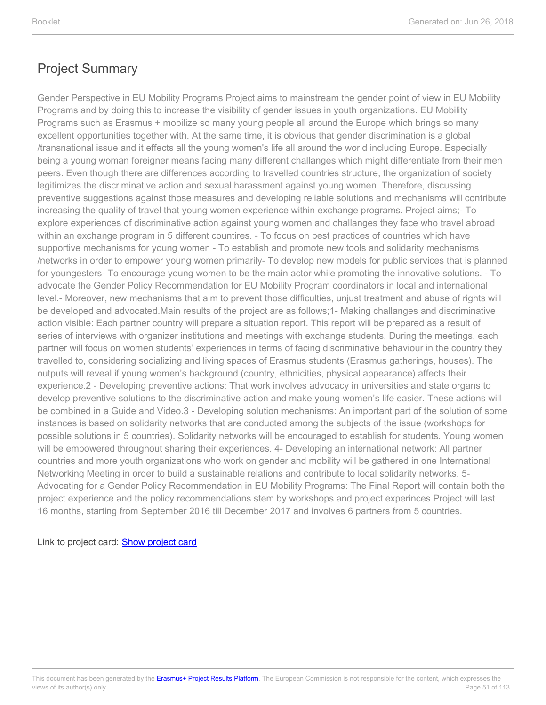Gender Perspective in EU Mobility Programs Project aims to mainstream the gender point of view in EU Mobility Programs and by doing this to increase the visibility of gender issues in youth organizations. EU Mobility Programs such as Erasmus + mobilize so many young people all around the Europe which brings so many excellent opportunities together with. At the same time, it is obvious that gender discrimination is a global /transnational issue and it effects all the young women's life all around the world including Europe. Especially being a young woman foreigner means facing many different challanges which might differentiate from their men peers. Even though there are differences according to travelled countries structure, the organization of society legitimizes the discriminative action and sexual harassment against young women. Therefore, discussing preventive suggestions against those measures and developing reliable solutions and mechanisms will contribute increasing the quality of travel that young women experience within exchange programs. Project aims;- To explore experiences of discriminative action against young women and challanges they face who travel abroad within an exchange program in 5 different countires. - To focus on best practices of countries which have supportive mechanisms for young women - To establish and promote new tools and solidarity mechanisms /networks in order to empower young women primarily- To develop new models for public services that is planned for youngesters- To encourage young women to be the main actor while promoting the innovative solutions. - To advocate the Gender Policy Recommendation for EU Mobility Program coordinators in local and international level.- Moreover, new mechanisms that aim to prevent those difficulties, unjust treatment and abuse of rights will be developed and advocated.Main results of the project are as follows;1- Making challanges and discriminative action visible: Each partner country will prepare a situation report. This report will be prepared as a result of series of interviews with organizer institutions and meetings with exchange students. During the meetings, each partner will focus on women students' experiences in terms of facing discriminative behaviour in the country they travelled to, considering socializing and living spaces of Erasmus students (Erasmus gatherings, houses). The outputs will reveal if young women's background (country, ethnicities, physical appearance) affects their experience.2 - Developing preventive actions: That work involves advocacy in universities and state organs to develop preventive solutions to the discriminative action and make young women's life easier. These actions will be combined in a Guide and Video.3 - Developing solution mechanisms: An important part of the solution of some instances is based on solidarity networks that are conducted among the subjects of the issue (workshops for possible solutions in 5 countries). Solidarity networks will be encouraged to establish for students. Young women will be empowered throughout sharing their experiences. 4- Developing an international network: All partner countries and more youth organizations who work on gender and mobility will be gathered in one International Networking Meeting in order to build a sustainable relations and contribute to local solidarity networks. 5- Advocating for a Gender Policy Recommendation in EU Mobility Programs: The Final Report will contain both the project experience and the policy recommendations stem by workshops and project experinces.Project will last 16 months, starting from September 2016 till December 2017 and involves 6 partners from 5 countries.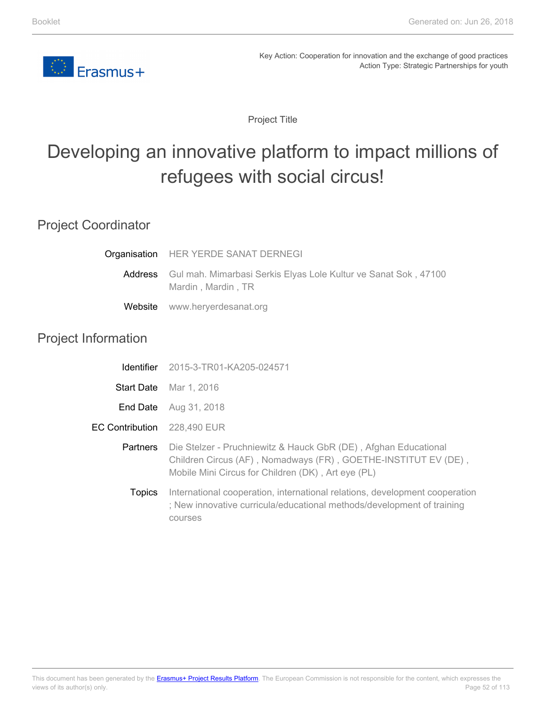

Project Title

# Developing an innovative platform to impact millions of refugees with social circus!

### Project Coordinator

|                            | Organisation HER YERDE SANAT DERNEGI                                                          |
|----------------------------|-----------------------------------------------------------------------------------------------|
|                            | Address Gul mah. Mimarbasi Serkis Elyas Lole Kultur ve Sanat Sok, 47100<br>Mardin, Mardin, TR |
| Website                    | www.heryerdesanat.org                                                                         |
| <b>Project Information</b> |                                                                                               |
|                            | <b>Identifier</b> 2015-3-TR01-KA205-024571                                                    |
|                            | Start Date Mar 1, 2016                                                                        |
|                            |                                                                                               |

**End Date** Aug 31, 2018

EC Contribution 228,490 EUR

> **Partners** Die Stelzer - Pruchniewitz & Hauck GbR (DE) , Afghan Educational Children Circus (AF) , Nomadways (FR) , GOETHE-INSTITUT EV (DE) , Mobile Mini Circus for Children (DK) , Art eye (PL)

Topics International cooperation, international relations, development cooperation ; New innovative curricula/educational methods/development of training courses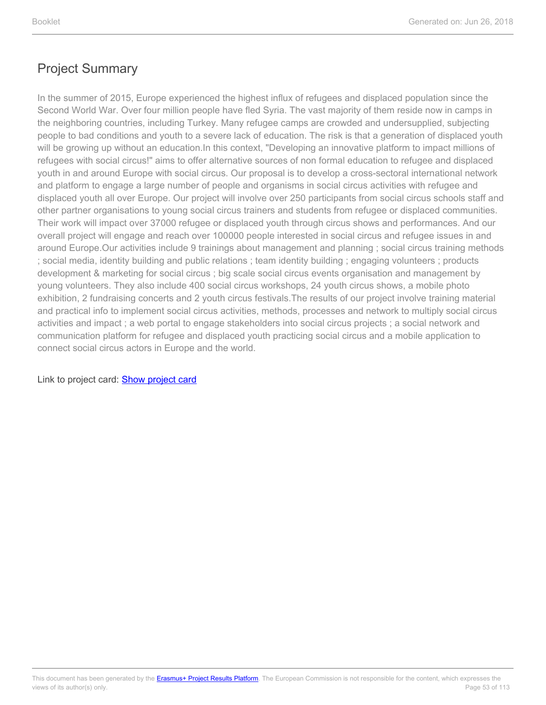In the summer of 2015, Europe experienced the highest influx of refugees and displaced population since the Second World War. Over four million people have fled Syria. The vast majority of them reside now in camps in the neighboring countries, including Turkey. Many refugee camps are crowded and undersupplied, subjecting people to bad conditions and youth to a severe lack of education. The risk is that a generation of displaced youth will be growing up without an education.In this context, "Developing an innovative platform to impact millions of refugees with social circus!" aims to offer alternative sources of non formal education to refugee and displaced youth in and around Europe with social circus. Our proposal is to develop a cross-sectoral international network and platform to engage a large number of people and organisms in social circus activities with refugee and displaced youth all over Europe. Our project will involve over 250 participants from social circus schools staff and other partner organisations to young social circus trainers and students from refugee or displaced communities. Their work will impact over 37000 refugee or displaced youth through circus shows and performances. And our overall project will engage and reach over 100000 people interested in social circus and refugee issues in and around Europe.Our activities include 9 trainings about management and planning ; social circus training methods ; social media, identity building and public relations ; team identity building ; engaging volunteers ; products development & marketing for social circus ; big scale social circus events organisation and management by young volunteers. They also include 400 social circus workshops, 24 youth circus shows, a mobile photo exhibition, 2 fundraising concerts and 2 youth circus festivals.The results of our project involve training material and practical info to implement social circus activities, methods, processes and network to multiply social circus activities and impact ; a web portal to engage stakeholders into social circus projects ; a social network and communication platform for refugee and displaced youth practicing social circus and a mobile application to connect social circus actors in Europe and the world.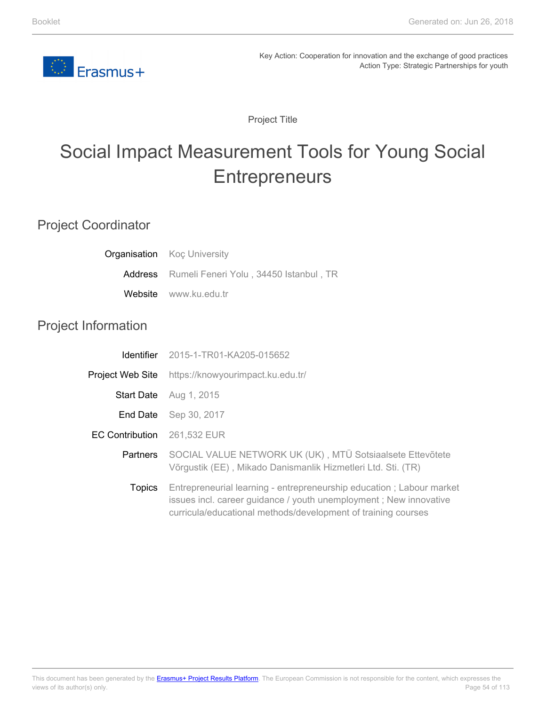

Project Title

# Social Impact Measurement Tools for Young Social **Entrepreneurs**

### Project Coordinator

| Organisation               | <b>Koc University</b>                                                                                                                                                                                      |
|----------------------------|------------------------------------------------------------------------------------------------------------------------------------------------------------------------------------------------------------|
| Address                    | Rumeli Feneri Yolu, 34450 Istanbul, TR                                                                                                                                                                     |
| Website                    | www.ku.edu.tr                                                                                                                                                                                              |
| <b>Project Information</b> |                                                                                                                                                                                                            |
| <b>Identifier</b>          | 2015-1-TR01-KA205-015652                                                                                                                                                                                   |
| Project Web Site           | https://knowyourimpact.ku.edu.tr/                                                                                                                                                                          |
| <b>Start Date</b>          | Aug 1, 2015                                                                                                                                                                                                |
| End Date                   | Sep 30, 2017                                                                                                                                                                                               |
| <b>EC Contribution</b>     | 261,532 EUR                                                                                                                                                                                                |
| <b>Partners</b>            | SOCIAL VALUE NETWORK UK (UK), MTÜ Sotsiaalsete Ettevõtete<br>Võrgustik (EE), Mikado Danismanlik Hizmetleri Ltd. Sti. (TR)                                                                                  |
| <b>Topics</b>              | Entrepreneurial learning - entrepreneurship education; Labour market<br>issues incl. career guidance / youth unemployment; New innovative<br>curricula/educational methods/development of training courses |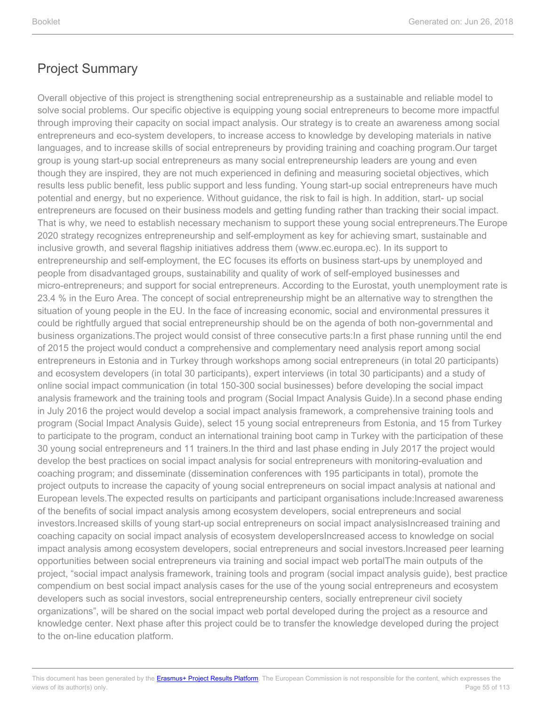Overall objective of this project is strengthening social entrepreneurship as a sustainable and reliable model to solve social problems. Our specific objective is equipping young social entrepreneurs to become more impactful through improving their capacity on social impact analysis. Our strategy is to create an awareness among social entrepreneurs and eco-system developers, to increase access to knowledge by developing materials in native languages, and to increase skills of social entrepreneurs by providing training and coaching program.Our target group is young start-up social entrepreneurs as many social entrepreneurship leaders are young and even though they are inspired, they are not much experienced in defining and measuring societal objectives, which results less public benefit, less public support and less funding. Young start-up social entrepreneurs have much potential and energy, but no experience. Without guidance, the risk to fail is high. In addition, start- up social entrepreneurs are focused on their business models and getting funding rather than tracking their social impact. That is why, we need to establish necessary mechanism to support these young social entrepreneurs.The Europe 2020 strategy recognizes entrepreneurship and self-employment as key for achieving smart, sustainable and inclusive growth, and several flagship initiatives address them (www.ec.europa.ec). In its support to entrepreneurship and self-employment, the EC focuses its efforts on business start-ups by unemployed and people from disadvantaged groups, sustainability and quality of work of self-employed businesses and micro-entrepreneurs; and support for social entrepreneurs. According to the Eurostat, youth unemployment rate is 23.4 % in the Euro Area. The concept of social entrepreneurship might be an alternative way to strengthen the situation of young people in the EU. In the face of increasing economic, social and environmental pressures it could be rightfully argued that social entrepreneurship should be on the agenda of both non-governmental and business organizations.The project would consist of three consecutive parts:In a first phase running until the end of 2015 the project would conduct a comprehensive and complementary need analysis report among social entrepreneurs in Estonia and in Turkey through workshops among social entrepreneurs (in total 20 participants) and ecosystem developers (in total 30 participants), expert interviews (in total 30 participants) and a study of online social impact communication (in total 150-300 social businesses) before developing the social impact analysis framework and the training tools and program (Social Impact Analysis Guide).In a second phase ending in July 2016 the project would develop a social impact analysis framework, a comprehensive training tools and program (Social Impact Analysis Guide), select 15 young social entrepreneurs from Estonia, and 15 from Turkey to participate to the program, conduct an international training boot camp in Turkey with the participation of these 30 young social entrepreneurs and 11 trainers.In the third and last phase ending in July 2017 the project would develop the best practices on social impact analysis for social entrepreneurs with monitoring-evaluation and coaching program; and disseminate (dissemination conferences with 195 participants in total), promote the project outputs to increase the capacity of young social entrepreneurs on social impact analysis at national and European levels.The expected results on participants and participant organisations include:Increased awareness of the benefits of social impact analysis among ecosystem developers, social entrepreneurs and social investors.Increased skills of young start-up social entrepreneurs on social impact analysisIncreased training and coaching capacity on social impact analysis of ecosystem developersIncreased access to knowledge on social impact analysis among ecosystem developers, social entrepreneurs and social investors.Increased peer learning opportunities between social entrepreneurs via training and social impact web portalThe main outputs of the project, "social impact analysis framework, training tools and program (social impact analysis guide), best practice compendium on best social impact analysis cases for the use of the young social entrepreneurs and ecosystem developers such as social investors, social entrepreneurship centers, socially entrepreneur civil society organizations", will be shared on the social impact web portal developed during the project as a resource and knowledge center. Next phase after this project could be to transfer the knowledge developed during the project to the on-line education platform.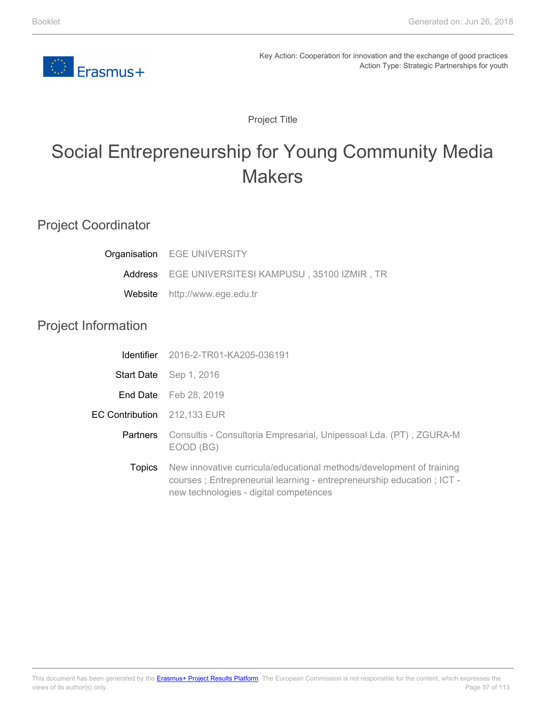

Project Title

# Social Entrepreneurship for Young Community Media **Makers**

### Project Coordinator

| Organisation               | <b>EGE UNIVERSITY</b>                                                                                                                                                                   |
|----------------------------|-----------------------------------------------------------------------------------------------------------------------------------------------------------------------------------------|
|                            | Address EGE UNIVERSITESI KAMPUSU, 35100 IZMIR, TR                                                                                                                                       |
| Website                    | http://www.ege.edu.tr                                                                                                                                                                   |
| <b>Project Information</b> |                                                                                                                                                                                         |
| <b>Identifier</b>          | 2016-2-TR01-KA205-036191                                                                                                                                                                |
|                            | Start Date Sep 1, 2016                                                                                                                                                                  |
|                            | <b>End Date</b> Feb 28, 2019                                                                                                                                                            |
| <b>EC Contribution</b>     | 212,133 EUR                                                                                                                                                                             |
| Partners                   | Consultis - Consultoria Empresarial, Unipessoal Lda. (PT), ZGURA-M<br>EOOD (BG)                                                                                                         |
| <b>Topics</b>              | New innovative curricula/educational methods/development of training<br>courses; Entrepreneurial learning - entrepreneurship education; ICT -<br>new technologies - digital competences |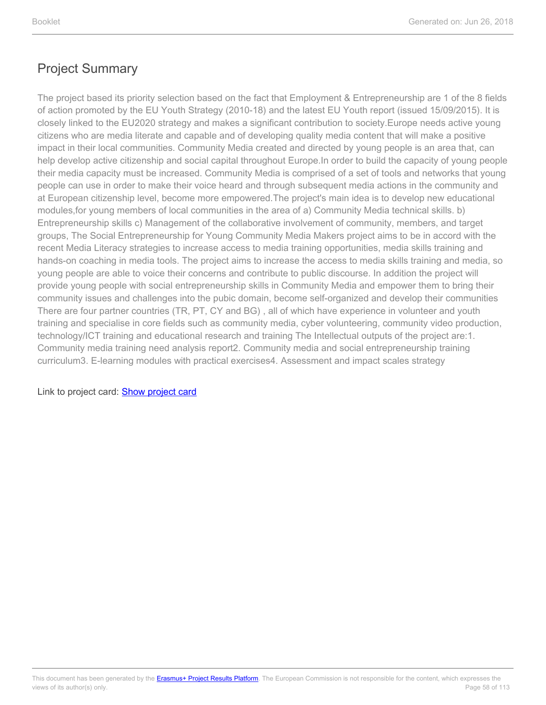The project based its priority selection based on the fact that Employment & Entrepreneurship are 1 of the 8 fields of action promoted by the EU Youth Strategy (2010-18) and the latest EU Youth report (issued 15/09/2015). It is closely linked to the EU2020 strategy and makes a significant contribution to society.Europe needs active young citizens who are media literate and capable and of developing quality media content that will make a positive impact in their local communities. Community Media created and directed by young people is an area that, can help develop active citizenship and social capital throughout Europe.In order to build the capacity of young people their media capacity must be increased. Community Media is comprised of a set of tools and networks that young people can use in order to make their voice heard and through subsequent media actions in the community and at European citizenship level, become more empowered.The project's main idea is to develop new educational modules,for young members of local communities in the area of a) Community Media technical skills. b) Entrepreneurship skills c) Management of the collaborative involvement of community, members, and target groups, The Social Entrepreneurship for Young Community Media Makers project aims to be in accord with the recent Media Literacy strategies to increase access to media training opportunities, media skills training and hands-on coaching in media tools. The project aims to increase the access to media skills training and media, so young people are able to voice their concerns and contribute to public discourse. In addition the project will provide young people with social entrepreneurship skills in Community Media and empower them to bring their community issues and challenges into the pubic domain, become self-organized and develop their communities There are four partner countries (TR, PT, CY and BG) , all of which have experience in volunteer and youth training and specialise in core fields such as community media, cyber volunteering, community video production, technology/ICT training and educational research and training The Intellectual outputs of the project are:1. Community media training need analysis report2. Community media and social entrepreneurship training curriculum3. E-learning modules with practical exercises4. Assessment and impact scales strategy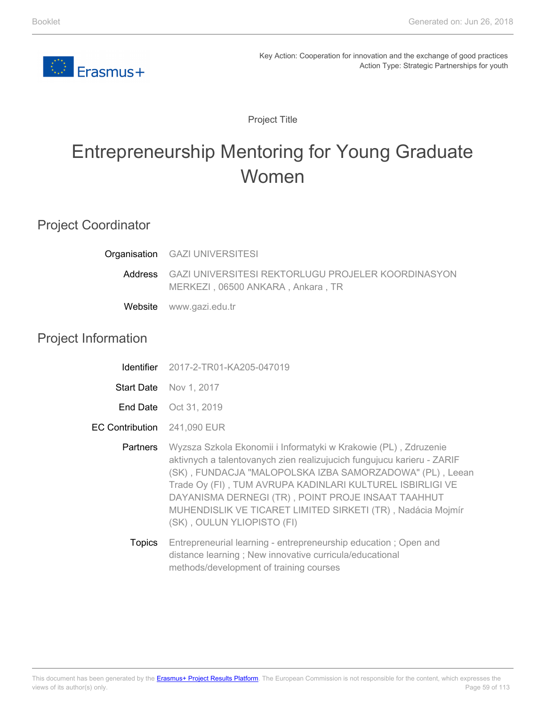

Project Title

# Entrepreneurship Mentoring for Young Graduate Women

### Project Coordinator

|                     | <b>Organisation</b> GAZI UNIVERSITESI                                                   |
|---------------------|-----------------------------------------------------------------------------------------|
| Address             | GAZI UNIVERSITESI REKTORLUGU PROJELER KOORDINASYON<br>MERKEZI, 06500 ANKARA, Ankara, TR |
|                     | Website www.gazi.edu.tr                                                                 |
| المرام فللرمز ممرور |                                                                                         |

#### Project Information

- **Start Date** Nov 1, 2017
- End Date Oct 31, 2019
- EC Contribution 241,090 EUR
	- Partners Wyzsza Szkola Ekonomii i Informatyki w Krakowie (PL) , Zdruzenie aktivnych a talentovanych zien realizujucich fungujucu karieru - ZARIF (SK) , FUNDACJA "MALOPOLSKA IZBA SAMORZADOWA" (PL) , Leean Trade Oy (FI) , TUM AVRUPA KADINLARI KULTUREL ISBIRLIGI VE DAYANISMA DERNEGI (TR) , POINT PROJE INSAAT TAAHHUT MUHENDISLIK VE TICARET LIMITED SIRKETI (TR) , Nadácia Mojmír (SK) , OULUN YLIOPISTO (FI)
		- **Topics** Entrepreneurial learning - entrepreneurship education ; Open and distance learning ; New innovative curricula/educational methods/development of training courses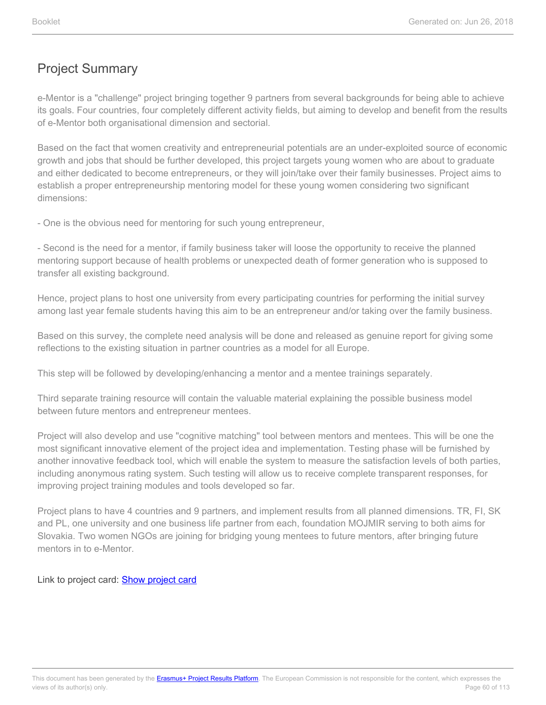e-Mentor is a "challenge" project bringing together 9 partners from several backgrounds for being able to achieve its goals. Four countries, four completely different activity fields, but aiming to develop and benefit from the results of e-Mentor both organisational dimension and sectorial.

Based on the fact that women creativity and entrepreneurial potentials are an under-exploited source of economic growth and jobs that should be further developed, this project targets young women who are about to graduate and either dedicated to become entrepreneurs, or they will join/take over their family businesses. Project aims to establish a proper entrepreneurship mentoring model for these young women considering two significant dimensions:

- One is the obvious need for mentoring for such young entrepreneur,

- Second is the need for a mentor, if family business taker will loose the opportunity to receive the planned mentoring support because of health problems or unexpected death of former generation who is supposed to transfer all existing background.

Hence, project plans to host one university from every participating countries for performing the initial survey among last year female students having this aim to be an entrepreneur and/or taking over the family business.

Based on this survey, the complete need analysis will be done and released as genuine report for giving some reflections to the existing situation in partner countries as a model for all Europe.

This step will be followed by developing/enhancing a mentor and a mentee trainings separately.

Third separate training resource will contain the valuable material explaining the possible business model between future mentors and entrepreneur mentees.

Project will also develop and use "cognitive matching" tool between mentors and mentees. This will be one the most significant innovative element of the project idea and implementation. Testing phase will be furnished by another innovative feedback tool, which will enable the system to measure the satisfaction levels of both parties, including anonymous rating system. Such testing will allow us to receive complete transparent responses, for improving project training modules and tools developed so far.

Project plans to have 4 countries and 9 partners, and implement results from all planned dimensions. TR, FI, SK and PL, one university and one business life partner from each, foundation MOJMIR serving to both aims for Slovakia. Two women NGOs are joining for bridging young mentees to future mentors, after bringing future mentors in to e-Mentor.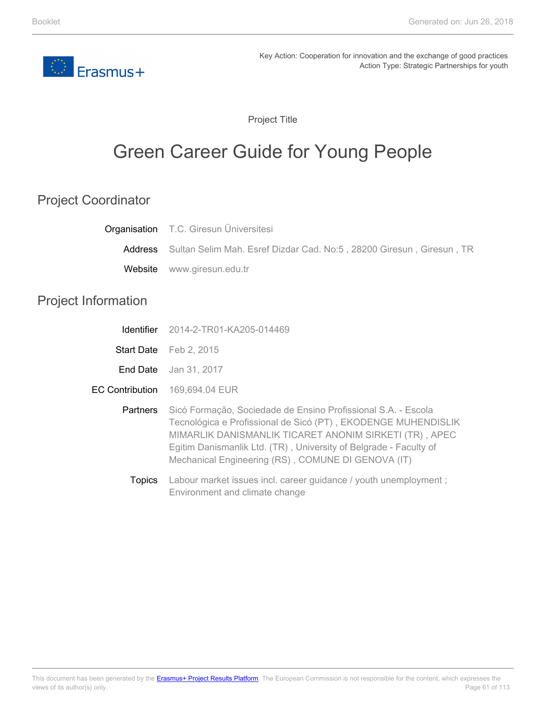

Project Title

# Green Career Guide for Young People

## Project Coordinator

|                            | <b>Organisation</b> T.C. Giresun Universitesi                                                                                                                                                                                                                                                                       |
|----------------------------|---------------------------------------------------------------------------------------------------------------------------------------------------------------------------------------------------------------------------------------------------------------------------------------------------------------------|
| Address                    | Sultan Selim Mah. Esref Dizdar Cad. No:5, 28200 Giresun, Giresun, TR                                                                                                                                                                                                                                                |
| Website                    | www.giresun.edu.tr                                                                                                                                                                                                                                                                                                  |
| <b>Project Information</b> |                                                                                                                                                                                                                                                                                                                     |
| Identifier                 | 2014-2-TR01-KA205-014469                                                                                                                                                                                                                                                                                            |
| <b>Start Date</b>          | Feb 2, 2015                                                                                                                                                                                                                                                                                                         |
| End Date                   | Jan 31, 2017                                                                                                                                                                                                                                                                                                        |
| <b>EC Contribution</b>     | 169,694.04 EUR                                                                                                                                                                                                                                                                                                      |
| <b>Partners</b>            | Sicó Formação, Sociedade de Ensino Profissional S.A. - Escola<br>Tecnológica e Profissional de Sicó (PT), EKODENGE MUHENDISLIK<br>MIMARLIK DANISMANLIK TICARET ANONIM SIRKETI (TR), APEC<br>Egitim Danismanlik Ltd. (TR), University of Belgrade - Faculty of<br>Mechanical Engineering (RS), COMUNE DI GENOVA (IT) |
| <b>Topics</b>              | Labour market issues incl. career guidance / youth unemployment;<br>Environment and climate change                                                                                                                                                                                                                  |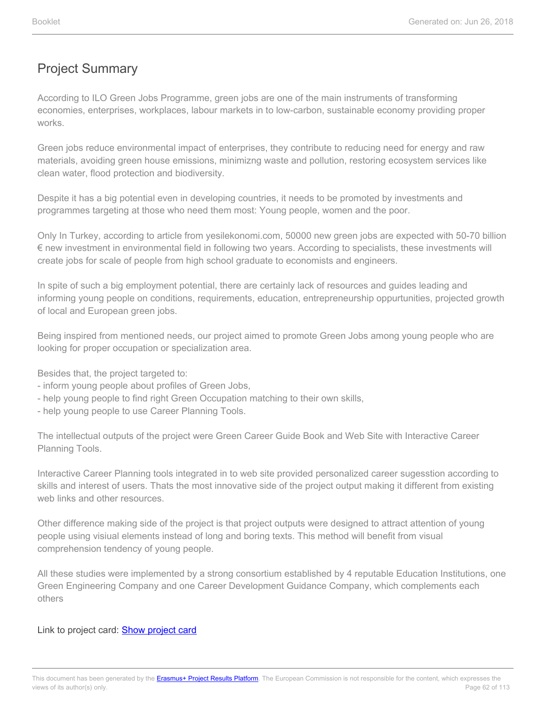According to ILO Green Jobs Programme, green jobs are one of the main instruments of transforming economies, enterprises, workplaces, labour markets in to low-carbon, sustainable economy providing proper works.

Green jobs reduce environmental impact of enterprises, they contribute to reducing need for energy and raw materials, avoiding green house emissions, minimizng waste and pollution, restoring ecosystem services like clean water, flood protection and biodiversity.

Despite it has a big potential even in developing countries, it needs to be promoted by investments and programmes targeting at those who need them most: Young people, women and the poor.

Only In Turkey, according to article from yesilekonomi.com, 50000 new green jobs are expected with 50-70 billion € new investment in environmental field in following two years. According to specialists, these investments will create jobs for scale of people from high school graduate to economists and engineers.

In spite of such a big employment potential, there are certainly lack of resources and guides leading and informing young people on conditions, requirements, education, entrepreneurship oppurtunities, projected growth of local and European green jobs.

Being inspired from mentioned needs, our project aimed to promote Green Jobs among young people who are looking for proper occupation or specialization area.

Besides that, the project targeted to:

- inform young people about profiles of Green Jobs,
- help young people to find right Green Occupation matching to their own skills,
- help young people to use Career Planning Tools.

The intellectual outputs of the project were Green Career Guide Book and Web Site with Interactive Career Planning Tools.

Interactive Career Planning tools integrated in to web site provided personalized career sugesstion according to skills and interest of users. Thats the most innovative side of the project output making it different from existing web links and other resources.

Other difference making side of the project is that project outputs were designed to attract attention of young people using visiual elements instead of long and boring texts. This method will benefit from visual comprehension tendency of young people.

All these studies were implemented by a strong consortium established by 4 reputable Education Institutions, one Green Engineering Company and one Career Development Guidance Company, which complements each others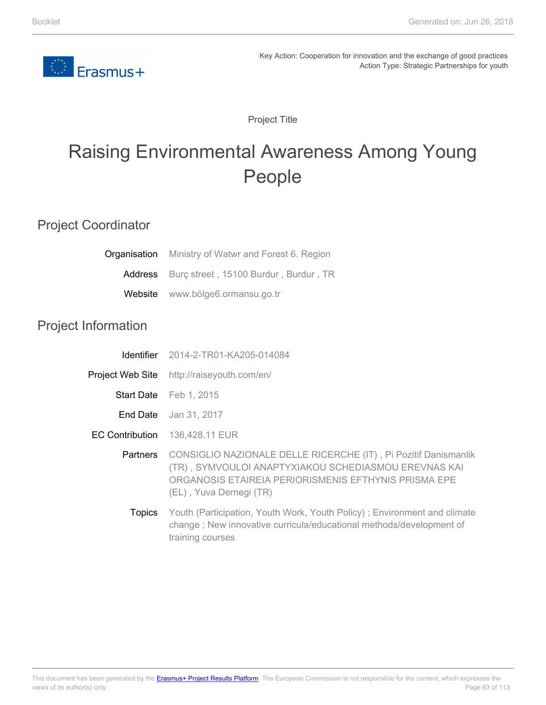

Project Title

# Raising Environmental Awareness Among Young People

### Project Coordinator

|                            | Organisation Ministry of Watwr and Forest 6. Region                                                                                                                                                        |
|----------------------------|------------------------------------------------------------------------------------------------------------------------------------------------------------------------------------------------------------|
| Address                    | Burç street, 15100 Burdur, Burdur, TR                                                                                                                                                                      |
| Website                    | www.bölge6.ormansu.go.tr                                                                                                                                                                                   |
| <b>Project Information</b> |                                                                                                                                                                                                            |
| <b>Identifier</b>          | 2014-2-TR01-KA205-014084                                                                                                                                                                                   |
| Project Web Site           | http://raiseyouth.com/en/                                                                                                                                                                                  |
|                            | Start Date Feb 1, 2015                                                                                                                                                                                     |
|                            | <b>End Date</b> Jan 31, 2017                                                                                                                                                                               |
| <b>EC Contribution</b>     | 136,428.11 EUR                                                                                                                                                                                             |
| Partners                   | CONSIGLIO NAZIONALE DELLE RICERCHE (IT), Pi Pozitif Danismanlik<br>(TR), SYMVOULOI ANAPTYXIAKOU SCHEDIASMOU EREVNAS KAI<br>ORGANOSIS ETAIREIA PERIORISMENIS EFTHYNIS PRISMA EPE<br>(EL), Yuva Dernegi (TR) |
| <b>Topics</b>              | Youth (Participation, Youth Work, Youth Policy); Environment and climate<br>change; New innovative curricula/educational methods/development of<br>training courses                                        |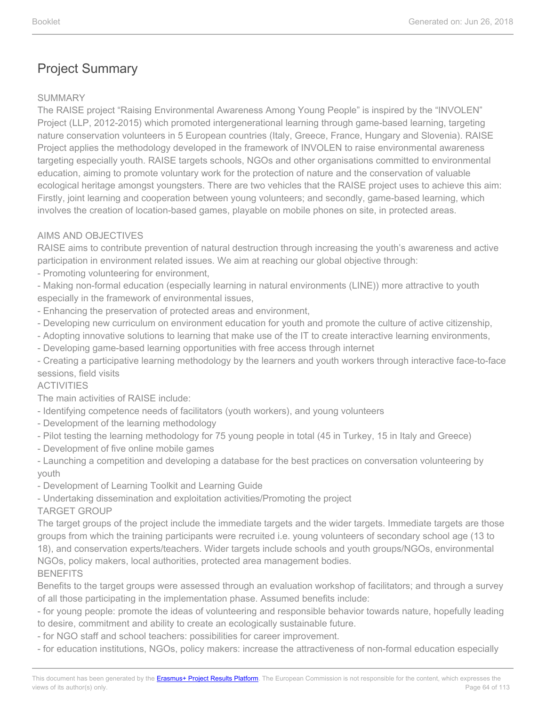#### SUMMARY

The RAISE project "Raising Environmental Awareness Among Young People" is inspired by the "INVOLEN" Project (LLP, 2012-2015) which promoted intergenerational learning through game-based learning, targeting nature conservation volunteers in 5 European countries (Italy, Greece, France, Hungary and Slovenia). RAISE Project applies the methodology developed in the framework of INVOLEN to raise environmental awareness targeting especially youth. RAISE targets schools, NGOs and other organisations committed to environmental education, aiming to promote voluntary work for the protection of nature and the conservation of valuable ecological heritage amongst youngsters. There are two vehicles that the RAISE project uses to achieve this aim: Firstly, joint learning and cooperation between young volunteers; and secondly, game-based learning, which involves the creation of location-based games, playable on mobile phones on site, in protected areas.

#### AIMS AND OBJECTIVES

RAISE aims to contribute prevention of natural destruction through increasing the youth's awareness and active participation in environment related issues. We aim at reaching our global objective through:

- Promoting volunteering for environment,

- Making non-formal education (especially learning in natural environments (LINE)) more attractive to youth especially in the framework of environmental issues,

- Enhancing the preservation of protected areas and environment,
- Developing new curriculum on environment education for youth and promote the culture of active citizenship,
- Adopting innovative solutions to learning that make use of the IT to create interactive learning environments,
- Developing game-based learning opportunities with free access through internet

- Creating a participative learning methodology by the learners and youth workers through interactive face-to-face sessions, field visits

#### ACTIVITIES

The main activities of RAISE include:

- Identifying competence needs of facilitators (youth workers), and young volunteers
- Development of the learning methodology
- Pilot testing the learning methodology for 75 young people in total (45 in Turkey, 15 in Italy and Greece)
- Development of five online mobile games

- Launching a competition and developing a database for the best practices on conversation volunteering by youth

- Development of Learning Toolkit and Learning Guide
- Undertaking dissemination and exploitation activities/Promoting the project

TARGET GROUP

The target groups of the project include the immediate targets and the wider targets. Immediate targets are those groups from which the training participants were recruited i.e. young volunteers of secondary school age (13 to 18), and conservation experts/teachers. Wider targets include schools and youth groups/NGOs, environmental NGOs, policy makers, local authorities, protected area management bodies. BENEFITS

Benefits to the target groups were assessed through an evaluation workshop of facilitators; and through a survey of all those participating in the implementation phase. Assumed benefits include:

- for young people: promote the ideas of volunteering and responsible behavior towards nature, hopefully leading to desire, commitment and ability to create an ecologically sustainable future.

- for NGO staff and school teachers: possibilities for career improvement.
- for education institutions, NGOs, policy makers: increase the attractiveness of non-formal education especially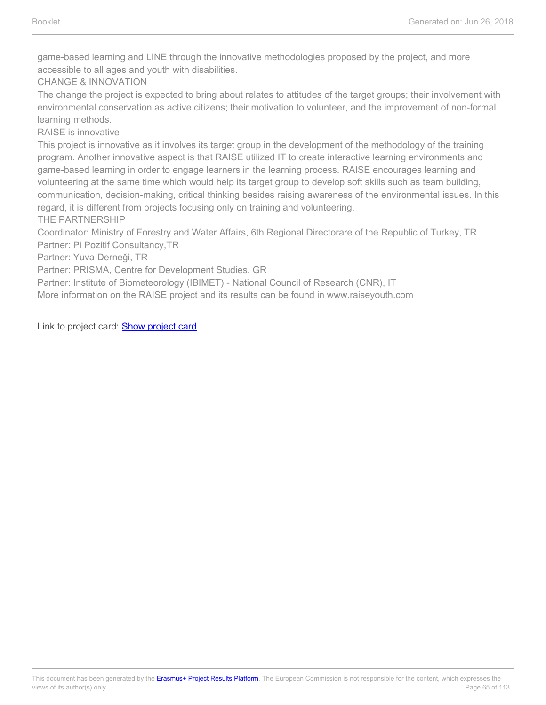game-based learning and LINE through the innovative methodologies proposed by the project, and more accessible to all ages and youth with disabilities.

CHANGE & INNOVATION

The change the project is expected to bring about relates to attitudes of the target groups; their involvement with environmental conservation as active citizens; their motivation to volunteer, and the improvement of non-formal learning methods.

RAISE is innovative

This project is innovative as it involves its target group in the development of the methodology of the training program. Another innovative aspect is that RAISE utilized IT to create interactive learning environments and game-based learning in order to engage learners in the learning process. RAISE encourages learning and volunteering at the same time which would help its target group to develop soft skills such as team building, communication, decision-making, critical thinking besides raising awareness of the environmental issues. In this regard, it is different from projects focusing only on training and volunteering.

THE PARTNERSHIP

Coordinator: Ministry of Forestry and Water Affairs, 6th Regional Directorare of the Republic of Turkey, TR Partner: Pi Pozitif Consultancy,TR

Partner: Yuva Derneği, TR

Partner: PRISMA, Centre for Development Studies, GR

Partner: Institute of Biometeorology (IBIMET) - National Council of Research (CNR), IT

More information on the RAISE project and its results can be found in www.raiseyouth.com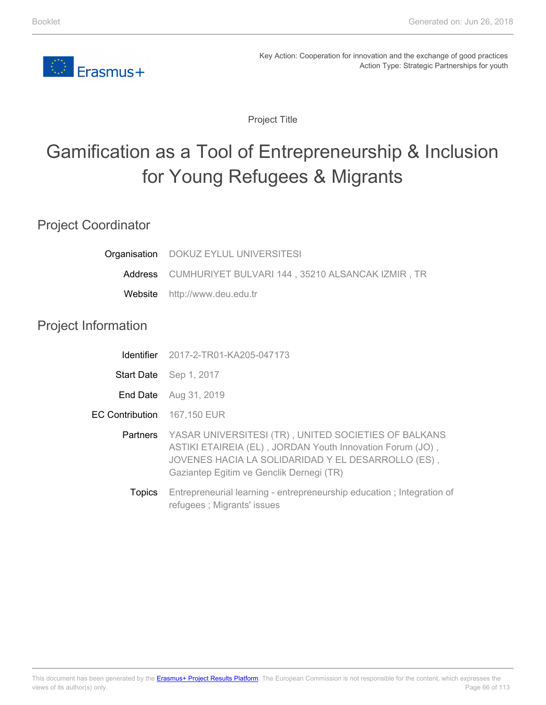

Project Title

# Gamification as a Tool of Entrepreneurship & Inclusion for Young Refugees & Migrants

### Project Coordinator

Project

|                        | Organisation DOKUZ EYLUL UNIVERSITESI                                                                                                                                                                                        |
|------------------------|------------------------------------------------------------------------------------------------------------------------------------------------------------------------------------------------------------------------------|
|                        | Address CUMHURIYET BULVARI 144, 35210 ALSANCAK IZMIR, TR                                                                                                                                                                     |
| Website                | http://www.deu.edu.tr                                                                                                                                                                                                        |
| Information            |                                                                                                                                                                                                                              |
| <b>Identifier</b>      | 2017-2-TR01-KA205-047173                                                                                                                                                                                                     |
|                        | Start Date Sep 1, 2017                                                                                                                                                                                                       |
|                        | End Date Aug 31, 2019                                                                                                                                                                                                        |
| <b>EC Contribution</b> | 167,150 EUR                                                                                                                                                                                                                  |
|                        | Partners YASAR UNIVERSITESI (TR), UNITED SOCIETIES OF BALKANS<br>ASTIKI ETAIREIA (EL), JORDAN Youth Innovation Forum (JO),<br>JOVENES HACIA LA SOLIDARIDAD Y EL DESARROLLO (ES),<br>Gaziantep Egitim ve Genclik Dernegi (TR) |
| <b>Topics</b>          | Entrepreneurial learning - entrepreneurship education; Integration of<br>refugees; Migrants' issues                                                                                                                          |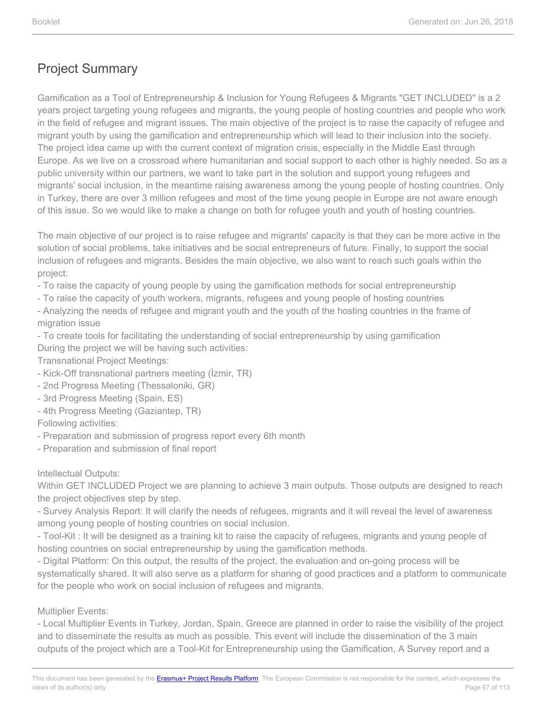Gamification as a Tool of Entrepreneurship & Inclusion for Young Refugees & Migrants "GET INCLUDED" is a 2 years project targeting young refugees and migrants, the young people of hosting countries and people who work in the field of refugee and migrant issues. The main objective of the project is to raise the capacity of refugee and migrant youth by using the gamification and entrepreneurship which will lead to their inclusion into the society. The project idea came up with the current context of migration crisis, especially in the Middle East through Europe. As we live on a crossroad where humanitarian and social support to each other is highly needed. So as a public university within our partners, we want to take part in the solution and support young refugees and migrants' social inclusion, in the meantime raising awareness among the young people of hosting countries. Only in Turkey, there are over 3 million refugees and most of the time young people in Europe are not aware enough of this issue. So we would like to make a change on both for refugee youth and youth of hosting countries.

The main objective of our project is to raise refugee and migrants' capacity is that they can be more active in the solution of social problems, take initiatives and be social entrepreneurs of future. Finally, to support the social inclusion of refugees and migrants. Besides the main objective, we also want to reach such goals within the project:

- To raise the capacity of young people by using the gamification methods for social entrepreneurship

- To raise the capacity of youth workers, migrants, refugees and young people of hosting countries

- Analyzing the needs of refugee and migrant youth and the youth of the hosting countries in the frame of migration issue

- To create tools for facilitating the understanding of social entrepreneurship by using gamification During the project we will be having such activities:

Transnational Project Meetings:

- Kick-Off transnational partners meeting (İzmir, TR)
- 2nd Progress Meeting (Thessaloniki, GR)
- 3rd Progress Meeting (Spain, ES)
- 4th Progress Meeting (Gaziantep, TR)

Following activities:

- Preparation and submission of progress report every 6th month
- Preparation and submission of final report

#### Intellectual Outputs:

Within GET INCLUDED Project we are planning to achieve 3 main outputs. Those outputs are designed to reach the project objectives step by step.

- Survey Analysis Report: It will clarify the needs of refugees, migrants and it will reveal the level of awareness among young people of hosting countries on social inclusion.

- Tool-Kit : It will be designed as a training kit to raise the capacity of refugees, migrants and young people of hosting countries on social entrepreneurship by using the gamification methods.

- Digital Platform: On this output, the results of the project, the evaluation and on-going process will be systematically shared. It will also serve as a platform for sharing of good practices and a platform to communicate for the people who work on social inclusion of refugees and migrants.

#### Multiplier Events:

- Local Multiplier Events in Turkey, Jordan, Spain, Greece are planned in order to raise the visibility of the project and to disseminate the results as much as possible. This event will include the dissemination of the 3 main outputs of the project which are a Tool-Kit for Entrepreneurship using the Gamification, A Survey report and a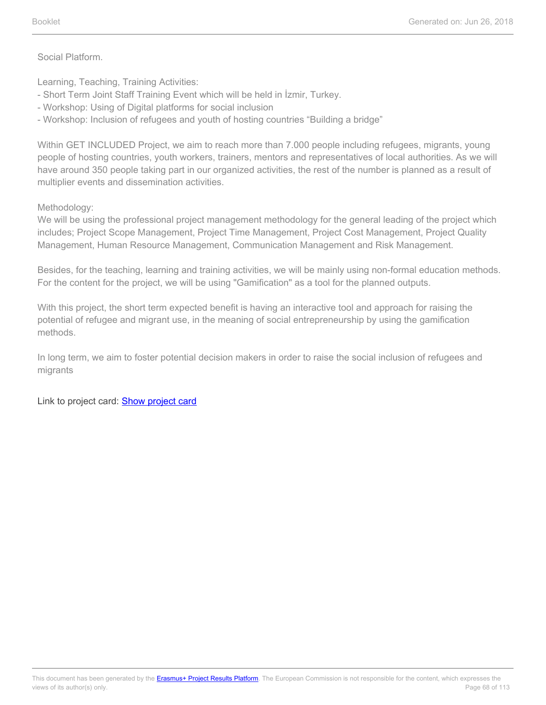Social Platform.

Learning, Teaching, Training Activities:

- Short Term Joint Staff Training Event which will be held in İzmir, Turkey.
- Workshop: Using of Digital platforms for social inclusion
- Workshop: Inclusion of refugees and youth of hosting countries "Building a bridge"

Within GET INCLUDED Project, we aim to reach more than 7.000 people including refugees, migrants, young people of hosting countries, youth workers, trainers, mentors and representatives of local authorities. As we will have around 350 people taking part in our organized activities, the rest of the number is planned as a result of multiplier events and dissemination activities.

Methodology:

We will be using the professional project management methodology for the general leading of the project which includes; Project Scope Management, Project Time Management, Project Cost Management, Project Quality Management, Human Resource Management, Communication Management and Risk Management.

Besides, for the teaching, learning and training activities, we will be mainly using non-formal education methods. For the content for the project, we will be using "Gamification" as a tool for the planned outputs.

With this project, the short term expected benefit is having an interactive tool and approach for raising the potential of refugee and migrant use, in the meaning of social entrepreneurship by using the gamification methods.

In long term, we aim to foster potential decision makers in order to raise the social inclusion of refugees and migrants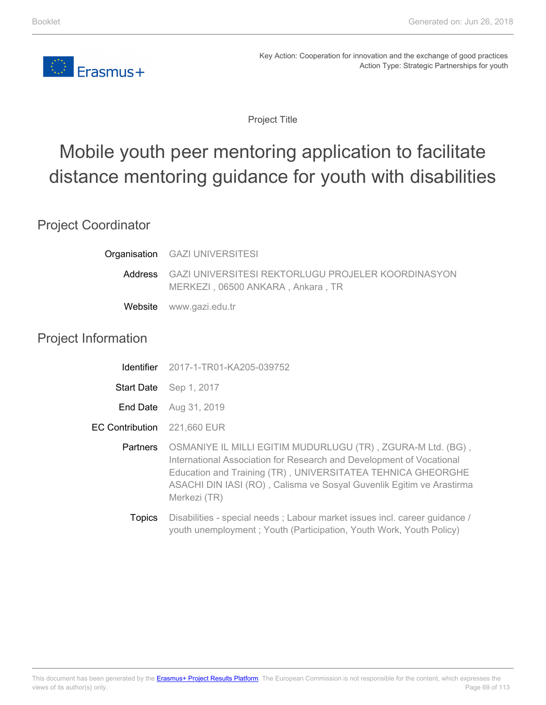

Project Title

# Mobile youth peer mentoring application to facilitate distance mentoring guidance for youth with disabilities

### Project Coordinator

|         | Organisation GAZI UNIVERSITESI                                                          |
|---------|-----------------------------------------------------------------------------------------|
| Address | GAZI UNIVERSITESI REKTORLUGU PROJELER KOORDINASYON<br>MERKEZI, 06500 ANKARA, Ankara, TR |
|         | Website www.gazi.edu.tr                                                                 |

### Project Information

- Start Date Sep 1, 2017
- **End Date** Aug 31, 2019
- EC Contribution 221,660 EUR
	- **Partners** OSMANIYE IL MILLI EGITIM MUDURLUGU (TR) , ZGURA-M Ltd. (BG) , International Association for Research and Development of Vocational Education and Training (TR) , UNIVERSITATEA TEHNICA GHEORGHE ASACHI DIN IASI (RO) , Calisma ve Sosyal Guvenlik Egitim ve Arastirma Merkezi (TR)
		- **Topics** Disabilities - special needs ; Labour market issues incl. career guidance / youth unemployment ; Youth (Participation, Youth Work, Youth Policy)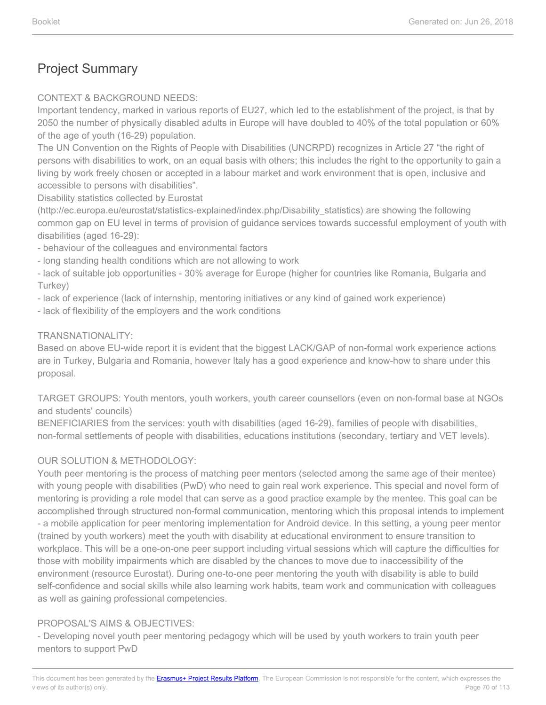#### CONTEXT & BACKGROUND NEEDS:

Important tendency, marked in various reports of EU27, which led to the establishment of the project, is that by 2050 the number of physically disabled adults in Europe will have doubled to 40% of the total population or 60% of the age of youth (16-29) population.

The UN Convention on the Rights of People with Disabilities (UNCRPD) recognizes in Article 27 "the right of persons with disabilities to work, on an equal basis with others; this includes the right to the opportunity to gain a living by work freely chosen or accepted in a labour market and work environment that is open, inclusive and accessible to persons with disabilities".

Disability statistics collected by Eurostat

(http://ec.europa.eu/eurostat/statistics-explained/index.php/Disability\_statistics) are showing the following common gap on EU level in terms of provision of guidance services towards successful employment of youth with disabilities (aged 16-29):

- behaviour of the colleagues and environmental factors

- long standing health conditions which are not allowing to work

- lack of suitable job opportunities - 30% average for Europe (higher for countries like Romania, Bulgaria and Turkey)

- lack of experience (lack of internship, mentoring initiatives or any kind of gained work experience)

- lack of flexibility of the employers and the work conditions

#### TRANSNATIONALITY:

Based on above EU-wide report it is evident that the biggest LACK/GAP of non-formal work experience actions are in Turkey, Bulgaria and Romania, however Italy has a good experience and know-how to share under this proposal.

TARGET GROUPS: Youth mentors, youth workers, youth career counsellors (even on non-formal base at NGOs and students' councils)

BENEFICIARIES from the services: youth with disabilities (aged 16-29), families of people with disabilities, non-formal settlements of people with disabilities, educations institutions (secondary, tertiary and VET levels).

#### OUR SOLUTION & METHODOLOGY:

Youth peer mentoring is the process of matching peer mentors (selected among the same age of their mentee) with young people with disabilities (PwD) who need to gain real work experience. This special and novel form of mentoring is providing a role model that can serve as a good practice example by the mentee. This goal can be accomplished through structured non-formal communication, mentoring which this proposal intends to implement - a mobile application for peer mentoring implementation for Android device. In this setting, a young peer mentor (trained by youth workers) meet the youth with disability at educational environment to ensure transition to workplace. This will be a one-on-one peer support including virtual sessions which will capture the difficulties for those with mobility impairments which are disabled by the chances to move due to inaccessibility of the environment (resource Eurostat). During one-to-one peer mentoring the youth with disability is able to build self-confidence and social skills while also learning work habits, team work and communication with colleagues as well as gaining professional competencies.

#### PROPOSAL'S AIMS & OBJECTIVES:

- Developing novel youth peer mentoring pedagogy which will be used by youth workers to train youth peer mentors to support PwD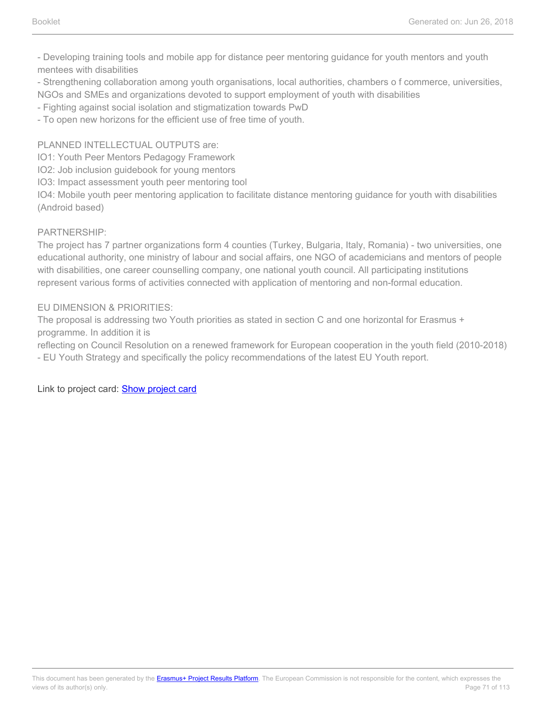- Developing training tools and mobile app for distance peer mentoring guidance for youth mentors and youth mentees with disabilities

- Strengthening collaboration among youth organisations, local authorities, chambers o f commerce, universities, NGOs and SMEs and organizations devoted to support employment of youth with disabilities

- Fighting against social isolation and stigmatization towards PwD

- To open new horizons for the efficient use of free time of youth.

#### PLANNED INTELLECTUAL OUTPUTS are:

IO1: Youth Peer Mentors Pedagogy Framework

IO2: Job inclusion guidebook for young mentors

IO3: Impact assessment youth peer mentoring tool

IO4: Mobile youth peer mentoring application to facilitate distance mentoring guidance for youth with disabilities (Android based)

#### PARTNERSHIP:

The project has 7 partner organizations form 4 counties (Turkey, Bulgaria, Italy, Romania) - two universities, one educational authority, one ministry of labour and social affairs, one NGO of academicians and mentors of people with disabilities, one career counselling company, one national youth council. All participating institutions represent various forms of activities connected with application of mentoring and non-formal education.

#### EU DIMENSION & PRIORITIES:

The proposal is addressing two Youth priorities as stated in section C and one horizontal for Erasmus + programme. In addition it is

reflecting on Council Resolution on a renewed framework for European cooperation in the youth field (2010-2018) - EU Youth Strategy and specifically the policy recommendations of the latest EU Youth report.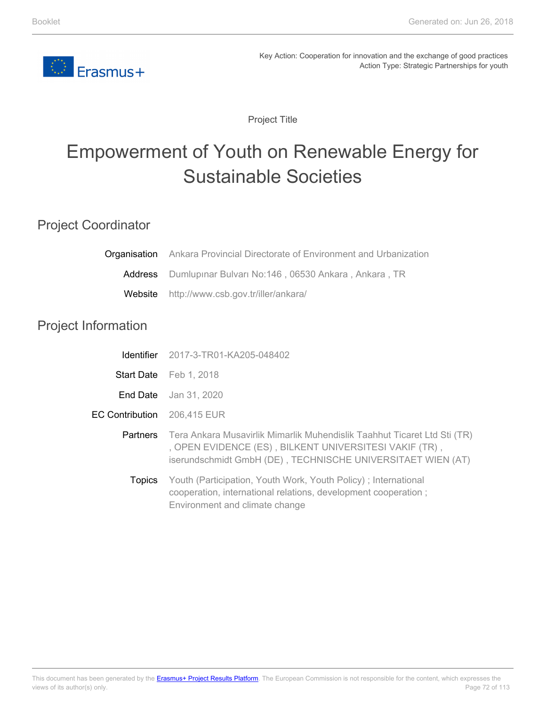

Project Title

# Empowerment of Youth on Renewable Energy for Sustainable Societies

### Project Coordinator

| Organisation               | Ankara Provincial Directorate of Environment and Urbanization                                                                                                                                     |
|----------------------------|---------------------------------------------------------------------------------------------------------------------------------------------------------------------------------------------------|
| Address                    | Dumlupinar Bulvari No:146, 06530 Ankara, Ankara, TR                                                                                                                                               |
| Website                    | http://www.csb.gov.tr/iller/ankara/                                                                                                                                                               |
| <b>Project Information</b> |                                                                                                                                                                                                   |
| <b>Identifier</b>          | 2017-3-TR01-KA205-048402                                                                                                                                                                          |
|                            | Start Date Feb 1, 2018                                                                                                                                                                            |
| End Date                   | Jan 31, 2020                                                                                                                                                                                      |
| <b>EC Contribution</b>     | 206,415 EUR                                                                                                                                                                                       |
| <b>Partners</b>            | Tera Ankara Musavirlik Mimarlik Muhendislik Taahhut Ticaret Ltd Sti (TR)<br>, OPEN EVIDENCE (ES), BILKENT UNIVERSITESI VAKIF (TR),<br>iserundschmidt GmbH (DE), TECHNISCHE UNIVERSITAET WIEN (AT) |
| <b>Topics</b>              | Youth (Participation, Youth Work, Youth Policy); International<br>cooperation, international relations, development cooperation;<br>Environment and climate change                                |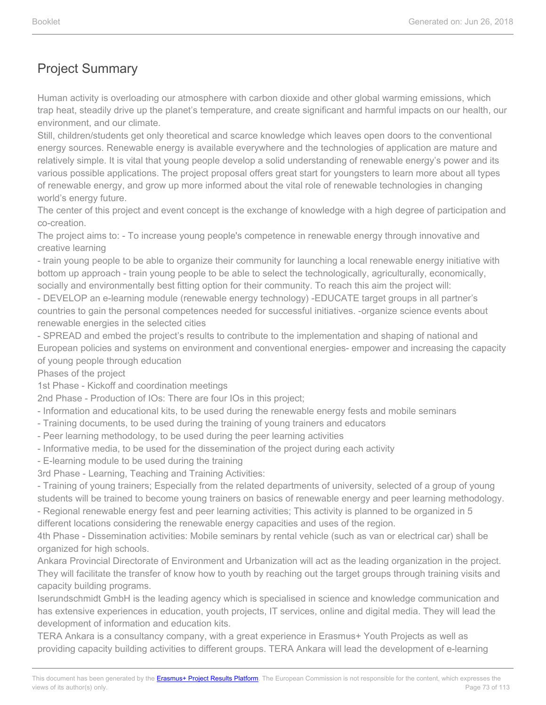Human activity is overloading our atmosphere with carbon dioxide and other global warming emissions, which trap heat, steadily drive up the planet's temperature, and create significant and harmful impacts on our health, our environment, and our climate.

Still, children/students get only theoretical and scarce knowledge which leaves open doors to the conventional energy sources. Renewable energy is available everywhere and the technologies of application are mature and relatively simple. It is vital that young people develop a solid understanding of renewable energy's power and its various possible applications. The project proposal offers great start for youngsters to learn more about all types of renewable energy, and grow up more informed about the vital role of renewable technologies in changing world's energy future.

The center of this project and event concept is the exchange of knowledge with a high degree of participation and co-creation.

The project aims to: - To increase young people's competence in renewable energy through innovative and creative learning

- train young people to be able to organize their community for launching a local renewable energy initiative with bottom up approach - train young people to be able to select the technologically, agriculturally, economically, socially and environmentally best fitting option for their community. To reach this aim the project will:

- DEVELOP an e-learning module (renewable energy technology) -EDUCATE target groups in all partner's countries to gain the personal competences needed for successful initiatives. -organize science events about renewable energies in the selected cities

- SPREAD and embed the project's results to contribute to the implementation and shaping of national and European policies and systems on environment and conventional energies- empower and increasing the capacity of young people through education

Phases of the project

1st Phase - Kickoff and coordination meetings

2nd Phase - Production of IOs: There are four IOs in this project;

- Information and educational kits, to be used during the renewable energy fests and mobile seminars
- Training documents, to be used during the training of young trainers and educators
- Peer learning methodology, to be used during the peer learning activities
- Informative media, to be used for the dissemination of the project during each activity
- E-learning module to be used during the training

3rd Phase - Learning, Teaching and Training Activities:

- Training of young trainers; Especially from the related departments of university, selected of a group of young students will be trained to become young trainers on basics of renewable energy and peer learning methodology.

- Regional renewable energy fest and peer learning activities; This activity is planned to be organized in 5

different locations considering the renewable energy capacities and uses of the region.

4th Phase - Dissemination activities: Mobile seminars by rental vehicle (such as van or electrical car) shall be organized for high schools.

Ankara Provincial Directorate of Environment and Urbanization will act as the leading organization in the project. They will facilitate the transfer of know how to youth by reaching out the target groups through training visits and capacity building programs.

Iserundschmidt GmbH is the leading agency which is specialised in science and knowledge communication and has extensive experiences in education, youth projects, IT services, online and digital media. They will lead the development of information and education kits.

TERA Ankara is a consultancy company, with a great experience in Erasmus+ Youth Projects as well as providing capacity building activities to different groups. TERA Ankara will lead the development of e-learning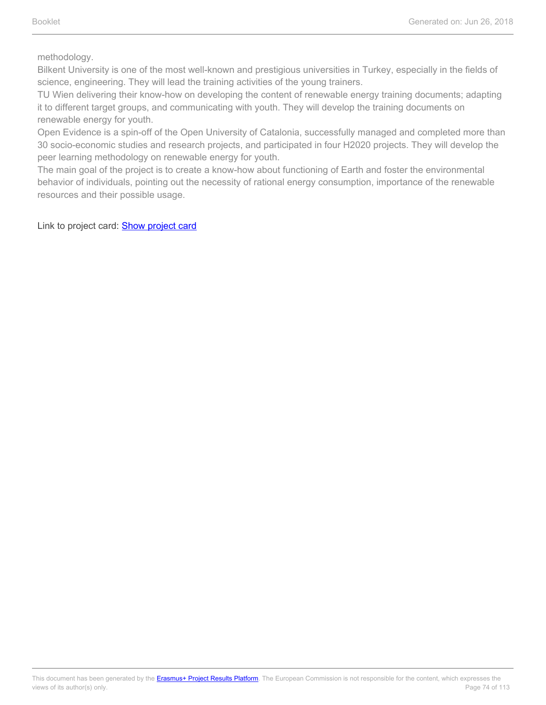methodology.

Bilkent University is one of the most well-known and prestigious universities in Turkey, especially in the fields of science, engineering. They will lead the training activities of the young trainers.

TU Wien delivering their know-how on developing the content of renewable energy training documents; adapting it to different target groups, and communicating with youth. They will develop the training documents on renewable energy for youth.

Open Evidence is a spin-off of the Open University of Catalonia, successfully managed and completed more than 30 socio-economic studies and research projects, and participated in four H2020 projects. They will develop the peer learning methodology on renewable energy for youth.

The main goal of the project is to create a know-how about functioning of Earth and foster the environmental behavior of individuals, pointing out the necessity of rational energy consumption, importance of the renewable resources and their possible usage.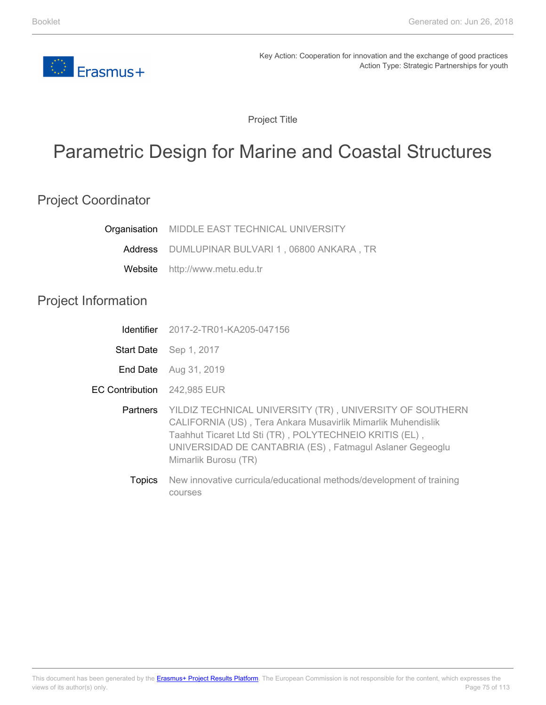

Project Title

# Parametric Design for Marine and Coastal Structures

### Project Coordinator

| Organisation               | MIDDLE EAST TECHNICAL UNIVERSITY                                                                                                                                                                                                                                        |
|----------------------------|-------------------------------------------------------------------------------------------------------------------------------------------------------------------------------------------------------------------------------------------------------------------------|
| Address                    | DUMLUPINAR BULVARI 1, 06800 ANKARA, TR                                                                                                                                                                                                                                  |
| Website                    | http://www.metu.edu.tr                                                                                                                                                                                                                                                  |
| <b>Project Information</b> |                                                                                                                                                                                                                                                                         |
| Identifier                 | 2017-2-TR01-KA205-047156                                                                                                                                                                                                                                                |
|                            | Start Date Sep 1, 2017                                                                                                                                                                                                                                                  |
| End Date                   | Aug 31, 2019                                                                                                                                                                                                                                                            |
| <b>EC Contribution</b>     | 242,985 EUR                                                                                                                                                                                                                                                             |
| Partners                   | YILDIZ TECHNICAL UNIVERSITY (TR), UNIVERSITY OF SOUTHERN<br>CALIFORNIA (US), Tera Ankara Musavirlik Mimarlik Muhendislik<br>Taahhut Ticaret Ltd Sti (TR), POLYTECHNEIO KRITIS (EL),<br>UNIVERSIDAD DE CANTABRIA (ES), Fatmagul Aslaner Gegeoglu<br>Mimarlik Burosu (TR) |
| <b>Topics</b>              | New innovative curricula/educational methods/development of training<br>courses                                                                                                                                                                                         |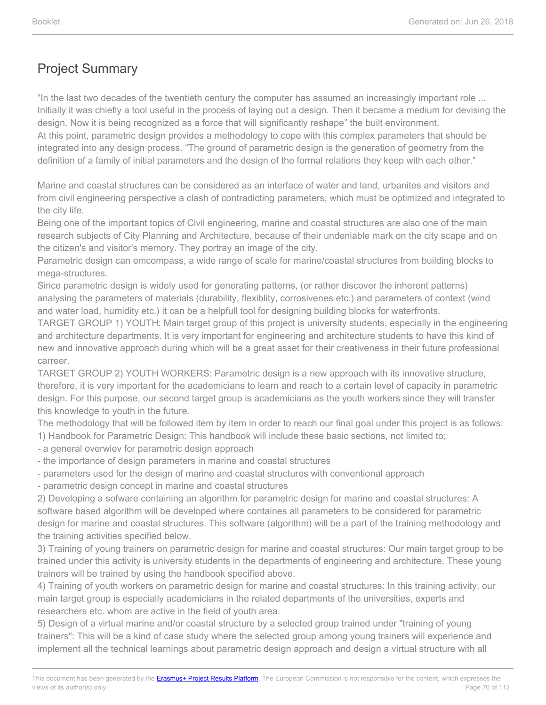"In the last two decades of the twentieth century the computer has assumed an increasingly important role ... Initially it was chiefly a tool useful in the process of laying out a design. Then it became a medium for devising the design. Now it is being recognized as a force that will significantly reshape" the built environment. At this point, parametric design provides a methodology to cope with this complex parameters that should be integrated into any design process. "The ground of parametric design is the generation of geometry from the definition of a family of initial parameters and the design of the formal relations they keep with each other."

Marine and coastal structures can be considered as an interface of water and land, urbanites and visitors and from civil engineering perspective a clash of contradicting parameters, which must be optimized and integrated to the city life.

Being one of the important topics of Civil engineering, marine and coastal structures are also one of the main research subjects of City Planning and Architecture, because of their undeniable mark on the city scape and on the citizen's and visitor's memory. They portray an image of the city.

Parametric design can emcompass, a wide range of scale for marine/coastal structures from building blocks to mega-structures.

Since parametric design is widely used for generating patterns, (or rather discover the inherent patterns) analysing the parameters of materials (durability, flexiblity, corrosivenes etc.) and parameters of context (wind and water load, humidity etc.) it can be a helpfull tool for designing building blocks for waterfronts.

TARGET GROUP 1) YOUTH: Main target group of this project is university students, especially in the engineering and architecture departments. It is very important for engineering and architecture students to have this kind of new and innovative approach during which will be a great asset for their creativeness in their future professional carreer.

TARGET GROUP 2) YOUTH WORKERS: Parametric design is a new approach with its innovative structure, therefore, it is very important for the academicians to learn and reach to a certain level of capacity in parametric design. For this purpose, our second target group is academicians as the youth workers since they will transfer this knowledge to youth in the future.

The methodology that will be followed item by item in order to reach our final goal under this project is as follows: 1) Handbook for Parametric Design: This handbook will include these basic sections, not limited to;

- a general overwiev for parametric design approach
- the importance of design parameters in marine and coastal structures
- parameters used for the design of marine and coastal structures with conventional approach

- parametric design concept in marine and coastal structures

2) Developing a sofware containing an algorithm for parametric design for marine and coastal structures: A software based algorithm will be developed where containes all parameters to be considered for parametric design for marine and coastal structures. This software (algorithm) will be a part of the training methodology and the training activities specified below.

3) Training of young trainers on parametric design for marine and coastal structures: Our main target group to be trained under this activity is university students in the departments of engineering and architecture. These young trainers will be trained by using the handbook specified above.

4) Training of youth workers on parametric design for marine and coastal structures: In this training activity, our main target group is especially academicians in the related departments of the universities, experts and researchers etc. whom are active in the field of youth area.

5) Design of a virtual marine and/or coastal structure by a selected group trained under "training of young trainers": This will be a kind of case study where the selected group among young trainers will experience and implement all the technical learnings about parametric design approach and design a virtual structure with all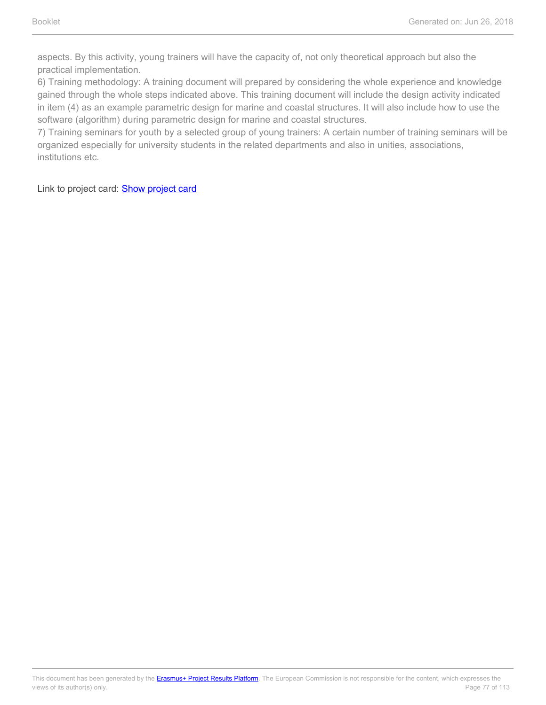aspects. By this activity, young trainers will have the capacity of, not only theoretical approach but also the practical implementation.

6) Training methodology: A training document will prepared by considering the whole experience and knowledge gained through the whole steps indicated above. This training document will include the design activity indicated in item (4) as an example parametric design for marine and coastal structures. It will also include how to use the software (algorithm) during parametric design for marine and coastal structures.

7) Training seminars for youth by a selected group of young trainers: A certain number of training seminars will be organized especially for university students in the related departments and also in unities, associations, institutions etc.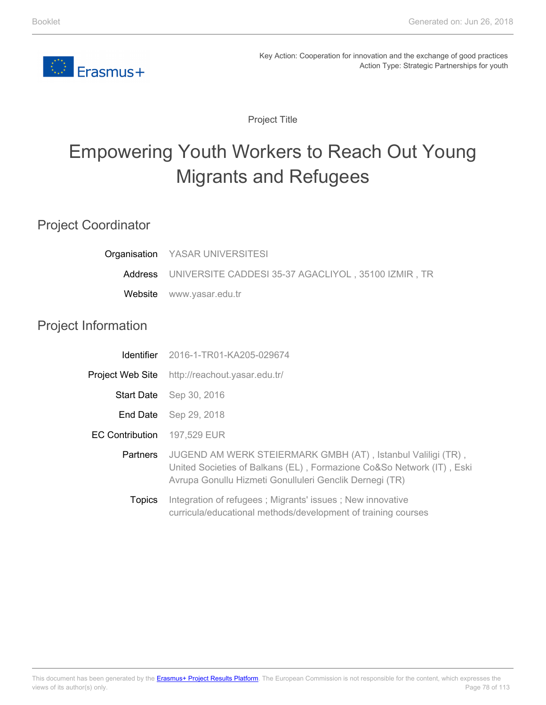

Project Title

# Empowering Youth Workers to Reach Out Young Migrants and Refugees

### Project Coordinator

| Organisation               | YASAR UNIVERSITESI                                                                                                                                                                               |
|----------------------------|--------------------------------------------------------------------------------------------------------------------------------------------------------------------------------------------------|
| Address                    | UNIVERSITE CADDESI 35-37 AGACLIYOL, 35100 IZMIR, TR                                                                                                                                              |
| Website                    | www.yasar.edu.tr                                                                                                                                                                                 |
| <b>Project Information</b> |                                                                                                                                                                                                  |
| Identifier                 | 2016-1-TR01-KA205-029674                                                                                                                                                                         |
| Project Web Site           | http://reachout.yasar.edu.tr/                                                                                                                                                                    |
| <b>Start Date</b>          | Sep 30, 2016                                                                                                                                                                                     |
| End Date                   | Sep 29, 2018                                                                                                                                                                                     |
| <b>EC Contribution</b>     | 197,529 EUR                                                                                                                                                                                      |
| Partners                   | JUGEND AM WERK STEIERMARK GMBH (AT), Istanbul Valiligi (TR),<br>United Societies of Balkans (EL), Formazione Co&So Network (IT), Eski<br>Avrupa Gonullu Hizmeti Gonulluleri Genclik Dernegi (TR) |
| <b>Topics</b>              | Integration of refugees; Migrants' issues; New innovative<br>curricula/educational methods/development of training courses                                                                       |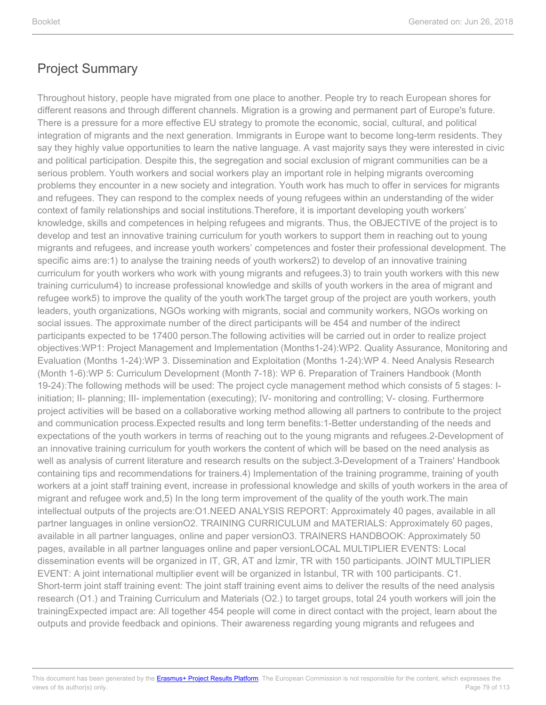Throughout history, people have migrated from one place to another. People try to reach European shores for different reasons and through different channels. Migration is a growing and permanent part of Europe's future. There is a pressure for a more effective EU strategy to promote the economic, social, cultural, and political integration of migrants and the next generation. Immigrants in Europe want to become long-term residents. They say they highly value opportunities to learn the native language. A vast majority says they were interested in civic and political participation. Despite this, the segregation and social exclusion of migrant communities can be a serious problem. Youth workers and social workers play an important role in helping migrants overcoming problems they encounter in a new society and integration. Youth work has much to offer in services for migrants and refugees. They can respond to the complex needs of young refugees within an understanding of the wider context of family relationships and social institutions.Therefore, it is important developing youth workers' knowledge, skills and competences in helping refugees and migrants. Thus, the OBJECTIVE of the project is to develop and test an innovative training curriculum for youth workers to support them in reaching out to young migrants and refugees, and increase youth workers' competences and foster their professional development. The specific aims are:1) to analyse the training needs of youth workers2) to develop of an innovative training curriculum for youth workers who work with young migrants and refugees.3) to train youth workers with this new training curriculum4) to increase professional knowledge and skills of youth workers in the area of migrant and refugee work5) to improve the quality of the youth workThe target group of the project are youth workers, youth leaders, youth organizations, NGOs working with migrants, social and community workers, NGOs working on social issues. The approximate number of the direct participants will be 454 and number of the indirect participants expected to be 17400 person.The following activities will be carried out in order to realize project objectives:WP1: Project Management and Implementation (Months1-24):WP2. Quality Assurance, Monitoring and Evaluation (Months 1-24):WP 3. Dissemination and Exploitation (Months 1-24):WP 4. Need Analysis Research (Month 1-6):WP 5: Curriculum Development (Month 7-18): WP 6. Preparation of Trainers Handbook (Month 19-24):The following methods will be used: The project cycle management method which consists of 5 stages: Iinitiation; II- planning; III- implementation (executing); IV- monitoring and controlling; V- closing. Furthermore project activities will be based on a collaborative working method allowing all partners to contribute to the project and communication process.Expected results and long term benefits:1-Better understanding of the needs and expectations of the youth workers in terms of reaching out to the young migrants and refugees.2-Development of an innovative training curriculum for youth workers the content of which will be based on the need analysis as well as analysis of current literature and research results on the subject.3-Development of a Trainers' Handbook containing tips and recommendations for trainers.4) Implementation of the training programme, training of youth workers at a joint staff training event, increase in professional knowledge and skills of youth workers in the area of migrant and refugee work and,5) In the long term improvement of the quality of the youth work.The main intellectual outputs of the projects are:O1.NEED ANALYSIS REPORT: Approximately 40 pages, available in all partner languages in online versionO2. TRAINING CURRICULUM and MATERIALS: Approximately 60 pages, available in all partner languages, online and paper versionO3. TRAINERS HANDBOOK: Approximately 50 pages, available in all partner languages online and paper versionLOCAL MULTIPLIER EVENTS: Local dissemination events will be organized in IT, GR, AT and İzmir, TR with 150 participants. JOINT MULTIPLIER EVENT: A joint international multiplier event will be organized in İstanbul, TR with 100 participants. C1. Short-term joint staff training event: The joint staff training event aims to deliver the results of the need analysis research (O1.) and Training Curriculum and Materials (O2.) to target groups, total 24 youth workers will join the trainingExpected impact are: All together 454 people will come in direct contact with the project, learn about the outputs and provide feedback and opinions. Their awareness regarding young migrants and refugees and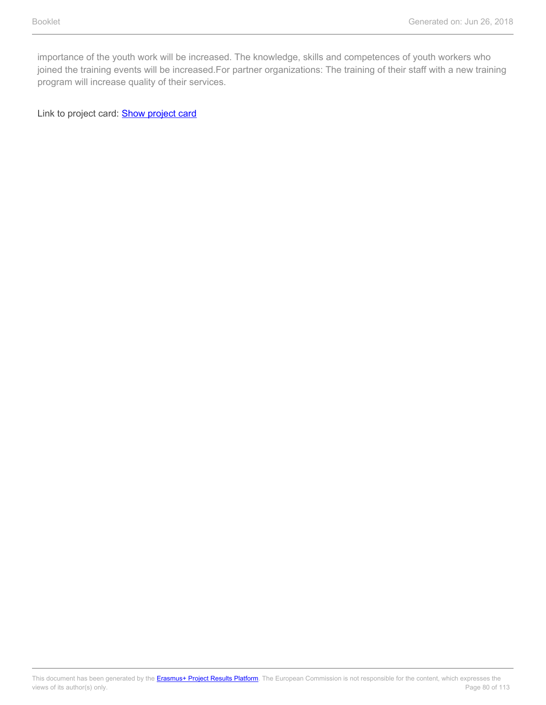importance of the youth work will be increased. The knowledge, skills and competences of youth workers who joined the training events will be increased. For partner organizations: The training of their staff with a new training program will increase quality of their services.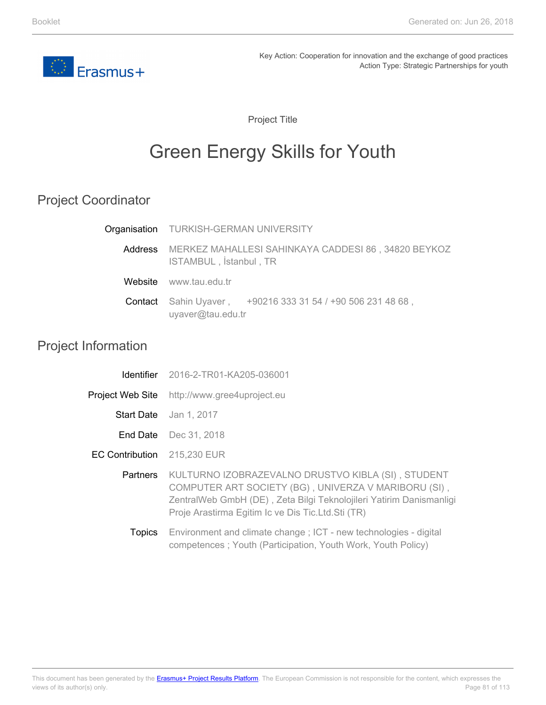

Project Title

# Green Energy Skills for Youth

## Project Coordinator

| Organisation TURKISH-GERMAN UNIVERSITY                                                |
|---------------------------------------------------------------------------------------|
| Address MERKEZ MAHALLESI SAHINKAYA CADDESI 86, 34820 BEYKOZ<br>ISTAMBUL, İstanbul, TR |
| Website www.tau.edu.tr                                                                |
| Contact Sahin Uyaver, +90216 333 31 54 / +90 506 231 48 68,<br>uyaver@tau.edu.tr      |

### Project Information

|                   | <b>Identifier</b> 2016-2-TR01-KA205-036001                                                                                                                                                                                             |
|-------------------|----------------------------------------------------------------------------------------------------------------------------------------------------------------------------------------------------------------------------------------|
| Project Web Site  | http://www.gree4uproject.eu                                                                                                                                                                                                            |
| <b>Start Date</b> | Jan 1, 2017                                                                                                                                                                                                                            |
|                   | <b>End Date</b> Dec 31, 2018                                                                                                                                                                                                           |
| EC Contribution   | 215,230 EUR                                                                                                                                                                                                                            |
| Partners          | KULTURNO IZOBRAZEVALNO DRUSTVO KIBLA (SI), STUDENT<br>COMPUTER ART SOCIETY (BG), UNIVERZA V MARIBORU (SI),<br>ZentralWeb GmbH (DE), Zeta Bilgi Teknolojileri Yatirim Danismanligi<br>Proje Arastirma Egitim Ic ve Dis Tic.Ltd.Sti (TR) |
| Topics            | Environment and climate change; ICT - new technologies - digital<br>competences; Youth (Participation, Youth Work, Youth Policy)                                                                                                       |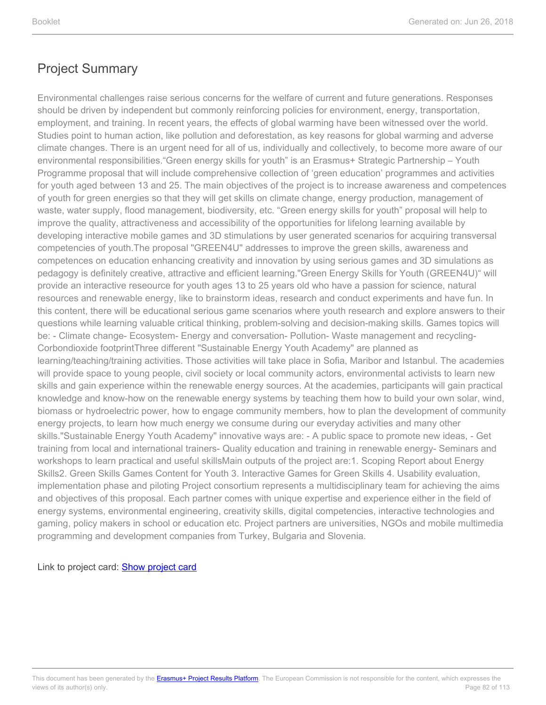Environmental challenges raise serious concerns for the welfare of current and future generations. Responses should be driven by independent but commonly reinforcing policies for environment, energy, transportation, employment, and training. In recent years, the effects of global warming have been witnessed over the world. Studies point to human action, like pollution and deforestation, as key reasons for global warming and adverse climate changes. There is an urgent need for all of us, individually and collectively, to become more aware of our environmental responsibilities."Green energy skills for youth" is an Erasmus+ Strategic Partnership – Youth Programme proposal that will include comprehensive collection of 'green education' programmes and activities for youth aged between 13 and 25. The main objectives of the project is to increase awareness and competences of youth for green energies so that they will get skills on climate change, energy production, management of waste, water supply, flood management, biodiversity, etc. "Green energy skills for youth" proposal will help to improve the quality, attractiveness and accessibility of the opportunities for lifelong learning available by developing interactive mobile games and 3D stimulations by user generated scenarios for acquiring transversal competencies of youth.The proposal "GREEN4U" addresses to improve the green skills, awareness and competences on education enhancing creativity and innovation by using serious games and 3D simulations as pedagogy is definitely creative, attractive and efficient learning."Green Energy Skills for Youth (GREEN4U)" will provide an interactive reseource for youth ages 13 to 25 years old who have a passion for science, natural resources and renewable energy, like to brainstorm ideas, research and conduct experiments and have fun. In this content, there will be educational serious game scenarios where youth research and explore answers to their questions while learning valuable critical thinking, problem-solving and decision-making skills. Games topics will be: - Climate change- Ecosystem- Energy and conversation- Pollution- Waste management and recycling-Corbondioxide footprintThree different "Sustainable Energy Youth Academy" are planned as learning/teaching/training activities. Those activities will take place in Sofia, Maribor and Istanbul. The academies will provide space to young people, civil society or local community actors, environmental activists to learn new skills and gain experience within the renewable energy sources. At the academies, participants will gain practical knowledge and know-how on the renewable energy systems by teaching them how to build your own solar, wind, biomass or hydroelectric pοwer, how to engage community members, how to plan the development of community energy projects, to learn how much energy we consume during our everyday activities and many other skills."Sustainable Energy Youth Academy" innovative ways are: - A public space to promote new ideas, - Get training from local and international trainers- Quality education and training in renewable energy- Seminars and workshops to learn practical and useful skillsMain outputs of the project are:1. Scoping Report about Energy Skills2. Green Skills Games Content for Youth 3. Interactive Games for Green Skills 4. Usability evaluation, implementation phase and piloting Project consortium represents a multidisciplinary team for achieving the aims and objectives of this proposal. Each partner comes with unique expertise and experience either in the field of energy systems, environmental engineering, creativity skills, digital competencies, interactive technologies and gaming, policy makers in school or education etc. Project partners are universities, NGOs and mobile multimedia programming and development companies from Turkey, Bulgaria and Slovenia.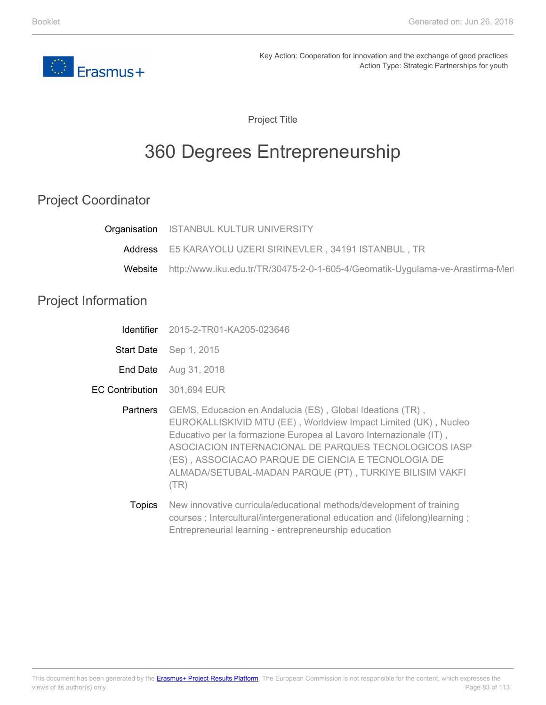

Project Title

# 360 Degrees Entrepreneurship

## Project Coordinator

| Organisation               | <b>ISTANBUL KULTUR UNIVERSITY</b>                                                                                                                                                                                                                                                                                                                                                    |
|----------------------------|--------------------------------------------------------------------------------------------------------------------------------------------------------------------------------------------------------------------------------------------------------------------------------------------------------------------------------------------------------------------------------------|
| Address                    | E5 KARAYOLU UZERI SIRINEVLER, 34191 ISTANBUL, TR                                                                                                                                                                                                                                                                                                                                     |
| Website                    | http://www.iku.edu.tr/TR/30475-2-0-1-605-4/Geomatik-Uygulama-ve-Arastirma-Merl                                                                                                                                                                                                                                                                                                       |
| <b>Project Information</b> |                                                                                                                                                                                                                                                                                                                                                                                      |
| Identifier                 | 2015-2-TR01-KA205-023646                                                                                                                                                                                                                                                                                                                                                             |
| <b>Start Date</b>          | Sep 1, 2015                                                                                                                                                                                                                                                                                                                                                                          |
| End Date                   | Aug 31, 2018                                                                                                                                                                                                                                                                                                                                                                         |
| <b>EC Contribution</b>     | 301,694 EUR                                                                                                                                                                                                                                                                                                                                                                          |
| Partners                   | GEMS, Educacion en Andalucia (ES), Global Ideations (TR),<br>EUROKALLISKIVID MTU (EE), Worldview Impact Limited (UK), Nucleo<br>Educativo per la formazione Europea al Lavoro Internazionale (IT),<br>ASOCIACION INTERNACIONAL DE PARQUES TECNOLOGICOS IASP<br>(ES), ASSOCIACAO PARQUE DE CIENCIA E TECNOLOGIA DE<br>ALMADA/SETUBAL-MADAN PARQUE (PT), TURKIYE BILISIM VAKFI<br>(TR) |
| Topics                     | New innovative curricula/educational methods/development of training                                                                                                                                                                                                                                                                                                                 |

courses ; Intercultural/intergenerational education and (lifelong)learning ;

Entrepreneurial learning - entrepreneurship education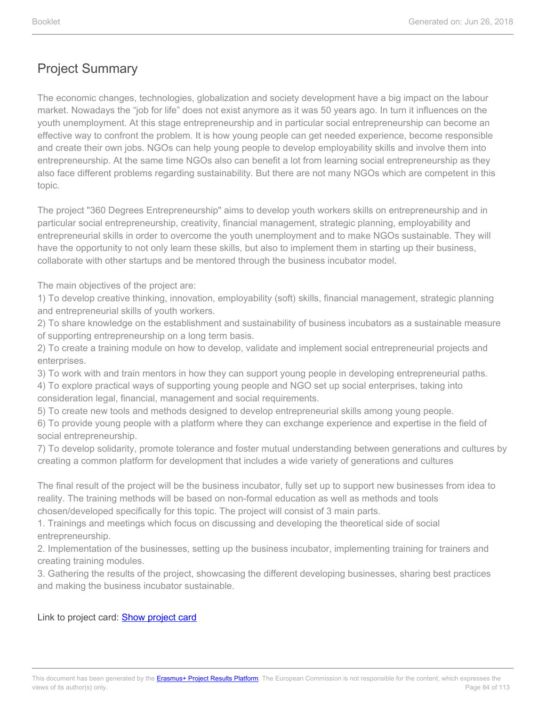The economic changes, technologies, globalization and society development have a big impact on the labour market. Nowadays the "job for life" does not exist anymore as it was 50 years ago. In turn it influences on the youth unemployment. At this stage entrepreneurship and in particular social entrepreneurship can become an effective way to confront the problem. It is how young people can get needed experience, become responsible and create their own jobs. NGOs can help young people to develop employability skills and involve them into entrepreneurship. At the same time NGOs also can benefit a lot from learning social entrepreneurship as they also face different problems regarding sustainability. But there are not many NGOs which are competent in this topic.

The project "360 Degrees Entrepreneurship" aims to develop youth workers skills on entrepreneurship and in particular social entrepreneurship, creativity, financial management, strategic planning, employability and entrepreneurial skills in order to overcome the youth unemployment and to make NGOs sustainable. They will have the opportunity to not only learn these skills, but also to implement them in starting up their business, collaborate with other startups and be mentored through the business incubator model.

The main objectives of the project are:

1) To develop creative thinking, innovation, employability (soft) skills, financial management, strategic planning and entrepreneurial skills of youth workers.

2) To share knowledge on the establishment and sustainability of business incubators as a sustainable measure of supporting entrepreneurship on a long term basis.

2) To create a training module on how to develop, validate and implement social entrepreneurial projects and enterprises.

3) To work with and train mentors in how they can support young people in developing entrepreneurial paths.

4) To explore practical ways of supporting young people and NGO set up social enterprises, taking into consideration legal, financial, management and social requirements.

5) To create new tools and methods designed to develop entrepreneurial skills among young people.

6) To provide young people with a platform where they can exchange experience and expertise in the field of social entrepreneurship.

7) To develop solidarity, promote tolerance and foster mutual understanding between generations and cultures by creating a common platform for development that includes a wide variety of generations and cultures

The final result of the project will be the business incubator, fully set up to support new businesses from idea to reality. The training methods will be based on non-formal education as well as methods and tools chosen/developed specifically for this topic. The project will consist of 3 main parts.

1. Trainings and meetings which focus on discussing and developing the theoretical side of social entrepreneurship.

2. Implementation of the businesses, setting up the business incubator, implementing training for trainers and creating training modules.

3. Gathering the results of the project, showcasing the different developing businesses, sharing best practices and making the business incubator sustainable.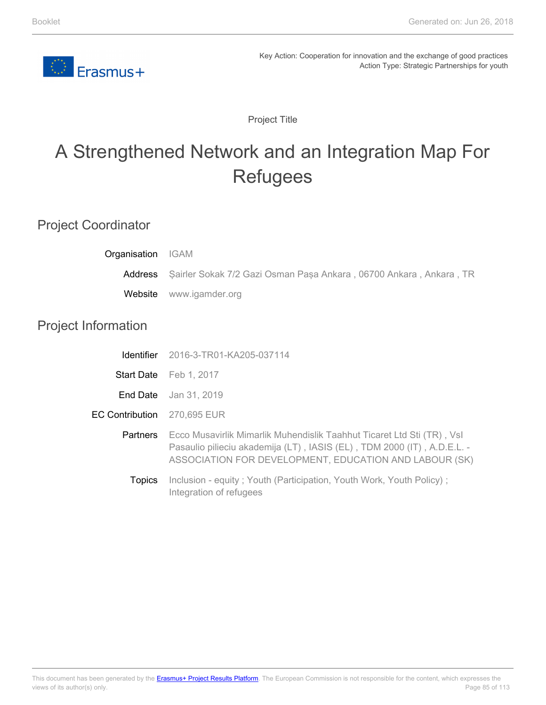

Project Title

# A Strengthened Network and an Integration Map For **Refugees**

### Project Coordinator

| Organisation               | <b>IGAM</b>                                                                                                                                                                                                 |
|----------------------------|-------------------------------------------------------------------------------------------------------------------------------------------------------------------------------------------------------------|
| Address                    | Şairler Sokak 7/2 Gazi Osman Paşa Ankara, 06700 Ankara, Ankara, TR                                                                                                                                          |
| Website                    | www.igamder.org                                                                                                                                                                                             |
| <b>Project Information</b> |                                                                                                                                                                                                             |
| <b>Identifier</b>          | 2016-3-TR01-KA205-037114                                                                                                                                                                                    |
| <b>Start Date</b>          | Feb 1, 2017                                                                                                                                                                                                 |
| End Date                   | Jan 31, 2019                                                                                                                                                                                                |
| <b>EC Contribution</b>     | 270,695 EUR                                                                                                                                                                                                 |
| <b>Partners</b>            | Ecco Musavirlik Mimarlik Muhendislik Taahhut Ticaret Ltd Sti (TR), Vsl<br>Pasaulio pilieciu akademija (LT), IASIS (EL), TDM 2000 (IT), A.D.E.L. -<br>ASSOCIATION FOR DEVELOPMENT, EDUCATION AND LABOUR (SK) |
| <b>Topics</b>              | Inclusion - equity; Youth (Participation, Youth Work, Youth Policy);<br>Integration of refugees                                                                                                             |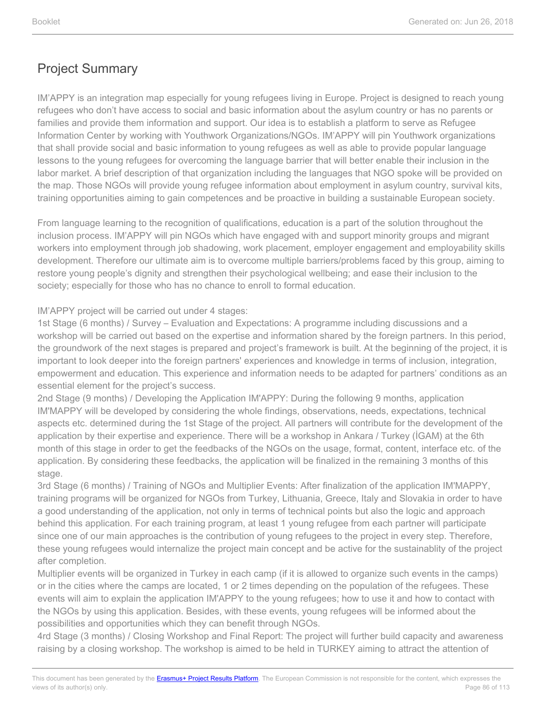IM'APPY is an integration map especially for young refugees living in Europe. Project is designed to reach young refugees who don't have access to social and basic information about the asylum country or has no parents or families and provide them information and support. Our idea is to establish a platform to serve as Refugee Information Center by working with Youthwork Organizations/NGOs. IM'APPY will pin Youthwork organizations that shall provide social and basic information to young refugees as well as able to provide popular language lessons to the young refugees for overcoming the language barrier that will better enable their inclusion in the labor market. A brief description of that organization including the languages that NGO spoke will be provided on the map. Those NGOs will provide young refugee information about employment in asylum country, survival kits, training opportunities aiming to gain competences and be proactive in building a sustainable European society.

From language learning to the recognition of qualifications, education is a part of the solution throughout the inclusion process. IM'APPY will pin NGOs which have engaged with and support minority groups and migrant workers into employment through job shadowing, work placement, employer engagement and employability skills development. Therefore our ultimate aim is to overcome multiple barriers/problems faced by this group, aiming to restore young people's dignity and strengthen their psychological wellbeing; and ease their inclusion to the society; especially for those who has no chance to enroll to formal education.

IM'APPY project will be carried out under 4 stages:

1st Stage (6 months) / Survey – Evaluation and Expectations: A programme including discussions and a workshop will be carried out based on the expertise and information shared by the foreign partners. In this period, the groundwork of the next stages is prepared and project's framework is built. At the beginning of the project, it is important to look deeper into the foreign partners' experiences and knowledge in terms of inclusion, integration, empowerment and education. This experience and information needs to be adapted for partners' conditions as an essential element for the project's success.

2nd Stage (9 months) / Developing the Application IM'APPY: During the following 9 months, application IM'MAPPY will be developed by considering the whole findings, observations, needs, expectations, technical aspects etc. determined during the 1st Stage of the project. All partners will contribute for the development of the application by their expertise and experience. There will be a workshop in Ankara / Turkey (İGAM) at the 6th month of this stage in order to get the feedbacks of the NGOs on the usage, format, content, interface etc. of the application. By considering these feedbacks, the application will be finalized in the remaining 3 months of this stage.

3rd Stage (6 months) / Training of NGOs and Multiplier Events: After finalization of the application IM'MAPPY, training programs will be organized for NGOs from Turkey, Lithuania, Greece, Italy and Slovakia in order to have a good understanding of the application, not only in terms of technical points but also the logic and approach behind this application. For each training program, at least 1 young refugee from each partner will participate since one of our main approaches is the contribution of young refugees to the project in every step. Therefore, these young refugees would internalize the project main concept and be active for the sustainablity of the project after completion.

Multiplier events will be organized in Turkey in each camp (if it is allowed to organize such events in the camps) or in the cities where the camps are located, 1 or 2 times depending on the population of the refugees. These events will aim to explain the application IM'APPY to the young refugees; how to use it and how to contact with the NGOs by using this application. Besides, with these events, young refugees will be informed about the possibilities and opportunities which they can benefit through NGOs.

4rd Stage (3 months) / Closing Workshop and Final Report: The project will further build capacity and awareness raising by a closing workshop. The workshop is aimed to be held in TURKEY aiming to attract the attention of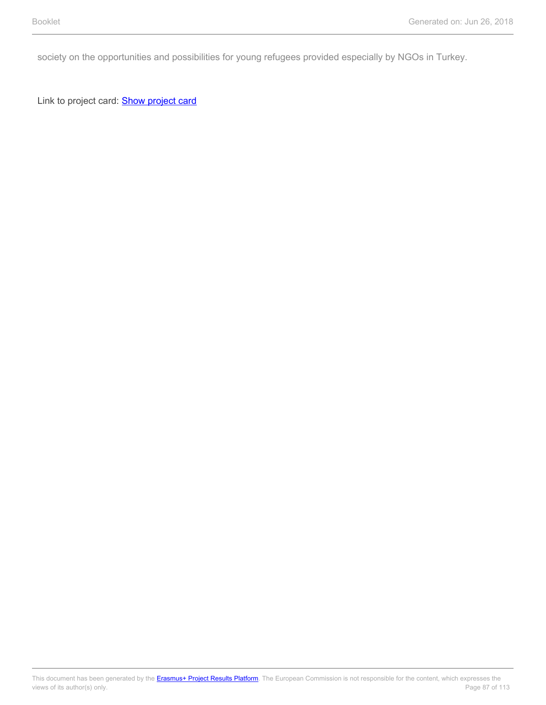society on the opportunities and possibilities for young refugees provided especially by NGOs in Turkey.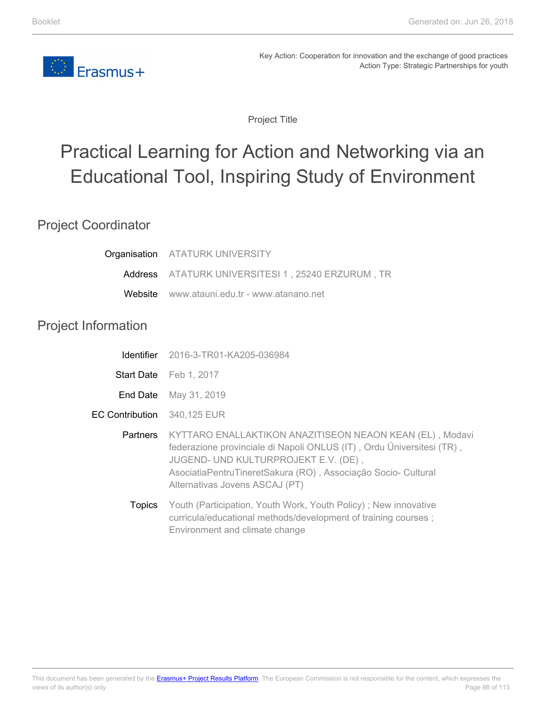

Project Title

# Practical Learning for Action and Networking via an Educational Tool, Inspiring Study of Environment

### Project Coordinator

|                             | Organisation ATATURK UNIVERSITY                                                                                                                                                                                                                                              |
|-----------------------------|------------------------------------------------------------------------------------------------------------------------------------------------------------------------------------------------------------------------------------------------------------------------------|
|                             | Address ATATURK UNIVERSITESI 1, 25240 ERZURUM, TR                                                                                                                                                                                                                            |
|                             | Website www.atauni.edu.tr - www.atanano.net                                                                                                                                                                                                                                  |
| <b>Project Information</b>  |                                                                                                                                                                                                                                                                              |
|                             | <b>Identifier</b> 2016-3-TR01-KA205-036984                                                                                                                                                                                                                                   |
|                             | Start Date Feb 1, 2017                                                                                                                                                                                                                                                       |
| End Date                    | May 31, 2019                                                                                                                                                                                                                                                                 |
| EC Contribution 340,125 EUR |                                                                                                                                                                                                                                                                              |
| <b>Partners</b>             | KYTTARO ENALLAKTIKON ANAZITISEON NEAON KEAN (EL), Modavi<br>federazione provinciale di Napoli ONLUS (IT), Ordu Üniversitesi (TR),<br>JUGEND- UND KULTURPROJEKT E.V. (DE),<br>AsociatiaPentruTineretSakura (RO), Associação Socio- Cultural<br>Alternativas Jovens ASCAJ (PT) |
| <b>Topics</b>               | Youth (Participation, Youth Work, Youth Policy); New innovative<br>curricula/educational methods/development of training courses;<br>Environment and climate change                                                                                                          |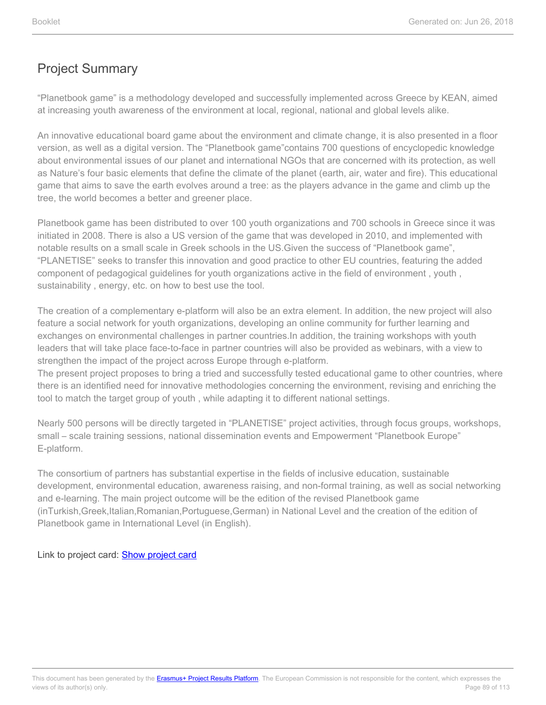"Planetbook game" is a methodology developed and successfully implemented across Greece by KEAN, aimed at increasing youth awareness of the environment at local, regional, national and global levels alike.

An innovative educational board game about the environment and climate change, it is also presented in a floor version, as well as a digital version. The "Planetbook game"contains 700 questions of encyclopedic knowledge about environmental issues of our planet and international NGOs that are concerned with its protection, as well as Nature's four basic elements that define the climate of the planet (earth, air, water and fire). This educational game that aims to save the earth evolves around a tree: as the players advance in the game and climb up the tree, the world becomes a better and greener place.

Planetbook game has been distributed to over 100 youth organizations and 700 schools in Greece since it was initiated in 2008. There is also a US version of the game that was developed in 2010, and implemented with notable results on a small scale in Greek schools in the US.Given the success of "Planetbook game", "PLANETISE" seeks to transfer this innovation and good practice to other EU countries, featuring the added component of pedagogical guidelines for youth organizations active in the field of environment , youth , sustainability , energy, etc. on how to best use the tool.

The creation of a complementary e-platform will also be an extra element. In addition, the new project will also feature a social network for youth organizations, developing an online community for further learning and exchanges on environmental challenges in partner countries.In addition, the training workshops with youth leaders that will take place face-to-face in partner countries will also be provided as webinars, with a view to strengthen the impact of the project across Europe through e-platform.

The present project proposes to bring a tried and successfully tested educational game to other countries, where there is an identified need for innovative methodologies concerning the environment, revising and enriching the tool to match the target group of youth , while adapting it to different national settings.

Nearly 500 persons will be directly targeted in "PLANETISE" project activities, through focus groups, workshops, small – scale training sessions, national dissemination events and Empowerment "Planetbook Europe" E-platform.

The consortium of partners has substantial expertise in the fields of inclusive education, sustainable development, environmental education, awareness raising, and non-formal training, as well as social networking and e-learning. The main project outcome will be the edition of the revised Planetbook game (inTurkish,Greek,Italian,Romanian,Portuguese,German) in National Level and the creation of the edition of Planetbook game in International Level (in English).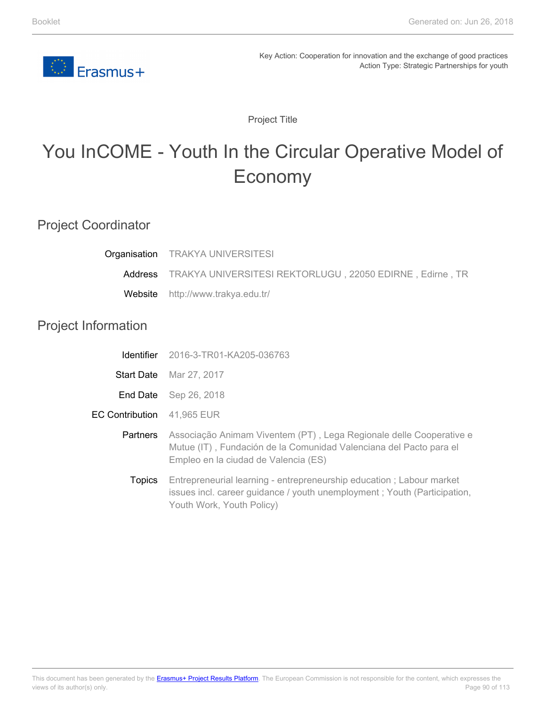

Project Title

# You InCOME - Youth In the Circular Operative Model of Economy

### Project Coordinator

| Organisation               | <b>TRAKYA UNIVERSITESI</b>                                                                                                                                                        |
|----------------------------|-----------------------------------------------------------------------------------------------------------------------------------------------------------------------------------|
| Address                    | TRAKYA UNIVERSITESI REKTORLUGU, 22050 EDIRNE, Edirne, TR                                                                                                                          |
| Website                    | http://www.trakya.edu.tr/                                                                                                                                                         |
| <b>Project Information</b> |                                                                                                                                                                                   |
| <b>Identifier</b>          | 2016-3-TR01-KA205-036763                                                                                                                                                          |
| <b>Start Date</b>          | Mar 27, 2017                                                                                                                                                                      |
|                            | <b>End Date</b> Sep 26, 2018                                                                                                                                                      |
| <b>EC Contribution</b>     | 41,965 EUR                                                                                                                                                                        |
| Partners                   | Associação Animam Viventem (PT), Lega Regionale delle Cooperative e<br>Mutue (IT), Fundación de la Comunidad Valenciana del Pacto para el<br>Empleo en la ciudad de Valencia (ES) |
| <b>Topics</b>              | Entrepreneurial learning - entrepreneurship education; Labour market<br>issues incl. career guidance / youth unemployment; Youth (Participation,<br>Youth Work, Youth Policy)     |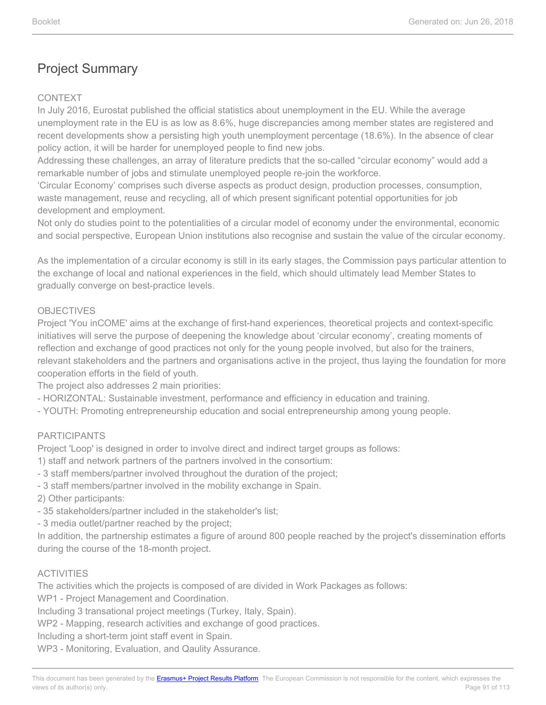#### CONTEXT

In July 2016, Eurostat published the official statistics about unemployment in the EU. While the average unemployment rate in the EU is as low as 8.6%, huge discrepancies among member states are registered and recent developments show a persisting high youth unemployment percentage (18.6%). In the absence of clear policy action, it will be harder for unemployed people to find new jobs.

Addressing these challenges, an array of literature predicts that the so-called "circular economy" would add a remarkable number of jobs and stimulate unemployed people re-join the workforce.

'Circular Economy' comprises such diverse aspects as product design, production processes, consumption, waste management, reuse and recycling, all of which present significant potential opportunities for job development and employment.

Not only do studies point to the potentialities of a circular model of economy under the environmental, economic and social perspective, European Union institutions also recognise and sustain the value of the circular economy.

As the implementation of a circular economy is still in its early stages, the Commission pays particular attention to the exchange of local and national experiences in the field, which should ultimately lead Member States to gradually converge on best-practice levels.

#### OBJECTIVES

Project 'You inCOME' aims at the exchange of first-hand experiences, theoretical projects and context-specific initiatives will serve the purpose of deepening the knowledge about 'circular economy', creating moments of reflection and exchange of good practices not only for the young people involved, but also for the trainers, relevant stakeholders and the partners and organisations active in the project, thus laying the foundation for more cooperation efforts in the field of youth.

The project also addresses 2 main priorities:

- HORIZONTAL: Sustainable investment, performance and efficiency in education and training.
- YOUTH: Promoting entrepreneurship education and social entrepreneurship among young people.

#### PARTICIPANTS

Project 'Loop' is designed in order to involve direct and indirect target groups as follows:

- 1) staff and network partners of the partners involved in the consortium:
- 3 staff members/partner involved throughout the duration of the project;
- 3 staff members/partner involved in the mobility exchange in Spain.

2) Other participants:

- 35 stakeholders/partner included in the stakeholder's list;
- 3 media outlet/partner reached by the project;

In addition, the partnership estimates a figure of around 800 people reached by the project's dissemination efforts during the course of the 18-month project.

#### ACTIVITIES

The activities which the projects is composed of are divided in Work Packages as follows:

WP1 - Project Management and Coordination.

Including 3 transational project meetings (Turkey, Italy, Spain).

WP2 - Mapping, research activities and exchange of good practices.

Including a short-term joint staff event in Spain.

WP3 - Monitoring, Evaluation, and Qaulity Assurance.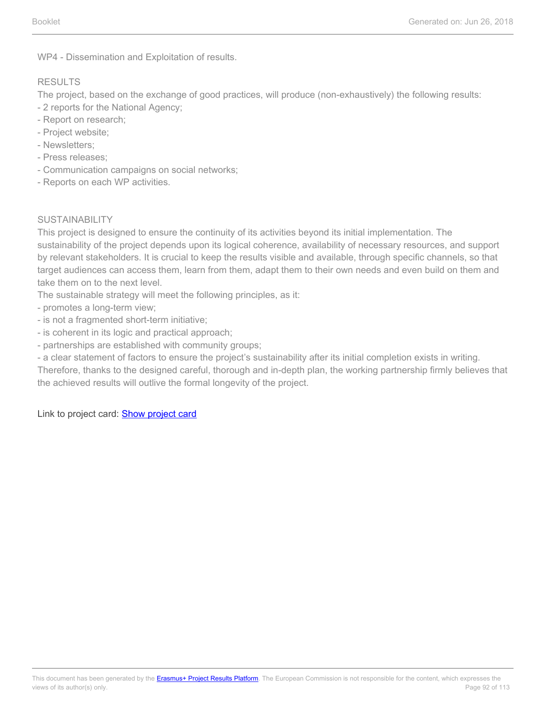WP4 - Dissemination and Exploitation of results.

#### RESULTS

The project, based on the exchange of good practices, will produce (non-exhaustively) the following results:

- 2 reports for the National Agency;
- Report on research;
- Project website;
- Newsletters;
- Press releases;
- Communication campaigns on social networks;
- Reports on each WP activities.

#### SUSTAINABILITY

This project is designed to ensure the continuity of its activities beyond its initial implementation. The sustainability of the project depends upon its logical coherence, availability of necessary resources, and support by relevant stakeholders. It is crucial to keep the results visible and available, through specific channels, so that target audiences can access them, learn from them, adapt them to their own needs and even build on them and take them on to the next level.

The sustainable strategy will meet the following principles, as it:

- promotes a long-term view;
- is not a fragmented short-term initiative;
- is coherent in its logic and practical approach;
- partnerships are established with community groups;
- a clear statement of factors to ensure the project's sustainability after its initial completion exists in writing.

Therefore, thanks to the designed careful, thorough and in-depth plan, the working partnership firmly believes that the achieved results will outlive the formal longevity of the project.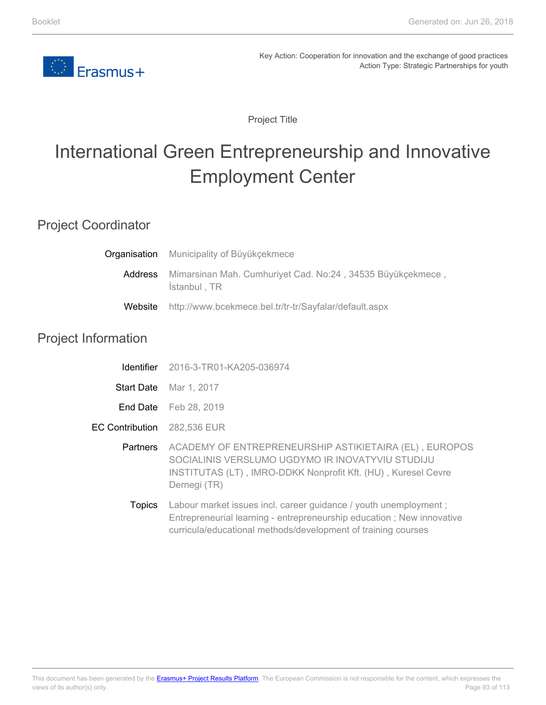

Project Title

# International Green Entrepreneurship and Innovative Employment Center

### Project Coordinator

|         | <b>Organisation</b> Municipality of Büyükçekmece                           |
|---------|----------------------------------------------------------------------------|
| Address | Mimarsinan Mah. Cumhuriyet Cad. No:24, 34535 Büyükçekmece,<br>İstanbul, TR |
| Website | http://www.bcekmece.bel.tr/tr-tr/Sayfalar/default.aspx                     |

### Project Information

| Identifier | 2016-3-TR01-KA205-036974 |
|------------|--------------------------|
|------------|--------------------------|

- **Start Date** Mar 1, 2017
- **End Date** Feb 28, 2019
- EC Contribution 282,536 EUR

**Partners** ACADEMY OF ENTREPRENEURSHIP ASTIKIETAIRA (EL) , EUROPOS SOCIALINIS VERSLUMO UGDYMO IR INOVATYVIU STUDIJU INSTITUTAS (LT) , IMRO-DDKK Nonprofit Kft. (HU) , Kuresel Cevre Dernegi (TR)

**Topics** Labour market issues incl. career quidance / youth unemployment ; Entrepreneurial learning - entrepreneurship education ; New innovative curricula/educational methods/development of training courses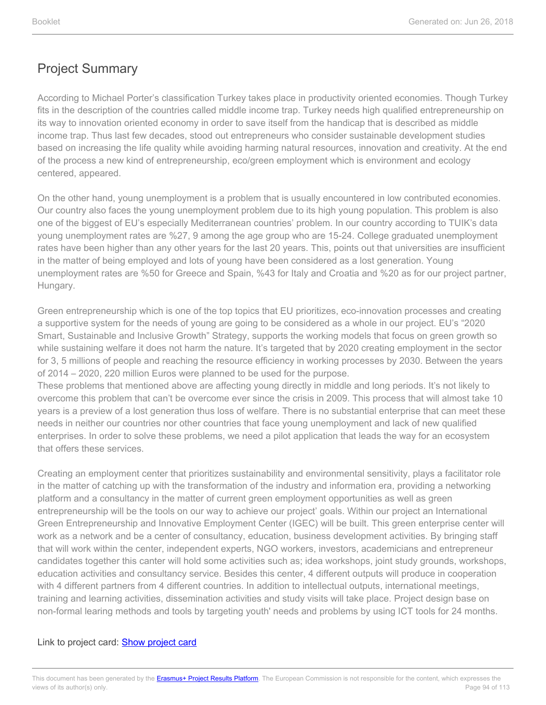According to Michael Porter's classification Turkey takes place in productivity oriented economies. Though Turkey fits in the description of the countries called middle income trap. Turkey needs high qualified entrepreneurship on its way to innovation oriented economy in order to save itself from the handicap that is described as middle income trap. Thus last few decades, stood out entrepreneurs who consider sustainable development studies based on increasing the life quality while avoiding harming natural resources, innovation and creativity. At the end of the process a new kind of entrepreneurship, eco/green employment which is environment and ecology centered, appeared.

On the other hand, young unemployment is a problem that is usually encountered in low contributed economies. Our country also faces the young unemployment problem due to its high young population. This problem is also one of the biggest of EU's especially Mediterranean countries' problem. In our country according to TUIK's data young unemployment rates are %27, 9 among the age group who are 15-24. College graduated unemployment rates have been higher than any other years for the last 20 years. This, points out that universities are insufficient in the matter of being employed and lots of young have been considered as a lost generation. Young unemployment rates are %50 for Greece and Spain, %43 for Italy and Croatia and %20 as for our project partner, Hungary.

Green entrepreneurship which is one of the top topics that EU prioritizes, eco-innovation processes and creating a supportive system for the needs of young are going to be considered as a whole in our project. EU's "2020 Smart, Sustainable and Inclusive Growth" Strategy, supports the working models that focus on green growth so while sustaining welfare it does not harm the nature. It's targeted that by 2020 creating employment in the sector for 3, 5 millions of people and reaching the resource efficiency in working processes by 2030. Between the years of 2014 – 2020, 220 million Euros were planned to be used for the purpose.

These problems that mentioned above are affecting young directly in middle and long periods. It's not likely to overcome this problem that can't be overcome ever since the crisis in 2009. This process that will almost take 10 years is a preview of a lost generation thus loss of welfare. There is no substantial enterprise that can meet these needs in neither our countries nor other countries that face young unemployment and lack of new qualified enterprises. In order to solve these problems, we need a pilot application that leads the way for an ecosystem that offers these services.

Creating an employment center that prioritizes sustainability and environmental sensitivity, plays a facilitator role in the matter of catching up with the transformation of the industry and information era, providing a networking platform and a consultancy in the matter of current green employment opportunities as well as green entrepreneurship will be the tools on our way to achieve our project' goals. Within our project an International Green Entrepreneurship and Innovative Employment Center (IGEC) will be built. This green enterprise center will work as a network and be a center of consultancy, education, business development activities. By bringing staff that will work within the center, independent experts, NGO workers, investors, academicians and entrepreneur candidates together this canter will hold some activities such as; idea workshops, joint study grounds, workshops, education activities and consultancy service. Besides this center, 4 different outputs will produce in cooperation with 4 different partners from 4 different countries. In addition to intellectual outputs, international meetings, training and learning activities, dissemination activities and study visits will take place. Project design base on non-formal learing methods and tools by targeting youth' needs and problems by using ICT tools for 24 months.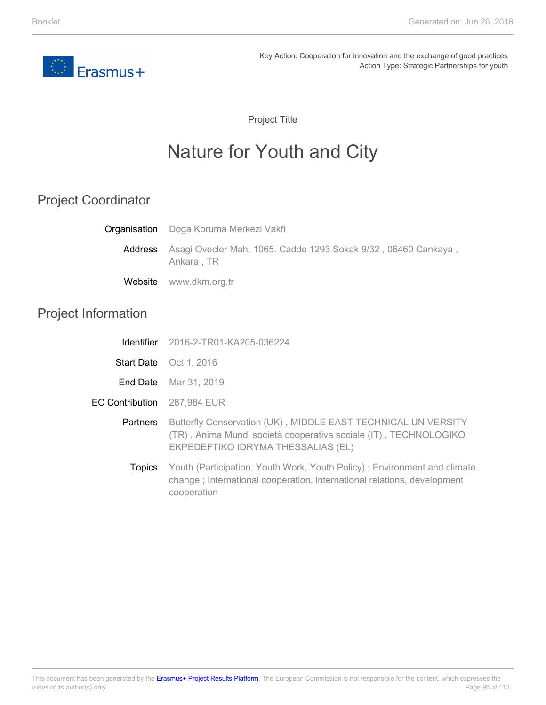

Project Title

# Nature for Youth and City

## Project Coordinator

|                            | <b>Organisation</b> Doga Koruma Merkezi Vakfi                                                                                                                           |
|----------------------------|-------------------------------------------------------------------------------------------------------------------------------------------------------------------------|
| <b>Address</b>             | Asagi Ovecler Mah. 1065. Cadde 1293 Sokak 9/32, 06460 Cankaya,<br>Ankara, TR                                                                                            |
| Website                    | www.dkm.org.tr                                                                                                                                                          |
| <b>Project Information</b> |                                                                                                                                                                         |
| <b>Identifier</b>          | 2016-2-TR01-KA205-036224                                                                                                                                                |
|                            | Start Date Oct 1, 2016                                                                                                                                                  |
| End Date                   | Mar 31, 2019                                                                                                                                                            |
| <b>EC Contribution</b>     | 287,984 EUR                                                                                                                                                             |
| Partners                   | Butterfly Conservation (UK), MIDDLE EAST TECHNICAL UNIVERSITY<br>(TR), Anima Mundi società cooperativa sociale (IT), TECHNOLOGIKO<br>EKPEDEFTIKO IDRYMA THESSALIAS (EL) |
| Topics                     | Youth (Participation, Youth Work, Youth Policy); Environment and climate<br>change; International cooperation, international relations, development                     |

cooperation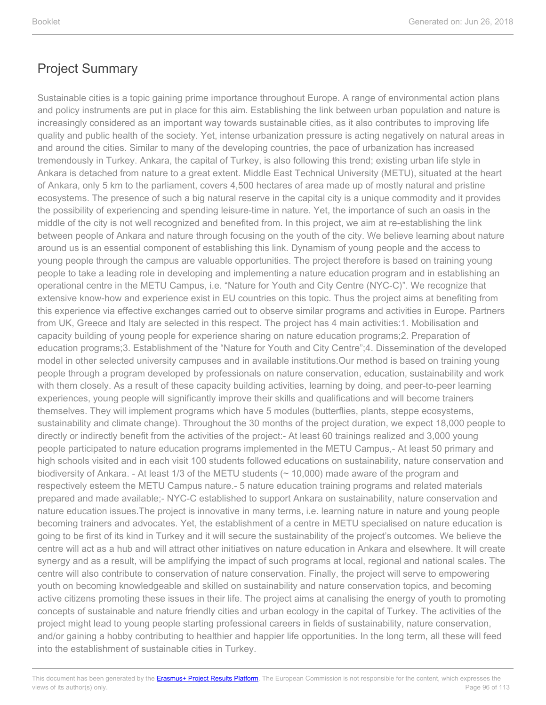Sustainable cities is a topic gaining prime importance throughout Europe. A range of environmental action plans and policy instruments are put in place for this aim. Establishing the link between urban population and nature is increasingly considered as an important way towards sustainable cities, as it also contributes to improving life quality and public health of the society. Yet, intense urbanization pressure is acting negatively on natural areas in and around the cities. Similar to many of the developing countries, the pace of urbanization has increased tremendously in Turkey. Ankara, the capital of Turkey, is also following this trend; existing urban life style in Ankara is detached from nature to a great extent. Middle East Technical University (METU), situated at the heart of Ankara, only 5 km to the parliament, covers 4,500 hectares of area made up of mostly natural and pristine ecosystems. The presence of such a big natural reserve in the capital city is a unique commodity and it provides the possibility of experiencing and spending leisure-time in nature. Yet, the importance of such an oasis in the middle of the city is not well recognized and benefited from. In this project, we aim at re-establishing the link between people of Ankara and nature through focusing on the youth of the city. We believe learning about nature around us is an essential component of establishing this link. Dynamism of young people and the access to young people through the campus are valuable opportunities. The project therefore is based on training young people to take a leading role in developing and implementing a nature education program and in establishing an operational centre in the METU Campus, i.e. "Nature for Youth and City Centre (NYC-C)". We recognize that extensive know-how and experience exist in EU countries on this topic. Thus the project aims at benefiting from this experience via effective exchanges carried out to observe similar programs and activities in Europe. Partners from UK, Greece and Italy are selected in this respect. The project has 4 main activities:1. Mobilisation and capacity building of young people for experience sharing on nature education programs;2. Preparation of education programs;3. Establishment of the "Nature for Youth and City Centre";4. Dissemination of the developed model in other selected university campuses and in available institutions.Our method is based on training young people through a program developed by professionals on nature conservation, education, sustainability and work with them closely. As a result of these capacity building activities, learning by doing, and peer-to-peer learning experiences, young people will significantly improve their skills and qualifications and will become trainers themselves. They will implement programs which have 5 modules (butterflies, plants, steppe ecosystems, sustainability and climate change). Throughout the 30 months of the project duration, we expect 18,000 people to directly or indirectly benefit from the activities of the project:- At least 60 trainings realized and 3,000 young people participated to nature education programs implemented in the METU Campus,- At least 50 primary and high schools visited and in each visit 100 students followed educations on sustainability, nature conservation and biodiversity of Ankara. - At least 1/3 of the METU students (~ 10,000) made aware of the program and respectively esteem the METU Campus nature.- 5 nature education training programs and related materials prepared and made available;- NYC-C established to support Ankara on sustainability, nature conservation and nature education issues.The project is innovative in many terms, i.e. learning nature in nature and young people becoming trainers and advocates. Yet, the establishment of a centre in METU specialised on nature education is going to be first of its kind in Turkey and it will secure the sustainability of the project's outcomes. We believe the centre will act as a hub and will attract other initiatives on nature education in Ankara and elsewhere. It will create synergy and as a result, will be amplifying the impact of such programs at local, regional and national scales. The centre will also contribute to conservation of nature conservation. Finally, the project will serve to empowering youth on becoming knowledgeable and skilled on sustainability and nature conservation topics, and becoming active citizens promoting these issues in their life. The project aims at canalising the energy of youth to promoting concepts of sustainable and nature friendly cities and urban ecology in the capital of Turkey. The activities of the project might lead to young people starting professional careers in fields of sustainability, nature conservation, and/or gaining a hobby contributing to healthier and happier life opportunities. In the long term, all these will feed into the establishment of sustainable cities in Turkey.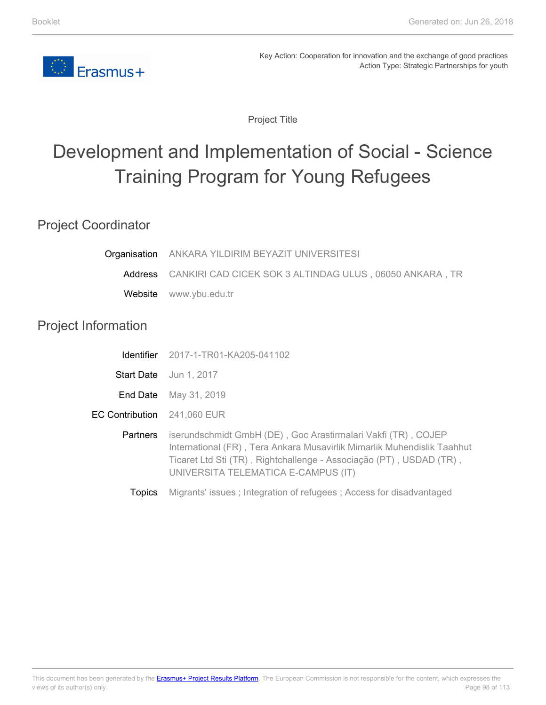

Project Title

# Development and Implementation of Social - Science Training Program for Young Refugees

### Project Coordinator

Project

| Organisation           | ANKARA YILDIRIM BEYAZIT UNIVERSITESI                                                                                                                                                                                                                   |
|------------------------|--------------------------------------------------------------------------------------------------------------------------------------------------------------------------------------------------------------------------------------------------------|
| Address                | CANKIRI CAD CICEK SOK 3 ALTINDAG ULUS, 06050 ANKARA, TR                                                                                                                                                                                                |
| Website                | www.ybu.edu.tr                                                                                                                                                                                                                                         |
| Information            |                                                                                                                                                                                                                                                        |
| Identifier             | 2017-1-TR01-KA205-041102                                                                                                                                                                                                                               |
|                        | Start Date Jun 1, 2017                                                                                                                                                                                                                                 |
| End Date               | May 31, 2019                                                                                                                                                                                                                                           |
| <b>EC Contribution</b> | 241,060 EUR                                                                                                                                                                                                                                            |
| Partners               | iserundschmidt GmbH (DE), Goc Arastirmalari Vakfi (TR), COJEP<br>International (FR), Tera Ankara Musavirlik Mimarlik Muhendislik Taahhut<br>Ticaret Ltd Sti (TR), Rightchallenge - Associação (PT), USDAD (TR),<br>UNIVERSITA TELEMATICA E-CAMPUS (IT) |
| <b>Topics</b>          | Migrants' issues; Integration of refugees; Access for disadvantaged                                                                                                                                                                                    |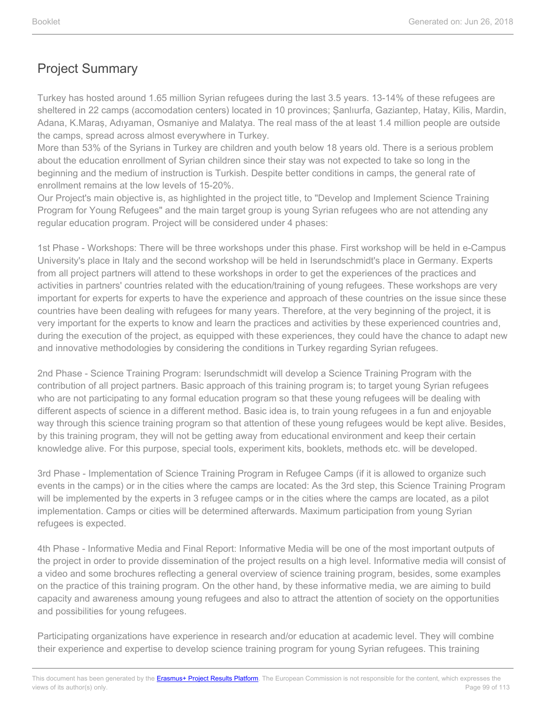Turkey has hosted around 1.65 million Syrian refugees during the last 3.5 years. 13-14% of these refugees are sheltered in 22 camps (accomodation centers) located in 10 provinces; Şanlıurfa, Gaziantep, Hatay, Kilis, Mardin, Adana, K.Maraş, Adıyaman, Osmaniye and Malatya. The real mass of the at least 1.4 million people are outside the camps, spread across almost everywhere in Turkey.

More than 53% of the Syrians in Turkey are children and youth below 18 years old. There is a serious problem about the education enrollment of Syrian children since their stay was not expected to take so long in the beginning and the medium of instruction is Turkish. Despite better conditions in camps, the general rate of enrollment remains at the low levels of 15-20%.

Our Project's main objective is, as highlighted in the project title, to "Develop and Implement Science Training Program for Young Refugees" and the main target group is young Syrian refugees who are not attending any regular education program. Project will be considered under 4 phases:

1st Phase - Workshops: There will be three workshops under this phase. First workshop will be held in e-Campus University's place in Italy and the second workshop will be held in Iserundschmidt's place in Germany. Experts from all project partners will attend to these workshops in order to get the experiences of the practices and activities in partners' countries related with the education/training of young refugees. These workshops are very important for experts for experts to have the experience and approach of these countries on the issue since these countries have been dealing with refugees for many years. Therefore, at the very beginning of the project, it is very important for the experts to know and learn the practices and activities by these experienced countries and, during the execution of the project, as equipped with these experiences, they could have the chance to adapt new and innovative methodologies by considering the conditions in Turkey regarding Syrian refugees.

2nd Phase - Science Training Program: Iserundschmidt will develop a Science Training Program with the contribution of all project partners. Basic approach of this training program is; to target young Syrian refugees who are not participating to any formal education program so that these young refugees will be dealing with different aspects of science in a different method. Basic idea is, to train young refugees in a fun and enjoyable way through this science training program so that attention of these young refugees would be kept alive. Besides, by this training program, they will not be getting away from educational environment and keep their certain knowledge alive. For this purpose, special tools, experiment kits, booklets, methods etc. will be developed.

3rd Phase - Implementation of Science Training Program in Refugee Camps (if it is allowed to organize such events in the camps) or in the cities where the camps are located: As the 3rd step, this Science Training Program will be implemented by the experts in 3 refugee camps or in the cities where the camps are located, as a pilot implementation. Camps or cities will be determined afterwards. Maximum participation from young Syrian refugees is expected.

4th Phase - Informative Media and Final Report: Informative Media will be one of the most important outputs of the project in order to provide dissemination of the project results on a high level. Informative media will consist of a video and some brochures reflecting a general overview of science training program, besides, some examples on the practice of this training program. On the other hand, by these informative media, we are aiming to build capacity and awareness amoung young refugees and also to attract the attention of society on the opportunities and possibilities for young refugees.

Participating organizations have experience in research and/or education at academic level. They will combine their experience and expertise to develop science training program for young Syrian refugees. This training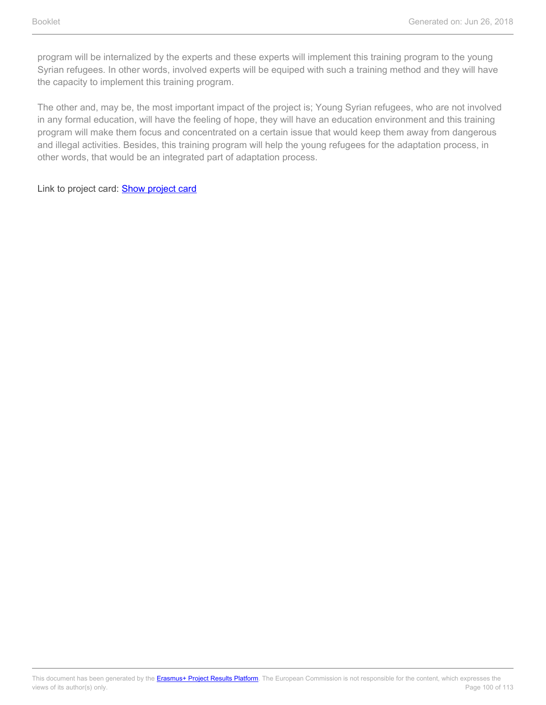program will be internalized by the experts and these experts will implement this training program to the young Syrian refugees. In other words, involved experts will be equiped with such a training method and they will have the capacity to implement this training program.

The other and, may be, the most important impact of the project is; Young Syrian refugees, who are not involved in any formal education, will have the feeling of hope, they will have an education environment and this training program will make them focus and concentrated on a certain issue that would keep them away from dangerous and illegal activities. Besides, this training program will help the young refugees for the adaptation process, in other words, that would be an integrated part of adaptation process.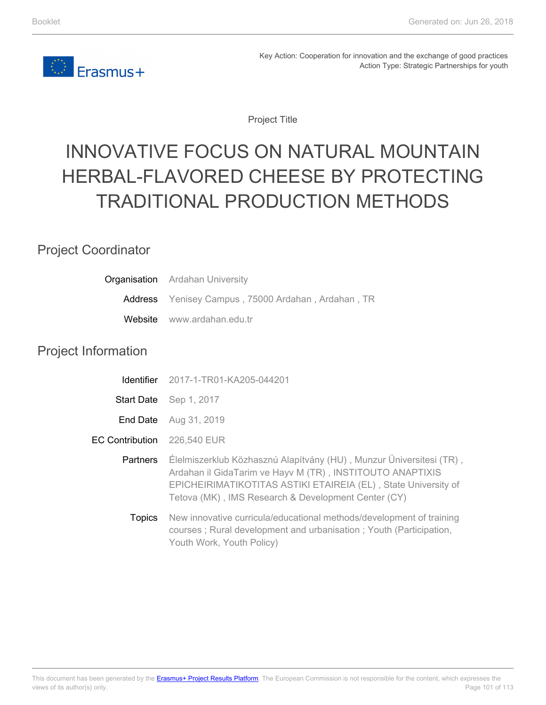

Project Title

# INNOVATIVE FOCUS ON NATURAL MOUNTAIN HERBAL-FLAVORED CHEESE BY PROTECTING TRADITIONAL PRODUCTION METHODS

### Project Coordinator

| <b>Organisation</b> Ardahan University             |
|----------------------------------------------------|
| Address Yenisey Campus, 75000 Ardahan, Ardahan, TR |
| Website www.ardahan.edu.tr                         |

### Project Information

| <b>Identifier</b> | 2017-1-TR01-KA205-044201                                                                                                                                                                                                                                  |
|-------------------|-----------------------------------------------------------------------------------------------------------------------------------------------------------------------------------------------------------------------------------------------------------|
| <b>Start Date</b> | Sep 1, 2017                                                                                                                                                                                                                                               |
| End Date          | Aug 31, 2019                                                                                                                                                                                                                                              |
| EC Contribution   | 226,540 EUR                                                                                                                                                                                                                                               |
| <b>Partners</b>   | Élelmiszerklub Közhasznú Alapítvány (HU), Munzur Üniversitesi (TR),<br>Ardahan il GidaTarim ve Hayv M (TR), INSTITOUTO ANAPTIXIS<br>EPICHEIRIMATIKOTITAS ASTIKI ETAIREIA (EL), State University of<br>Tetova (MK), IMS Research & Development Center (CY) |
| <b>Topics</b>     | New innovative curricula/educational methods/development of training<br>courses; Rural development and urbanisation; Youth (Participation,<br>Youth Work, Youth Policy)                                                                                   |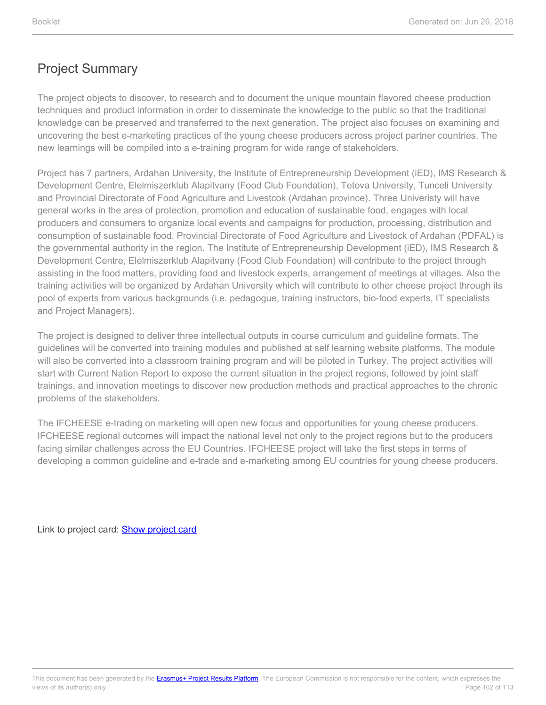The project objects to discover, to research and to document the unique mountain flavored cheese production techniques and product information in order to disseminate the knowledge to the public so that the traditional knowledge can be preserved and transferred to the next generation. The project also focuses on examining and uncovering the best e-marketing practices of the young cheese producers across project partner countries. The new learnings will be compiled into a e-training program for wide range of stakeholders.

Project has 7 partners, Ardahan University, the Institute of Entrepreneurship Development (iED), IMS Research & Development Centre, Elelmiszerklub Alapitvany (Food Club Foundation), Tetova University, Tunceli University and Provincial Directorate of Food Agriculture and Livestcok (Ardahan province). Three Univeristy will have general works in the area of protection, promotion and education of sustainable food, engages with local producers and consumers to organize local events and campaigns for production, processing, distribution and consumption of sustainable food. Provincial Directorate of Food Agriculture and Livestock of Ardahan (PDFAL) is the governmental authority in the region. The Institute of Entrepreneurship Development (iED), IMS Research & Development Centre, Elelmiszerklub Alapitvany (Food Club Foundation) will contribute to the project through assisting in the food matters, providing food and livestock experts, arrangement of meetings at villages. Also the training activities will be organized by Ardahan University which will contribute to other cheese project through its pool of experts from various backgrounds (i.e. pedagogue, training instructors, bio-food experts, IT specialists and Project Managers).

The project is designed to deliver three intellectual outputs in course curriculum and guideline formats. The guidelines will be converted into training modules and published at self learning website platforms. The module will also be converted into a classroom training program and will be piloted in Turkey. The project activities will start with Current Nation Report to expose the current situation in the project regions, followed by joint staff trainings, and innovation meetings to discover new production methods and practical approaches to the chronic problems of the stakeholders.

The IFCHEESE e-trading on marketing will open new focus and opportunities for young cheese producers. IFCHEESE regional outcomes will impact the national level not only to the project regions but to the producers facing similar challenges across the EU Countries. IFCHEESE project will take the first steps in terms of developing a common guideline and e-trade and e-marketing among EU countries for young cheese producers.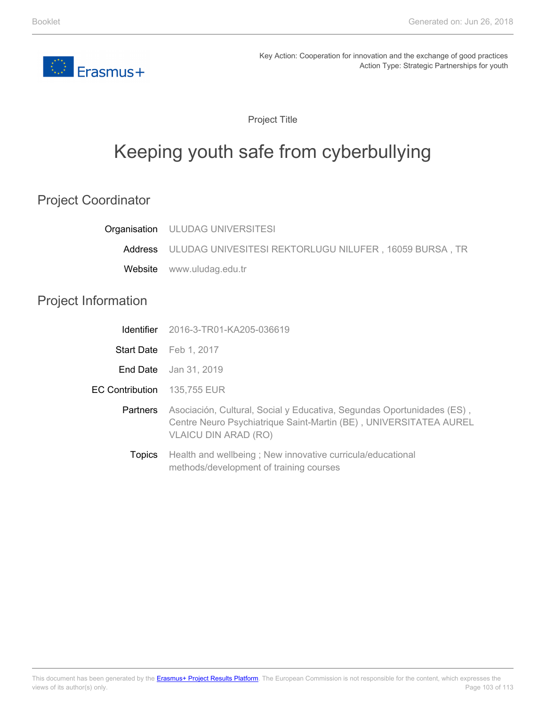

Project Title

# Keeping youth safe from cyberbullying

## Project Coordinator

|                            | <b>Organisation</b> ULUDAG UNIVERSITESI                                                                                                                                    |
|----------------------------|----------------------------------------------------------------------------------------------------------------------------------------------------------------------------|
|                            | Address ULUDAG UNIVESITESI REKTORLUGU NILUFER, 16059 BURSA, TR                                                                                                             |
| Website                    | www.uludag.edu.tr                                                                                                                                                          |
| <b>Project Information</b> |                                                                                                                                                                            |
| <b>Identifier</b>          | 2016-3-TR01-KA205-036619                                                                                                                                                   |
|                            | Start Date Feb 1, 2017                                                                                                                                                     |
|                            | <b>End Date</b> Jan 31, 2019                                                                                                                                               |
| <b>EC Contribution</b>     | 135,755 EUR                                                                                                                                                                |
| <b>Partners</b>            | Asociación, Cultural, Social y Educativa, Segundas Oportunidades (ES),<br>Centre Neuro Psychiatrique Saint-Martin (BE), UNIVERSITATEA AUREL<br><b>VLAICU DIN ARAD (RO)</b> |
| Topics                     | Health and wellbeing; New innovative curricula/educational<br>methods/development of training courses                                                                      |

Page 103 of 113 This document has been generated by the **Erasmus+ Project Results Platform**. The European Commission is not responsible for the content, which expresses the views of its author(s) only.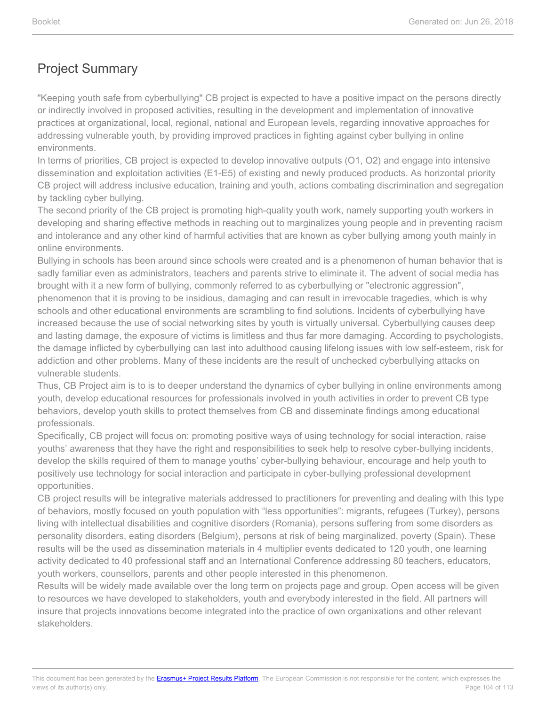"Keeping youth safe from cyberbullying" CB project is expected to have a positive impact on the persons directly or indirectly involved in proposed activities, resulting in the development and implementation of innovative practices at organizational, local, regional, national and European levels, regarding innovative approaches for addressing vulnerable youth, by providing improved practices in fighting against cyber bullying in online environments.

In terms of priorities, CB project is expected to develop innovative outputs (O1, O2) and engage into intensive dissemination and exploitation activities (E1-E5) of existing and newly produced products. As horizontal priority CB project will address inclusive education, training and youth, actions combating discrimination and segregation by tackling cyber bullying.

The second priority of the CB project is promoting high-quality youth work, namely supporting youth workers in developing and sharing effective methods in reaching out to marginalizes young people and in preventing racism and intolerance and any other kind of harmful activities that are known as cyber bullying among youth mainly in online environments.

Bullying in schools has been around since schools were created and is a phenomenon of human behavior that is sadly familiar even as administrators, teachers and parents strive to eliminate it. The advent of social media has brought with it a new form of bullying, commonly referred to as cyberbullying or "electronic aggression", phenomenon that it is proving to be insidious, damaging and can result in irrevocable tragedies, which is why schools and other educational environments are scrambling to find solutions. Incidents of cyberbullying have increased because the use of social networking sites by youth is virtually universal. Cyberbullying causes deep and lasting damage, the exposure of victims is limitless and thus far more damaging. According to psychologists, the damage inflicted by cyberbullying can last into adulthood causing lifelong issues with low self-esteem, risk for addiction and other problems. Many of these incidents are the result of unchecked cyberbullying attacks on vulnerable students.

Thus, CB Project aim is to is to deeper understand the dynamics of cyber bullying in online environments among youth, develop educational resources for professionals involved in youth activities in order to prevent CB type behaviors, develop youth skills to protect themselves from CB and disseminate findings among educational professionals.

Specifically, CB project will focus on: promoting positive ways of using technology for social interaction, raise youths' awareness that they have the right and responsibilities to seek help to resolve cyber-bullying incidents, develop the skills required of them to manage youths' cyber-bullying behaviour, encourage and help youth to positively use technology for social interaction and participate in cyber-bullying professional development opportunities.

CB project results will be integrative materials addressed to practitioners for preventing and dealing with this type of behaviors, mostly focused on youth population with "less opportunities": migrants, refugees (Turkey), persons living with intellectual disabilities and cognitive disorders (Romania), persons suffering from some disorders as personality disorders, eating disorders (Belgium), persons at risk of being marginalized, poverty (Spain). These results will be the used as dissemination materials in 4 multiplier events dedicated to 120 youth, one learning activity dedicated to 40 professional staff and an International Conference addressing 80 teachers, educators, youth workers, counsellors, parents and other people interested in this phenomenon.

Results will be widely made available over the long term on projects page and group. Open access will be given to resources we have developed to stakeholders, youth and everybody interested in the field. All partners will insure that projects innovations become integrated into the practice of own organixations and other relevant stakeholders.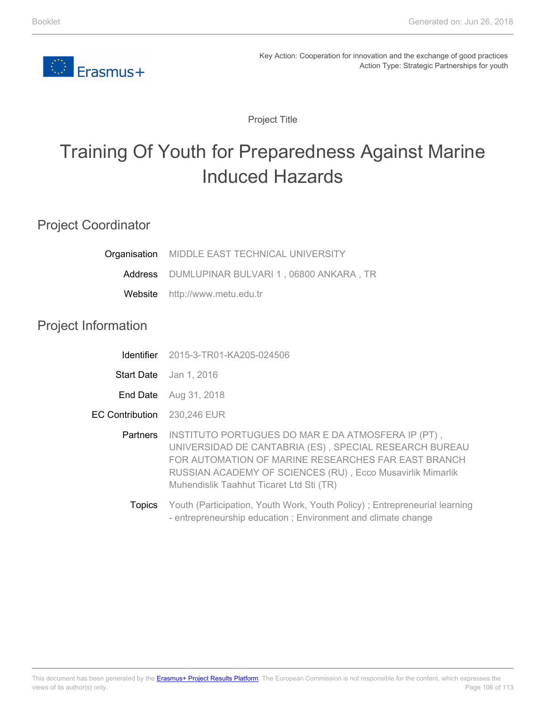

Project Title

# Training Of Youth for Preparedness Against Marine Induced Hazards

### Project Coordinator

| Organisation               | MIDDLE EAST TECHNICAL UNIVERSITY                                                                                                                                                                                                                                                                                  |
|----------------------------|-------------------------------------------------------------------------------------------------------------------------------------------------------------------------------------------------------------------------------------------------------------------------------------------------------------------|
|                            | Address DUMLUPINAR BULVARI 1, 06800 ANKARA, TR                                                                                                                                                                                                                                                                    |
| Website                    | http://www.metu.edu.tr                                                                                                                                                                                                                                                                                            |
| <b>Project Information</b> |                                                                                                                                                                                                                                                                                                                   |
|                            | <b>Identifier</b> 2015-3-TR01-KA205-024506                                                                                                                                                                                                                                                                        |
|                            | Start Date Jan 1, 2016                                                                                                                                                                                                                                                                                            |
|                            | <b>End Date</b> Aug 31, 2018                                                                                                                                                                                                                                                                                      |
| <b>EC Contribution</b>     | 230,246 EUR                                                                                                                                                                                                                                                                                                       |
| Partners                   | INSTITUTO PORTUGUES DO MAR E DA ATMOSFERA IP (PT),<br>UNIVERSIDAD DE CANTABRIA (ES), SPECIAL RESEARCH BUREAU<br>FOR AUTOMATION OF MARINE RESEARCHES FAR EAST BRANCH<br>RUSSIAN ACADEMY OF SCIENCES (RU), Ecco Musavirlik Mimarlik<br>Muhendislik Taahhut Ticaret Ltd Sti (TR)                                     |
|                            | $\mathcal{M}$ and $\mathcal{M}$ are $\mathcal{M}$ and $\mathcal{M}$ are $\mathcal{M}$ and $\mathcal{M}$ are $\mathcal{M}$ and $\mathcal{M}$ are $\mathcal{M}$ and $\mathcal{M}$ are $\mathcal{M}$ and $\mathcal{M}$ are $\mathcal{M}$ and $\mathcal{M}$ are $\mathcal{M}$ and $\mathcal{M}$ are $\mathcal{M}$ and |

**Topics** Youth (Participation, Youth Work, Youth Policy) ; Entrepreneurial learning - entrepreneurship education ; Environment and climate change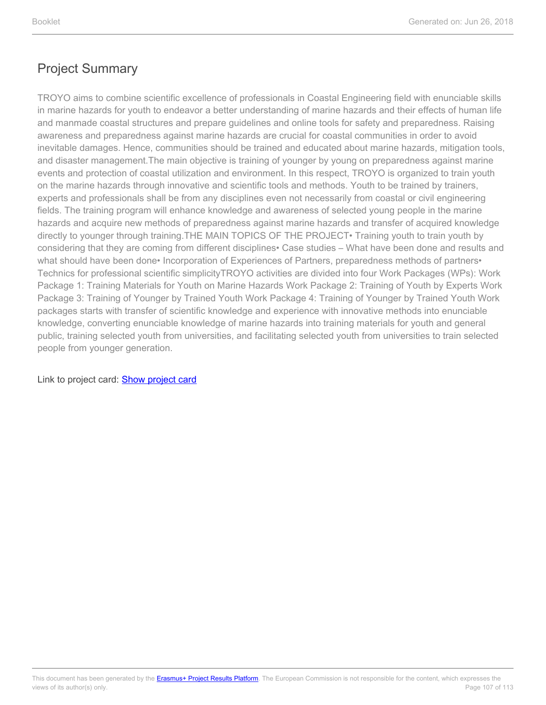TROYO aims to combine scientific excellence of professionals in Coastal Engineering field with enunciable skills in marine hazards for youth to endeavor a better understanding of marine hazards and their effects of human life and manmade coastal structures and prepare guidelines and online tools for safety and preparedness. Raising awareness and preparedness against marine hazards are crucial for coastal communities in order to avoid inevitable damages. Hence, communities should be trained and educated about marine hazards, mitigation tools, and disaster management.The main objective is training of younger by young on preparedness against marine events and protection of coastal utilization and environment. In this respect, TROYO is organized to train youth on the marine hazards through innovative and scientific tools and methods. Youth to be trained by trainers, experts and professionals shall be from any disciplines even not necessarily from coastal or civil engineering fields. The training program will enhance knowledge and awareness of selected young people in the marine hazards and acquire new methods of preparedness against marine hazards and transfer of acquired knowledge directly to younger through training.THE MAIN TOPICS OF THE PROJECT• Training youth to train youth by considering that they are coming from different disciplines• Case studies – What have been done and results and what should have been done• Incorporation of Experiences of Partners, preparedness methods of partners• Technics for professional scientific simplicityTROYO activities are divided into four Work Packages (WPs): Work Package 1: Training Materials for Youth on Marine Hazards Work Package 2: Training of Youth by Experts Work Package 3: Training of Younger by Trained Youth Work Package 4: Training of Younger by Trained Youth Work packages starts with transfer of scientific knowledge and experience with innovative methods into enunciable knowledge, converting enunciable knowledge of marine hazards into training materials for youth and general public, training selected youth from universities, and facilitating selected youth from universities to train selected people from younger generation.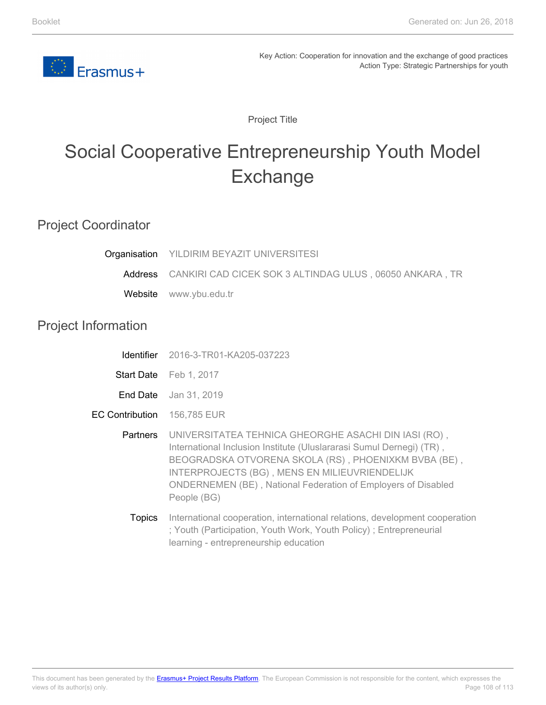

Project Title

# Social Cooperative Entrepreneurship Youth Model Exchange

### Project Coordinator

Project

| Organisation           | YILDIRIM BEYAZIT UNIVERSITESI                                                                                                                                                                                                                                                                                                |
|------------------------|------------------------------------------------------------------------------------------------------------------------------------------------------------------------------------------------------------------------------------------------------------------------------------------------------------------------------|
|                        | Address CANKIRI CAD CICEK SOK 3 ALTINDAG ULUS, 06050 ANKARA, TR                                                                                                                                                                                                                                                              |
| Website                | www.ybu.edu.tr                                                                                                                                                                                                                                                                                                               |
| Information            |                                                                                                                                                                                                                                                                                                                              |
| Identifier             | 2016-3-TR01-KA205-037223                                                                                                                                                                                                                                                                                                     |
|                        | Start Date Feb 1, 2017                                                                                                                                                                                                                                                                                                       |
|                        | <b>End Date</b> Jan 31, 2019                                                                                                                                                                                                                                                                                                 |
| <b>EC Contribution</b> | 156,785 EUR                                                                                                                                                                                                                                                                                                                  |
| Partners               | UNIVERSITATEA TEHNICA GHEORGHE ASACHI DIN IASI (RO),<br>International Inclusion Institute (Uluslararasi Sumul Dernegi) (TR),<br>BEOGRADSKA OTVORENA SKOLA (RS), PHOENIXKM BVBA (BE),<br>INTERPROJECTS (BG), MENS EN MILIEUVRIENDELIJK<br><b>ONDERNEMEN (BE), National Federation of Employers of Disabled</b><br>People (BG) |

**Topics** International cooperation, international relations, development cooperation ; Youth (Participation, Youth Work, Youth Policy) ; Entrepreneurial learning - entrepreneurship education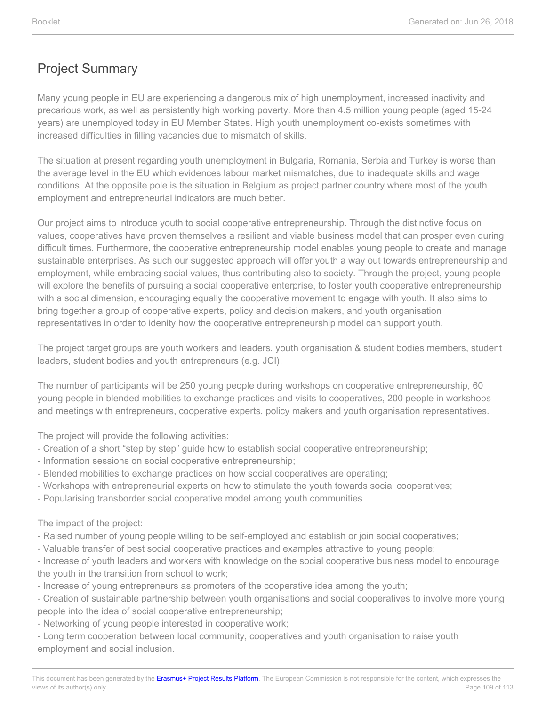# Project Summary

Many young people in EU are experiencing a dangerous mix of high unemployment, increased inactivity and precarious work, as well as persistently high working poverty. More than 4.5 million young people (aged 15-24 years) are unemployed today in EU Member States. High youth unemployment co-exists sometimes with increased difficulties in filling vacancies due to mismatch of skills.

The situation at present regarding youth unemployment in Bulgaria, Romania, Serbia and Turkey is worse than the average level in the EU which evidences labour market mismatches, due to inadequate skills and wage conditions. At the opposite pole is the situation in Belgium as project partner country where most of the youth employment and entrepreneurial indicators are much better.

Our project aims to introduce youth to social cooperative entrepreneurship. Through the distinctive focus on values, cooperatives have proven themselves a resilient and viable business model that can prosper even during difficult times. Furthermore, the cooperative entrepreneurship model enables young people to create and manage sustainable enterprises. As such our suggested approach will offer youth a way out towards entrepreneurship and employment, while embracing social values, thus contributing also to society. Through the project, young people will explore the benefits of pursuing a social cooperative enterprise, to foster youth cooperative entrepreneurship with a social dimension, encouraging equally the cooperative movement to engage with youth. It also aims to bring together a group of cooperative experts, policy and decision makers, and youth organisation representatives in order to idenity how the cooperative entrepreneurship model can support youth.

The project target groups are youth workers and leaders, youth organisation & student bodies members, student leaders, student bodies and youth entrepreneurs (e.g. JCI).

The number of participants will be 250 young people during workshops on cooperative entrepreneurship, 60 young people in blended mobilities to exchange practices and visits to cooperatives, 200 people in workshops and meetings with entrepreneurs, cooperative experts, policy makers and youth organisation representatives.

The project will provide the following activities:

- Creation of a short "step by step" guide how to establish social cooperative entrepreneurship;
- Information sessions on social cooperative entrepreneurship;
- Blended mobilities to exchange practices on how social cooperatives are operating;
- Workshops with entrepreneurial experts on how to stimulate the youth towards social cooperatives;
- Popularising transborder social cooperative model among youth communities.

The impact of the project:

- Raised number of young people willing to be self-employed and establish or join social cooperatives;
- Valuable transfer of best social cooperative practices and examples attractive to young people;

- Increase of youth leaders and workers with knowledge on the social cooperative business model to encourage the youth in the transition from school to work;

- Increase of young entrepreneurs as promoters of the cooperative idea among the youth;

- Creation of sustainable partnership between youth organisations and social cooperatives to involve more young people into the idea of social cooperative entrepreneurship;

- Networking of young people interested in cooperative work;

- Long term cooperation between local community, cooperatives and youth organisation to raise youth employment and social inclusion.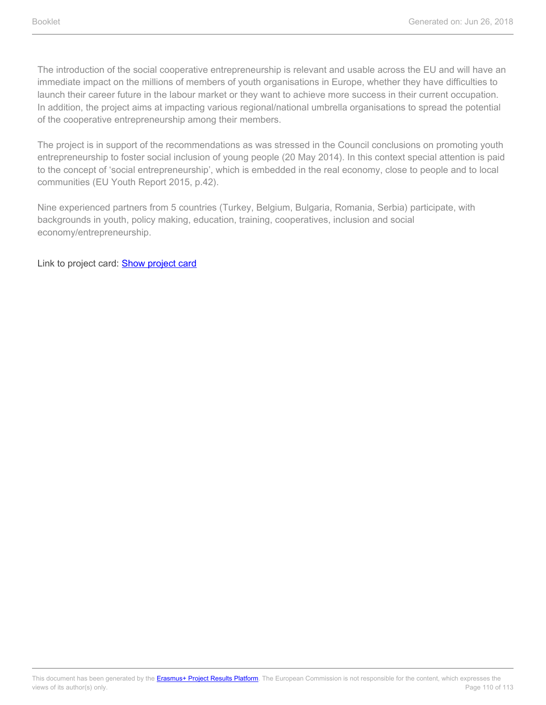The introduction of the social cooperative entrepreneurship is relevant and usable across the EU and will have an immediate impact on the millions of members of youth organisations in Europe, whether they have difficulties to launch their career future in the labour market or they want to achieve more success in their current occupation. In addition, the project aims at impacting various regional/national umbrella organisations to spread the potential of the cooperative entrepreneurship among their members.

The project is in support of the recommendations as was stressed in the Council conclusions on promoting youth entrepreneurship to foster social inclusion of young people (20 May 2014). In this context special attention is paid to the concept of 'social entrepreneurship', which is embedded in the real economy, close to people and to local communities (EU Youth Report 2015, p.42).

Nine experienced partners from 5 countries (Turkey, Belgium, Bulgaria, Romania, Serbia) participate, with backgrounds in youth, policy making, education, training, cooperatives, inclusion and social economy/entrepreneurship.

Link to project card: **[Show project card](https://ec.europa.eu/programmes/erasmus-plus/projects/eplus-project-details/#project/2016-3-TR01-KA205-037223)**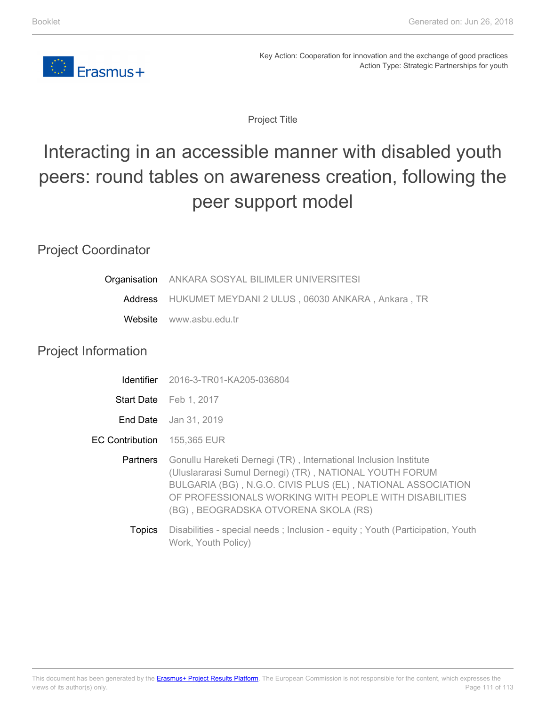

Key Action: Cooperation for innovation and the exchange of good practices Action Type: Strategic Partnerships for youth

Project Title

# Interacting in an accessible manner with disabled youth peers: round tables on awareness creation, following the peer support model

### Project Coordinator

| Organisation ANKARA SOSYAL BILIMLER UNIVERSITESI                |
|-----------------------------------------------------------------|
| <b>Address</b> HUKUMET MEYDANI 2 ULUS, 06030 ANKARA, Ankara, TR |
| Website www.asbu.edu.tr                                         |

## Project Information

|                                    | <b>Identifier</b> 2016-3-TR01-KA205-036804                                                                                                                                                                                                                                                   |
|------------------------------------|----------------------------------------------------------------------------------------------------------------------------------------------------------------------------------------------------------------------------------------------------------------------------------------------|
|                                    | Start Date Feb 1, 2017                                                                                                                                                                                                                                                                       |
|                                    | <b>End Date</b> Jan 31, 2019                                                                                                                                                                                                                                                                 |
| <b>EC Contribution</b> 155,365 EUR |                                                                                                                                                                                                                                                                                              |
| <b>Partners</b>                    | Gonullu Hareketi Dernegi (TR), International Inclusion Institute<br>(Uluslararasi Sumul Dernegi) (TR), NATIONAL YOUTH FORUM<br>BULGARIA (BG), N.G.O. CIVIS PLUS (EL), NATIONAL ASSOCIATION<br>OF PROFESSIONALS WORKING WITH PEOPLE WITH DISABILITIES<br>(BG), BEOGRADSKA OTVORENA SKOLA (RS) |
| <b>Topics</b>                      | Disabilities - special needs; Inclusion - equity; Youth (Participation, Youth<br>Work, Youth Policy)                                                                                                                                                                                         |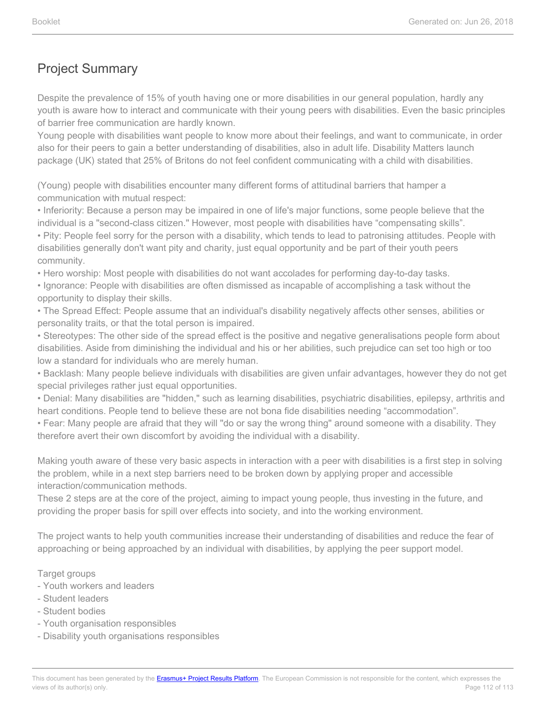## Project Summary

Despite the prevalence of 15% of youth having one or more disabilities in our general population, hardly any youth is aware how to interact and communicate with their young peers with disabilities. Even the basic principles of barrier free communication are hardly known.

Young people with disabilities want people to know more about their feelings, and want to communicate, in order also for their peers to gain a better understanding of disabilities, also in adult life. Disability Matters launch package (UK) stated that 25% of Britons do not feel confident communicating with a child with disabilities.

(Young) people with disabilities encounter many different forms of attitudinal barriers that hamper a communication with mutual respect:

• Inferiority: Because a person may be impaired in one of life's major functions, some people believe that the individual is a "second-class citizen." However, most people with disabilities have "compensating skills".

• Pity: People feel sorry for the person with a disability, which tends to lead to patronising attitudes. People with disabilities generally don't want pity and charity, just equal opportunity and be part of their youth peers community.

• Hero worship: Most people with disabilities do not want accolades for performing day-to-day tasks.

• Ignorance: People with disabilities are often dismissed as incapable of accomplishing a task without the opportunity to display their skills.

• The Spread Effect: People assume that an individual's disability negatively affects other senses, abilities or personality traits, or that the total person is impaired.

• Stereotypes: The other side of the spread effect is the positive and negative generalisations people form about disabilities. Aside from diminishing the individual and his or her abilities, such prejudice can set too high or too low a standard for individuals who are merely human.

• Backlash: Many people believe individuals with disabilities are given unfair advantages, however they do not get special privileges rather just equal opportunities.

• Denial: Many disabilities are "hidden," such as learning disabilities, psychiatric disabilities, epilepsy, arthritis and heart conditions. People tend to believe these are not bona fide disabilities needing "accommodation".

• Fear: Many people are afraid that they will "do or say the wrong thing" around someone with a disability. They therefore avert their own discomfort by avoiding the individual with a disability.

Making youth aware of these very basic aspects in interaction with a peer with disabilities is a first step in solving the problem, while in a next step barriers need to be broken down by applying proper and accessible interaction/communication methods.

These 2 steps are at the core of the project, aiming to impact young people, thus investing in the future, and providing the proper basis for spill over effects into society, and into the working environment.

The project wants to help youth communities increase their understanding of disabilities and reduce the fear of approaching or being approached by an individual with disabilities, by applying the peer support model.

#### Target groups

- Youth workers and leaders
- Student leaders
- Student bodies
- Youth organisation responsibles
- Disability youth organisations responsibles